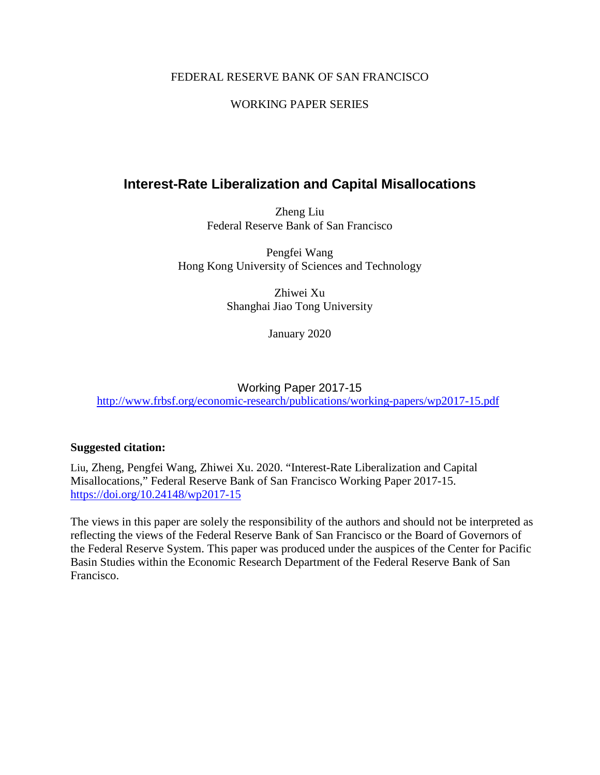# FEDERAL RESERVE BANK OF SAN FRANCISCO

# WORKING PAPER SERIES

# **Interest-Rate Liberalization and Capital Misallocations**

Zheng Liu Federal Reserve Bank of San Francisco

Pengfei Wang Hong Kong University of Sciences and Technology

> Zhiwei Xu Shanghai Jiao Tong University

> > January 2020

# Working Paper 2017-15 <http://www.frbsf.org/economic-research/publications/working-papers/wp2017-15.pdf>

# **Suggested citation:**

Liu, Zheng, Pengfei Wang, Zhiwei Xu. 2020. "Interest-Rate Liberalization and Capital Misallocations," Federal Reserve Bank of San Francisco Working Paper 2017-15. <https://doi.org/10.24148/wp2017-15>

The views in this paper are solely the responsibility of the authors and should not be interpreted as reflecting the views of the Federal Reserve Bank of San Francisco or the Board of Governors of the Federal Reserve System. This paper was produced under the auspices of the Center for Pacific Basin Studies within the Economic Research Department of the Federal Reserve Bank of San Francisco.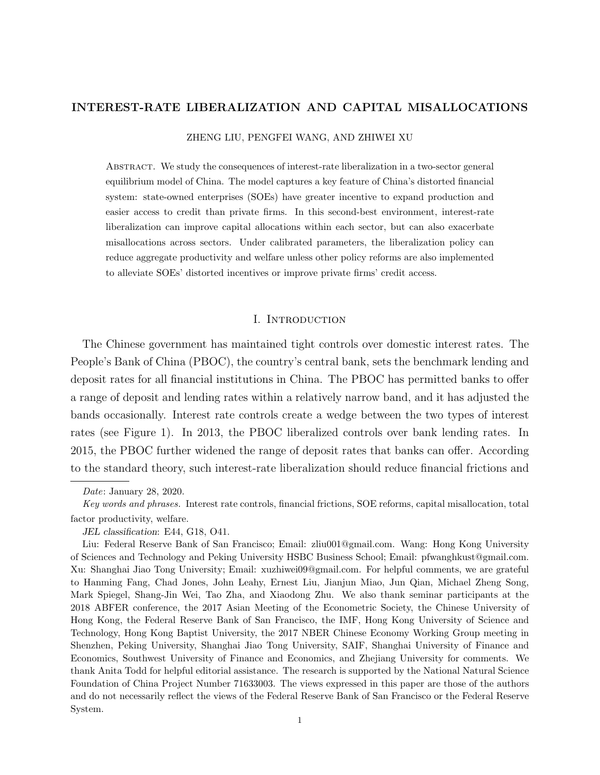## INTEREST-RATE LIBERALIZATION AND CAPITAL MISALLOCATIONS

ZHENG LIU, PENGFEI WANG, AND ZHIWEI XU

Abstract. We study the consequences of interest-rate liberalization in a two-sector general equilibrium model of China. The model captures a key feature of China's distorted financial system: state-owned enterprises (SOEs) have greater incentive to expand production and easier access to credit than private firms. In this second-best environment, interest-rate liberalization can improve capital allocations within each sector, but can also exacerbate misallocations across sectors. Under calibrated parameters, the liberalization policy can reduce aggregate productivity and welfare unless other policy reforms are also implemented to alleviate SOEs' distorted incentives or improve private firms' credit access.

#### I. Introduction

The Chinese government has maintained tight controls over domestic interest rates. The People's Bank of China (PBOC), the country's central bank, sets the benchmark lending and deposit rates for all financial institutions in China. The PBOC has permitted banks to offer a range of deposit and lending rates within a relatively narrow band, and it has adjusted the bands occasionally. Interest rate controls create a wedge between the two types of interest rates (see Figure 1). In 2013, the PBOC liberalized controls over bank lending rates. In 2015, the PBOC further widened the range of deposit rates that banks can offer. According to the standard theory, such interest-rate liberalization should reduce financial frictions and

Date: January 28, 2020.

Key words and phrases. Interest rate controls, financial frictions, SOE reforms, capital misallocation, total factor productivity, welfare.

JEL classification: E44, G18, O41.

Liu: Federal Reserve Bank of San Francisco; Email: zliu001@gmail.com. Wang: Hong Kong University of Sciences and Technology and Peking University HSBC Business School; Email: pfwanghkust@gmail.com. Xu: Shanghai Jiao Tong University; Email: xuzhiwei09@gmail.com. For helpful comments, we are grateful to Hanming Fang, Chad Jones, John Leahy, Ernest Liu, Jianjun Miao, Jun Qian, Michael Zheng Song, Mark Spiegel, Shang-Jin Wei, Tao Zha, and Xiaodong Zhu. We also thank seminar participants at the 2018 ABFER conference, the 2017 Asian Meeting of the Econometric Society, the Chinese University of Hong Kong, the Federal Reserve Bank of San Francisco, the IMF, Hong Kong University of Science and Technology, Hong Kong Baptist University, the 2017 NBER Chinese Economy Working Group meeting in Shenzhen, Peking University, Shanghai Jiao Tong University, SAIF, Shanghai University of Finance and Economics, Southwest University of Finance and Economics, and Zhejiang University for comments. We thank Anita Todd for helpful editorial assistance. The research is supported by the National Natural Science Foundation of China Project Number 71633003. The views expressed in this paper are those of the authors and do not necessarily reflect the views of the Federal Reserve Bank of San Francisco or the Federal Reserve System.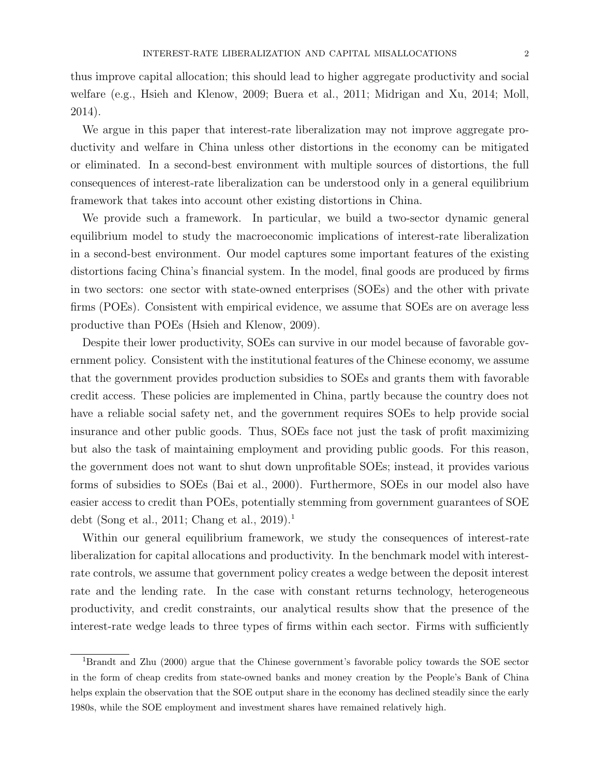thus improve capital allocation; this should lead to higher aggregate productivity and social welfare (e.g., Hsieh and Klenow, 2009; Buera et al., 2011; Midrigan and Xu, 2014; Moll, 2014).

We argue in this paper that interest-rate liberalization may not improve aggregate productivity and welfare in China unless other distortions in the economy can be mitigated or eliminated. In a second-best environment with multiple sources of distortions, the full consequences of interest-rate liberalization can be understood only in a general equilibrium framework that takes into account other existing distortions in China.

We provide such a framework. In particular, we build a two-sector dynamic general equilibrium model to study the macroeconomic implications of interest-rate liberalization in a second-best environment. Our model captures some important features of the existing distortions facing China's financial system. In the model, final goods are produced by firms in two sectors: one sector with state-owned enterprises (SOEs) and the other with private firms (POEs). Consistent with empirical evidence, we assume that SOEs are on average less productive than POEs (Hsieh and Klenow, 2009).

Despite their lower productivity, SOEs can survive in our model because of favorable government policy. Consistent with the institutional features of the Chinese economy, we assume that the government provides production subsidies to SOEs and grants them with favorable credit access. These policies are implemented in China, partly because the country does not have a reliable social safety net, and the government requires SOEs to help provide social insurance and other public goods. Thus, SOEs face not just the task of profit maximizing but also the task of maintaining employment and providing public goods. For this reason, the government does not want to shut down unprofitable SOEs; instead, it provides various forms of subsidies to SOEs (Bai et al., 2000). Furthermore, SOEs in our model also have easier access to credit than POEs, potentially stemming from government guarantees of SOE debt (Song et al., 2011; Chang et al., 2019).<sup>1</sup>

Within our general equilibrium framework, we study the consequences of interest-rate liberalization for capital allocations and productivity. In the benchmark model with interestrate controls, we assume that government policy creates a wedge between the deposit interest rate and the lending rate. In the case with constant returns technology, heterogeneous productivity, and credit constraints, our analytical results show that the presence of the interest-rate wedge leads to three types of firms within each sector. Firms with sufficiently

<sup>1</sup>Brandt and Zhu (2000) argue that the Chinese government's favorable policy towards the SOE sector in the form of cheap credits from state-owned banks and money creation by the People's Bank of China helps explain the observation that the SOE output share in the economy has declined steadily since the early 1980s, while the SOE employment and investment shares have remained relatively high.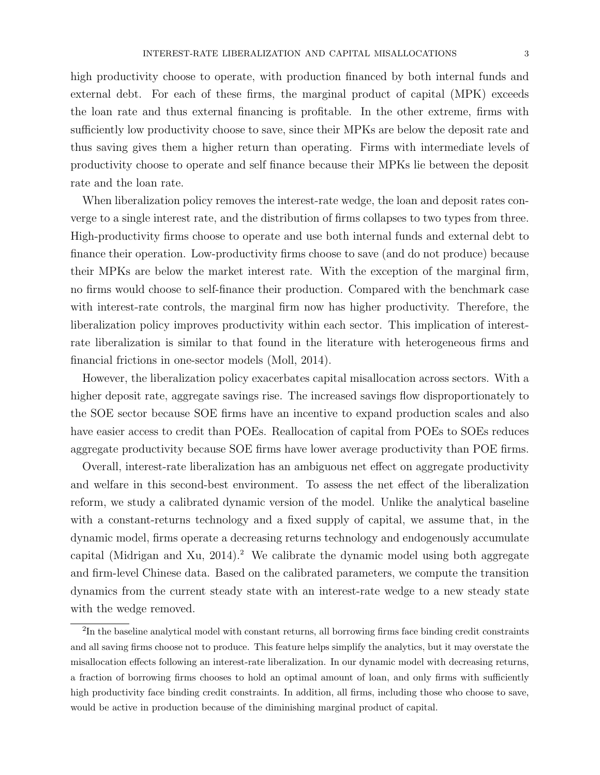high productivity choose to operate, with production financed by both internal funds and external debt. For each of these firms, the marginal product of capital (MPK) exceeds the loan rate and thus external financing is profitable. In the other extreme, firms with sufficiently low productivity choose to save, since their MPKs are below the deposit rate and thus saving gives them a higher return than operating. Firms with intermediate levels of productivity choose to operate and self finance because their MPKs lie between the deposit rate and the loan rate.

When liberalization policy removes the interest-rate wedge, the loan and deposit rates converge to a single interest rate, and the distribution of firms collapses to two types from three. High-productivity firms choose to operate and use both internal funds and external debt to finance their operation. Low-productivity firms choose to save (and do not produce) because their MPKs are below the market interest rate. With the exception of the marginal firm, no firms would choose to self-finance their production. Compared with the benchmark case with interest-rate controls, the marginal firm now has higher productivity. Therefore, the liberalization policy improves productivity within each sector. This implication of interestrate liberalization is similar to that found in the literature with heterogeneous firms and financial frictions in one-sector models (Moll, 2014).

However, the liberalization policy exacerbates capital misallocation across sectors. With a higher deposit rate, aggregate savings rise. The increased savings flow disproportionately to the SOE sector because SOE firms have an incentive to expand production scales and also have easier access to credit than POEs. Reallocation of capital from POEs to SOEs reduces aggregate productivity because SOE firms have lower average productivity than POE firms.

Overall, interest-rate liberalization has an ambiguous net effect on aggregate productivity and welfare in this second-best environment. To assess the net effect of the liberalization reform, we study a calibrated dynamic version of the model. Unlike the analytical baseline with a constant-returns technology and a fixed supply of capital, we assume that, in the dynamic model, firms operate a decreasing returns technology and endogenously accumulate capital (Midrigan and Xu,  $2014$ ).<sup>2</sup> We calibrate the dynamic model using both aggregate and firm-level Chinese data. Based on the calibrated parameters, we compute the transition dynamics from the current steady state with an interest-rate wedge to a new steady state with the wedge removed.

<sup>&</sup>lt;sup>2</sup>In the baseline analytical model with constant returns, all borrowing firms face binding credit constraints and all saving firms choose not to produce. This feature helps simplify the analytics, but it may overstate the misallocation effects following an interest-rate liberalization. In our dynamic model with decreasing returns, a fraction of borrowing firms chooses to hold an optimal amount of loan, and only firms with sufficiently high productivity face binding credit constraints. In addition, all firms, including those who choose to save, would be active in production because of the diminishing marginal product of capital.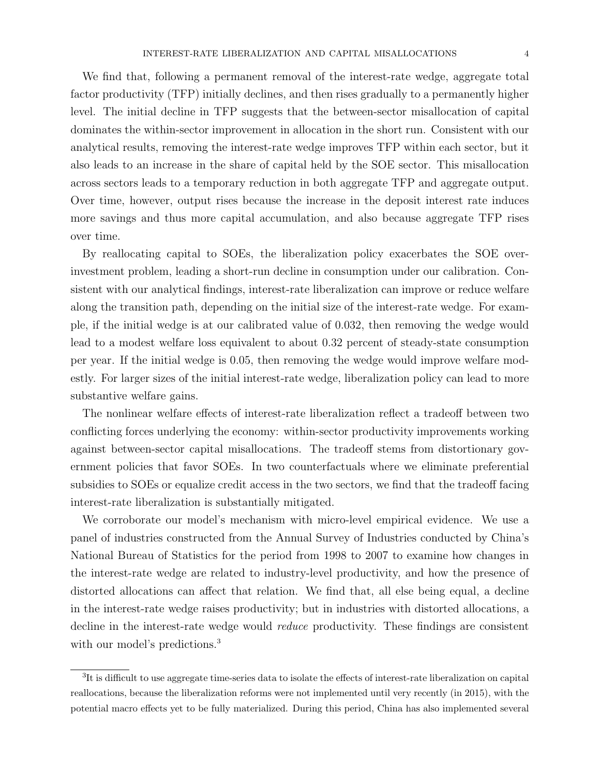We find that, following a permanent removal of the interest-rate wedge, aggregate total factor productivity (TFP) initially declines, and then rises gradually to a permanently higher level. The initial decline in TFP suggests that the between-sector misallocation of capital dominates the within-sector improvement in allocation in the short run. Consistent with our analytical results, removing the interest-rate wedge improves TFP within each sector, but it also leads to an increase in the share of capital held by the SOE sector. This misallocation across sectors leads to a temporary reduction in both aggregate TFP and aggregate output. Over time, however, output rises because the increase in the deposit interest rate induces more savings and thus more capital accumulation, and also because aggregate TFP rises over time.

By reallocating capital to SOEs, the liberalization policy exacerbates the SOE overinvestment problem, leading a short-run decline in consumption under our calibration. Consistent with our analytical findings, interest-rate liberalization can improve or reduce welfare along the transition path, depending on the initial size of the interest-rate wedge. For example, if the initial wedge is at our calibrated value of 0.032, then removing the wedge would lead to a modest welfare loss equivalent to about 0.32 percent of steady-state consumption per year. If the initial wedge is 0.05, then removing the wedge would improve welfare modestly. For larger sizes of the initial interest-rate wedge, liberalization policy can lead to more substantive welfare gains.

The nonlinear welfare effects of interest-rate liberalization reflect a tradeoff between two conflicting forces underlying the economy: within-sector productivity improvements working against between-sector capital misallocations. The tradeoff stems from distortionary government policies that favor SOEs. In two counterfactuals where we eliminate preferential subsidies to SOEs or equalize credit access in the two sectors, we find that the tradeoff facing interest-rate liberalization is substantially mitigated.

We corroborate our model's mechanism with micro-level empirical evidence. We use a panel of industries constructed from the Annual Survey of Industries conducted by China's National Bureau of Statistics for the period from 1998 to 2007 to examine how changes in the interest-rate wedge are related to industry-level productivity, and how the presence of distorted allocations can affect that relation. We find that, all else being equal, a decline in the interest-rate wedge raises productivity; but in industries with distorted allocations, a decline in the interest-rate wedge would *reduce* productivity. These findings are consistent with our model's predictions.<sup>3</sup>

<sup>&</sup>lt;sup>3</sup>It is difficult to use aggregate time-series data to isolate the effects of interest-rate liberalization on capital reallocations, because the liberalization reforms were not implemented until very recently (in 2015), with the potential macro effects yet to be fully materialized. During this period, China has also implemented several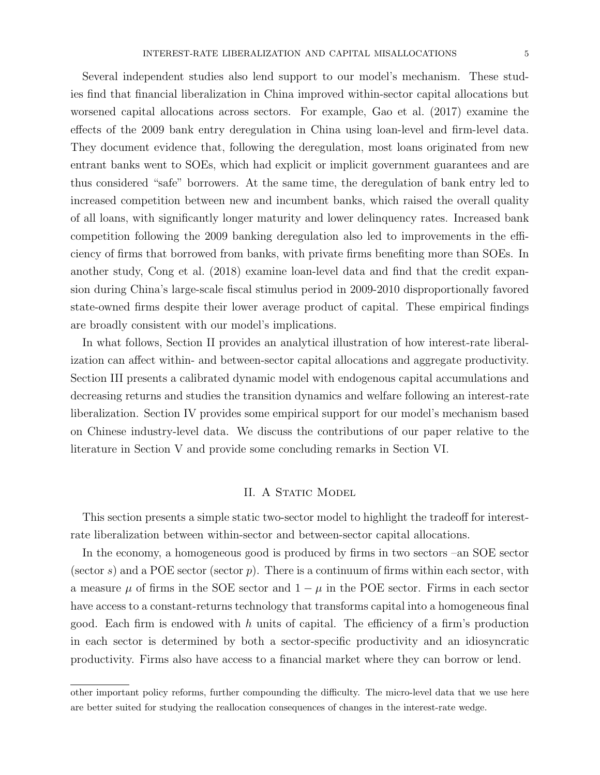Several independent studies also lend support to our model's mechanism. These studies find that financial liberalization in China improved within-sector capital allocations but worsened capital allocations across sectors. For example, Gao et al. (2017) examine the effects of the 2009 bank entry deregulation in China using loan-level and firm-level data. They document evidence that, following the deregulation, most loans originated from new entrant banks went to SOEs, which had explicit or implicit government guarantees and are thus considered "safe" borrowers. At the same time, the deregulation of bank entry led to increased competition between new and incumbent banks, which raised the overall quality of all loans, with significantly longer maturity and lower delinquency rates. Increased bank competition following the 2009 banking deregulation also led to improvements in the efficiency of firms that borrowed from banks, with private firms benefiting more than SOEs. In another study, Cong et al. (2018) examine loan-level data and find that the credit expansion during China's large-scale fiscal stimulus period in 2009-2010 disproportionally favored state-owned firms despite their lower average product of capital. These empirical findings are broadly consistent with our model's implications.

In what follows, Section II provides an analytical illustration of how interest-rate liberalization can affect within- and between-sector capital allocations and aggregate productivity. Section III presents a calibrated dynamic model with endogenous capital accumulations and decreasing returns and studies the transition dynamics and welfare following an interest-rate liberalization. Section IV provides some empirical support for our model's mechanism based on Chinese industry-level data. We discuss the contributions of our paper relative to the literature in Section V and provide some concluding remarks in Section VI.

#### II. A STATIC MODEL

This section presents a simple static two-sector model to highlight the tradeoff for interestrate liberalization between within-sector and between-sector capital allocations.

In the economy, a homogeneous good is produced by firms in two sectors –an SOE sector (sector s) and a POE sector (sector p). There is a continuum of firms within each sector, with a measure  $\mu$  of firms in the SOE sector and  $1 - \mu$  in the POE sector. Firms in each sector have access to a constant-returns technology that transforms capital into a homogeneous final good. Each firm is endowed with  $h$  units of capital. The efficiency of a firm's production in each sector is determined by both a sector-specific productivity and an idiosyncratic productivity. Firms also have access to a financial market where they can borrow or lend.

other important policy reforms, further compounding the difficulty. The micro-level data that we use here are better suited for studying the reallocation consequences of changes in the interest-rate wedge.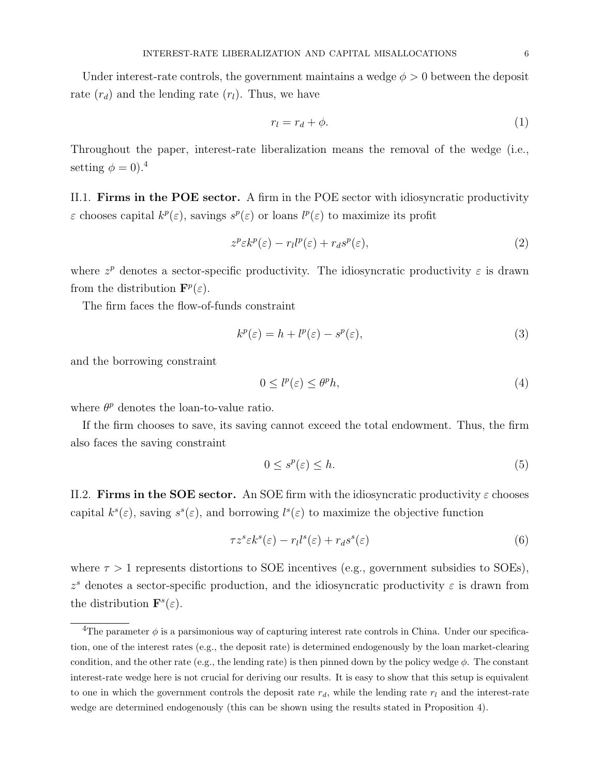Under interest-rate controls, the government maintains a wedge  $\phi > 0$  between the deposit rate  $(r_d)$  and the lending rate  $(r_l)$ . Thus, we have

$$
r_l = r_d + \phi. \tag{1}
$$

Throughout the paper, interest-rate liberalization means the removal of the wedge (i.e., setting  $\phi = 0$ ).<sup>4</sup>

II.1. Firms in the POE sector. A firm in the POE sector with idiosyncratic productivity  $\varepsilon$  chooses capital  $k^p(\varepsilon)$ , savings  $s^p(\varepsilon)$  or loans  $l^p(\varepsilon)$  to maximize its profit

$$
z^p \varepsilon k^p(\varepsilon) - r_l l^p(\varepsilon) + r_d s^p(\varepsilon), \tag{2}
$$

where  $z^p$  denotes a sector-specific productivity. The idiosyncratic productivity  $\varepsilon$  is drawn from the distribution  $\mathbf{F}^p(\varepsilon)$ .

The firm faces the flow-of-funds constraint

$$
k^p(\varepsilon) = h + l^p(\varepsilon) - s^p(\varepsilon),\tag{3}
$$

and the borrowing constraint

$$
0 \le l^p(\varepsilon) \le \theta^p h,\tag{4}
$$

where  $\theta^p$  denotes the loan-to-value ratio.

If the firm chooses to save, its saving cannot exceed the total endowment. Thus, the firm also faces the saving constraint

$$
0 \le s^p(\varepsilon) \le h. \tag{5}
$$

II.2. Firms in the SOE sector. An SOE firm with the idiosyncratic productivity  $\varepsilon$  chooses capital  $k^{s}(\varepsilon)$ , saving  $s^{s}(\varepsilon)$ , and borrowing  $l^{s}(\varepsilon)$  to maximize the objective function

$$
\tau z^s \varepsilon k^s(\varepsilon) - r_l l^s(\varepsilon) + r_d s^s(\varepsilon)
$$
\n<sup>(6)</sup>

where  $\tau > 1$  represents distortions to SOE incentives (e.g., government subsidies to SOEs),  $z<sup>s</sup>$  denotes a sector-specific production, and the idiosyncratic productivity  $\varepsilon$  is drawn from the distribution  $\mathbf{F}^{s}(\varepsilon)$ .

<sup>&</sup>lt;sup>4</sup>The parameter  $\phi$  is a parsimonious way of capturing interest rate controls in China. Under our specification, one of the interest rates (e.g., the deposit rate) is determined endogenously by the loan market-clearing condition, and the other rate (e.g., the lending rate) is then pinned down by the policy wedge  $\phi$ . The constant interest-rate wedge here is not crucial for deriving our results. It is easy to show that this setup is equivalent to one in which the government controls the deposit rate  $r_d$ , while the lending rate  $r_l$  and the interest-rate wedge are determined endogenously (this can be shown using the results stated in Proposition 4).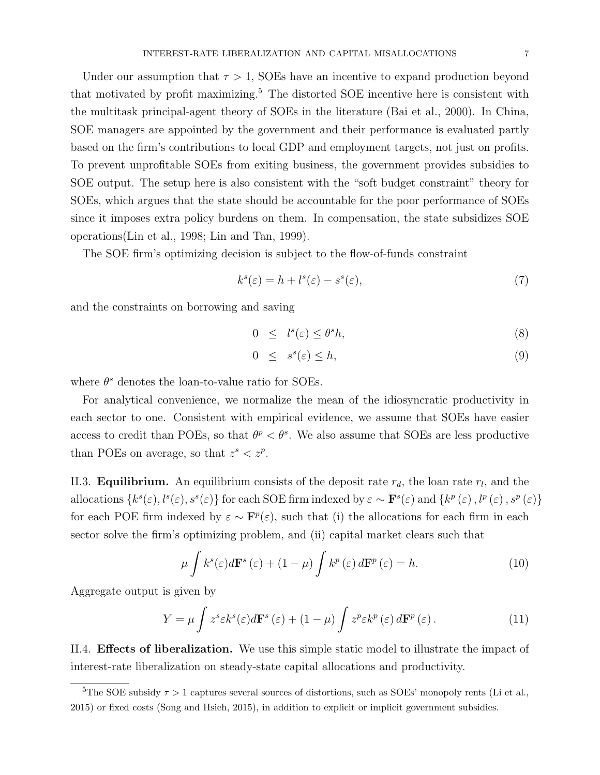Under our assumption that  $\tau > 1$ , SOEs have an incentive to expand production beyond that motivated by profit maximizing.<sup>5</sup> The distorted SOE incentive here is consistent with the multitask principal-agent theory of SOEs in the literature (Bai et al., 2000). In China, SOE managers are appointed by the government and their performance is evaluated partly based on the firm's contributions to local GDP and employment targets, not just on profits. To prevent unprofitable SOEs from exiting business, the government provides subsidies to SOE output. The setup here is also consistent with the "soft budget constraint" theory for SOEs, which argues that the state should be accountable for the poor performance of SOEs since it imposes extra policy burdens on them. In compensation, the state subsidizes SOE operations(Lin et al., 1998; Lin and Tan, 1999).

The SOE firm's optimizing decision is subject to the flow-of-funds constraint

$$
k^{s}(\varepsilon) = h + l^{s}(\varepsilon) - s^{s}(\varepsilon),
$$
\n<sup>(7)</sup>

and the constraints on borrowing and saving

$$
0 \leq l^s(\varepsilon) \leq \theta^s h,\tag{8}
$$

$$
0 \le s^s(\varepsilon) \le h,\tag{9}
$$

where  $\theta^s$  denotes the loan-to-value ratio for SOEs.

For analytical convenience, we normalize the mean of the idiosyncratic productivity in each sector to one. Consistent with empirical evidence, we assume that SOEs have easier access to credit than POEs, so that  $\theta^p < \theta^s$ . We also assume that SOEs are less productive than POEs on average, so that  $z^s < z^p$ .

II.3. **Equilibrium.** An equilibrium consists of the deposit rate  $r_d$ , the loan rate  $r_l$ , and the allocations  $\{k^s(\varepsilon), l^s(\varepsilon), s^s(\varepsilon)\}\$ for each SOE firm indexed by  $\varepsilon \sim \mathbf{F}^s(\varepsilon)$  and  $\{k^p(\varepsilon), l^p(\varepsilon), s^p(\varepsilon)\}\$ for each POE firm indexed by  $\varepsilon \sim \mathbf{F}^p(\varepsilon)$ , such that (i) the allocations for each firm in each sector solve the firm's optimizing problem, and (ii) capital market clears such that

$$
\mu \int k^{s}(\varepsilon)d\mathbf{F}^{s}(\varepsilon) + (1 - \mu) \int k^{p}(\varepsilon)d\mathbf{F}^{p}(\varepsilon) = h.
$$
 (10)

Aggregate output is given by

$$
Y = \mu \int z^s \varepsilon k^s(\varepsilon) d\mathbf{F}^s(\varepsilon) + (1 - \mu) \int z^p \varepsilon k^p(\varepsilon) d\mathbf{F}^p(\varepsilon).
$$
 (11)

II.4. Effects of liberalization. We use this simple static model to illustrate the impact of interest-rate liberalization on steady-state capital allocations and productivity.

<sup>&</sup>lt;sup>5</sup>The SOE subsidy  $\tau > 1$  captures several sources of distortions, such as SOEs' monopoly rents (Li et al., 2015) or fixed costs (Song and Hsieh, 2015), in addition to explicit or implicit government subsidies.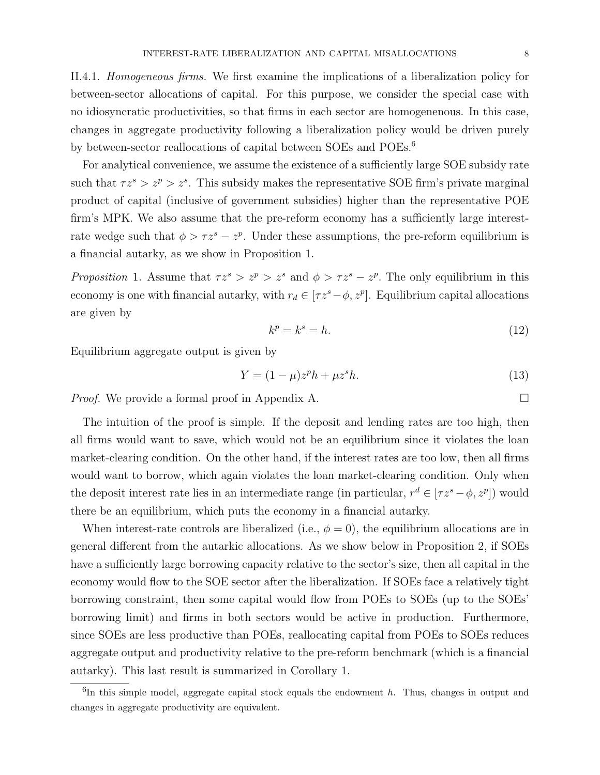II.4.1. Homogeneous firms. We first examine the implications of a liberalization policy for between-sector allocations of capital. For this purpose, we consider the special case with no idiosyncratic productivities, so that firms in each sector are homogenenous. In this case, changes in aggregate productivity following a liberalization policy would be driven purely by between-sector reallocations of capital between SOEs and POEs.<sup>6</sup>

For analytical convenience, we assume the existence of a sufficiently large SOE subsidy rate such that  $\tau z^s > z^p > z^s$ . This subsidy makes the representative SOE firm's private marginal product of capital (inclusive of government subsidies) higher than the representative POE firm's MPK. We also assume that the pre-reform economy has a sufficiently large interestrate wedge such that  $\phi > \tau z^s - z^p$ . Under these assumptions, the pre-reform equilibrium is a financial autarky, as we show in Proposition 1.

Proposition 1. Assume that  $\tau z^s > z^p > z^s$  and  $\phi > \tau z^s - z^p$ . The only equilibrium in this economy is one with financial autarky, with  $r_d \in [\tau z^s - \phi, z^p]$ . Equilibrium capital allocations are given by

$$
k^p = k^s = h.\tag{12}
$$

Equilibrium aggregate output is given by

$$
Y = (1 - \mu)z^p h + \mu z^s h. \tag{13}
$$

*Proof.* We provide a formal proof in Appendix A. □

The intuition of the proof is simple. If the deposit and lending rates are too high, then all firms would want to save, which would not be an equilibrium since it violates the loan market-clearing condition. On the other hand, if the interest rates are too low, then all firms would want to borrow, which again violates the loan market-clearing condition. Only when the deposit interest rate lies in an intermediate range (in particular,  $r^d \in [\tau z^s - \phi, z^p]$ ) would there be an equilibrium, which puts the economy in a financial autarky.

When interest-rate controls are liberalized (i.e.,  $\phi = 0$ ), the equilibrium allocations are in general different from the autarkic allocations. As we show below in Proposition 2, if SOEs have a sufficiently large borrowing capacity relative to the sector's size, then all capital in the economy would flow to the SOE sector after the liberalization. If SOEs face a relatively tight borrowing constraint, then some capital would flow from POEs to SOEs (up to the SOEs' borrowing limit) and firms in both sectors would be active in production. Furthermore, since SOEs are less productive than POEs, reallocating capital from POEs to SOEs reduces aggregate output and productivity relative to the pre-reform benchmark (which is a financial autarky). This last result is summarized in Corollary 1.

 ${}^{6}$ In this simple model, aggregate capital stock equals the endowment h. Thus, changes in output and changes in aggregate productivity are equivalent.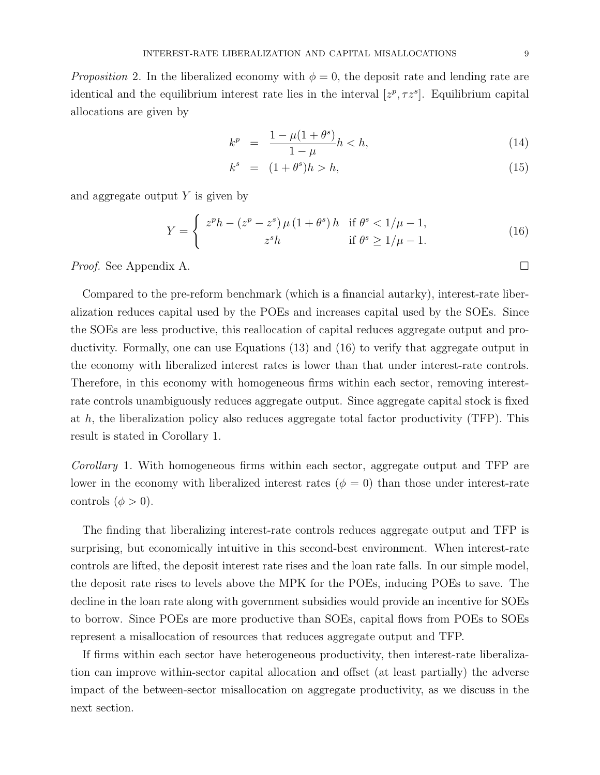*Proposition* 2. In the liberalized economy with  $\phi = 0$ , the deposit rate and lending rate are identical and the equilibrium interest rate lies in the interval  $[z^p, \tau z^s]$ . Equilibrium capital allocations are given by

$$
k^{p} = \frac{1 - \mu(1 + \theta^{s})}{1 - \mu}h < h,
$$
\n(14)

$$
k^s = (1 + \theta^s)h > h,\tag{15}
$$

and aggregate output  $Y$  is given by

$$
Y = \begin{cases} z^{p}h - (z^{p} - z^{s})\mu (1 + \theta^{s})h & \text{if } \theta^{s} < 1/\mu - 1, \\ z^{s}h & \text{if } \theta^{s} \ge 1/\mu - 1. \end{cases}
$$
(16)

*Proof.* See Appendix A. □

Compared to the pre-reform benchmark (which is a financial autarky), interest-rate liberalization reduces capital used by the POEs and increases capital used by the SOEs. Since the SOEs are less productive, this reallocation of capital reduces aggregate output and productivity. Formally, one can use Equations (13) and (16) to verify that aggregate output in the economy with liberalized interest rates is lower than that under interest-rate controls. Therefore, in this economy with homogeneous firms within each sector, removing interestrate controls unambiguously reduces aggregate output. Since aggregate capital stock is fixed at  $h$ , the liberalization policy also reduces aggregate total factor productivity (TFP). This result is stated in Corollary 1.

Corollary 1. With homogeneous firms within each sector, aggregate output and TFP are lower in the economy with liberalized interest rates ( $\phi = 0$ ) than those under interest-rate controls  $(\phi > 0)$ .

The finding that liberalizing interest-rate controls reduces aggregate output and TFP is surprising, but economically intuitive in this second-best environment. When interest-rate controls are lifted, the deposit interest rate rises and the loan rate falls. In our simple model, the deposit rate rises to levels above the MPK for the POEs, inducing POEs to save. The decline in the loan rate along with government subsidies would provide an incentive for SOEs to borrow. Since POEs are more productive than SOEs, capital flows from POEs to SOEs represent a misallocation of resources that reduces aggregate output and TFP.

If firms within each sector have heterogeneous productivity, then interest-rate liberalization can improve within-sector capital allocation and offset (at least partially) the adverse impact of the between-sector misallocation on aggregate productivity, as we discuss in the next section.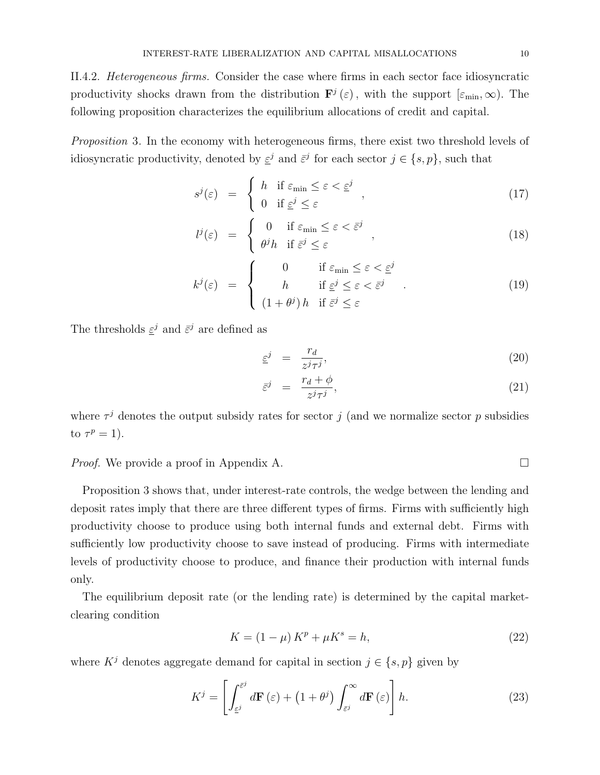II.4.2. Heterogeneous firms. Consider the case where firms in each sector face idiosyncratic productivity shocks drawn from the distribution  $\mathbf{F}^{j}(\varepsilon)$ , with the support  $[\varepsilon_{\min}, \infty)$ . The following proposition characterizes the equilibrium allocations of credit and capital.

Proposition 3. In the economy with heterogeneous firms, there exist two threshold levels of idiosyncratic productivity, denoted by  $\underline{\varepsilon}^j$  and  $\overline{\varepsilon}^j$  for each sector  $j \in \{s, p\}$ , such that

$$
s^{j}(\varepsilon) = \begin{cases} h & \text{if } \varepsilon_{\min} \le \varepsilon < \varepsilon^{j} \\ 0 & \text{if } \varepsilon^{j} \le \varepsilon \end{cases}, \tag{17}
$$

$$
l^{j}(\varepsilon) = \begin{cases} 0 & \text{if } \varepsilon_{\min} \le \varepsilon < \bar{\varepsilon}^{j} \\ \theta^{j} h & \text{if } \bar{\varepsilon}^{j} \le \varepsilon \end{cases},
$$
 (18)

$$
k^{j}(\varepsilon) = \begin{cases} 0 & \text{if } \varepsilon_{\min} \leq \varepsilon < \varepsilon^{j} \\ h & \text{if } \varepsilon^{j} \leq \varepsilon < \overline{\varepsilon}^{j} \\ (1 + \theta^{j}) h & \text{if } \overline{\varepsilon}^{j} \leq \varepsilon \end{cases}
$$
 (19)

The thresholds  $\underline{\varepsilon}^j$  and  $\overline{\varepsilon}^j$  are defined as

$$
\underline{\varepsilon}^j = \frac{r_d}{z^j \tau^j},\tag{20}
$$

$$
\bar{\varepsilon}^j = \frac{r_d + \phi}{z^j \tau^j},\tag{21}
$$

where  $\tau^{j}$  denotes the output subsidy rates for sector j (and we normalize sector p subsidies to  $\tau^p = 1$ ).

## *Proof.* We provide a proof in Appendix A. □

Proposition 3 shows that, under interest-rate controls, the wedge between the lending and deposit rates imply that there are three different types of firms. Firms with sufficiently high productivity choose to produce using both internal funds and external debt. Firms with sufficiently low productivity choose to save instead of producing. Firms with intermediate levels of productivity choose to produce, and finance their production with internal funds only.

The equilibrium deposit rate (or the lending rate) is determined by the capital marketclearing condition

$$
K = (1 - \mu) Kp + \mu Ks = h,
$$
\n(22)

where  $K^j$  denotes aggregate demand for capital in section  $j \in \{s, p\}$  given by

$$
K^{j} = \left[ \int_{\varepsilon^{j}}^{\varepsilon^{j}} d\mathbf{F}(\varepsilon) + \left( 1 + \theta^{j} \right) \int_{\varepsilon^{j}}^{\infty} d\mathbf{F}(\varepsilon) \right] h.
$$
 (23)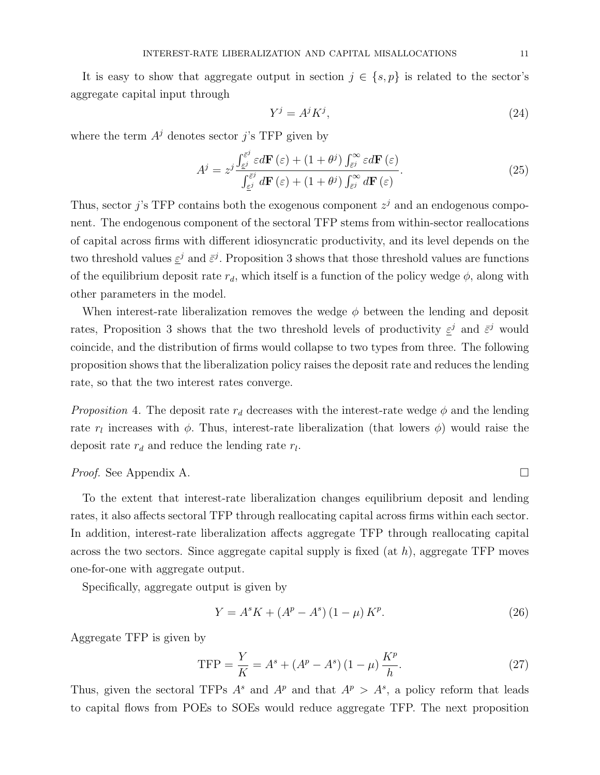It is easy to show that aggregate output in section  $j \in \{s, p\}$  is related to the sector's aggregate capital input through

$$
Y^j = A^j K^j,\tag{24}
$$

where the term  $A<sup>j</sup>$  denotes sector j's TFP given by

$$
A^{j} = z^{j} \frac{\int_{\varepsilon^{j}}^{\overline{\varepsilon}^{j}} \varepsilon d\mathbf{F}(\varepsilon) + (1 + \theta^{j}) \int_{\overline{\varepsilon}^{j}}^{\infty} \varepsilon d\mathbf{F}(\varepsilon)}{\int_{\varepsilon^{j}}^{\overline{\varepsilon}^{j}} d\mathbf{F}(\varepsilon) + (1 + \theta^{j}) \int_{\overline{\varepsilon}^{j}}^{\infty} d\mathbf{F}(\varepsilon)}.
$$
(25)

Thus, sector j's TFP contains both the exogenous component  $z<sup>j</sup>$  and an endogenous component. The endogenous component of the sectoral TFP stems from within-sector reallocations of capital across firms with different idiosyncratic productivity, and its level depends on the two threshold values  $\underline{\varepsilon}^j$  and  $\overline{\varepsilon}^j$ . Proposition 3 shows that those threshold values are functions of the equilibrium deposit rate  $r_d$ , which itself is a function of the policy wedge  $\phi$ , along with other parameters in the model.

When interest-rate liberalization removes the wedge  $\phi$  between the lending and deposit rates, Proposition 3 shows that the two threshold levels of productivity  $\epsilon^{j}$  and  $\bar{\epsilon}^{j}$  would coincide, and the distribution of firms would collapse to two types from three. The following proposition shows that the liberalization policy raises the deposit rate and reduces the lending rate, so that the two interest rates converge.

*Proposition* 4. The deposit rate  $r_d$  decreases with the interest-rate wedge  $\phi$  and the lending rate  $r_l$  increases with  $\phi$ . Thus, interest-rate liberalization (that lowers  $\phi$ ) would raise the deposit rate  $r_d$  and reduce the lending rate  $r_l$ .

## Proof. See Appendix A. □

To the extent that interest-rate liberalization changes equilibrium deposit and lending rates, it also affects sectoral TFP through reallocating capital across firms within each sector. In addition, interest-rate liberalization affects aggregate TFP through reallocating capital across the two sectors. Since aggregate capital supply is fixed  $(at h)$ , aggregate TFP moves one-for-one with aggregate output.

Specifically, aggregate output is given by

$$
Y = A^s K + (A^p - A^s) (1 - \mu) K^p.
$$
 (26)

Aggregate TFP is given by

$$
TFP = \frac{Y}{K} = A^s + (A^p - A^s) (1 - \mu) \frac{K^p}{h}.
$$
 (27)

Thus, given the sectoral TFPs  $A^s$  and  $A^p$  and that  $A^p > A^s$ , a policy reform that leads to capital flows from POEs to SOEs would reduce aggregate TFP. The next proposition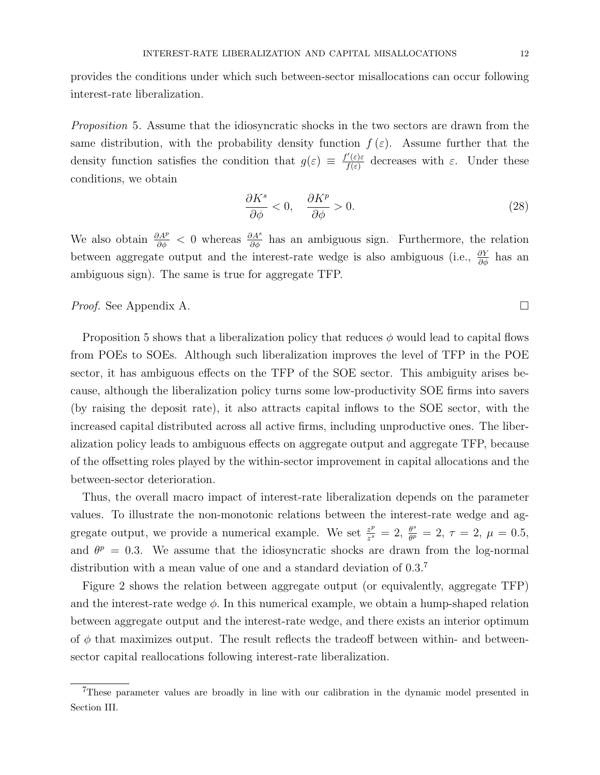provides the conditions under which such between-sector misallocations can occur following interest-rate liberalization.

Proposition 5. Assume that the idiosyncratic shocks in the two sectors are drawn from the same distribution, with the probability density function  $f(\varepsilon)$ . Assume further that the density function satisfies the condition that  $g(\varepsilon) \equiv \frac{f'(\varepsilon)\varepsilon}{f(\varepsilon)}$  $\frac{\partial f(\varepsilon)}{\partial f(\varepsilon)}$  decreases with  $\varepsilon$ . Under these conditions, we obtain

$$
\frac{\partial K^s}{\partial \phi} < 0, \quad \frac{\partial K^p}{\partial \phi} > 0. \tag{28}
$$

We also obtain  $\frac{\partial A^p}{\partial \phi} < 0$  whereas  $\frac{\partial A^s}{\partial \phi}$  has an ambiguous sign. Furthermore, the relation between aggregate output and the interest-rate wedge is also ambiguous (i.e.,  $\frac{\partial Y}{\partial \phi}$  has an ambiguous sign). The same is true for aggregate TFP.

Proof. See Appendix A. □

Proposition 5 shows that a liberalization policy that reduces  $\phi$  would lead to capital flows from POEs to SOEs. Although such liberalization improves the level of TFP in the POE sector, it has ambiguous effects on the TFP of the SOE sector. This ambiguity arises because, although the liberalization policy turns some low-productivity SOE firms into savers (by raising the deposit rate), it also attracts capital inflows to the SOE sector, with the increased capital distributed across all active firms, including unproductive ones. The liberalization policy leads to ambiguous effects on aggregate output and aggregate TFP, because of the offsetting roles played by the within-sector improvement in capital allocations and the between-sector deterioration.

Thus, the overall macro impact of interest-rate liberalization depends on the parameter values. To illustrate the non-monotonic relations between the interest-rate wedge and aggregate output, we provide a numerical example. We set  $\frac{z^p}{z^s}$  $\frac{z^p}{z^s} = 2, \frac{\theta^s}{\theta^p}$  $\frac{\theta^s}{\theta^p} = 2, \tau = 2, \mu = 0.5,$ and  $\theta^p = 0.3$ . We assume that the idiosyncratic shocks are drawn from the log-normal distribution with a mean value of one and a standard deviation of  $0.3<sup>7</sup>$ 

Figure 2 shows the relation between aggregate output (or equivalently, aggregate TFP) and the interest-rate wedge  $\phi$ . In this numerical example, we obtain a hump-shaped relation between aggregate output and the interest-rate wedge, and there exists an interior optimum of  $\phi$  that maximizes output. The result reflects the tradeoff between within- and betweensector capital reallocations following interest-rate liberalization.

<sup>7</sup>These parameter values are broadly in line with our calibration in the dynamic model presented in Section III.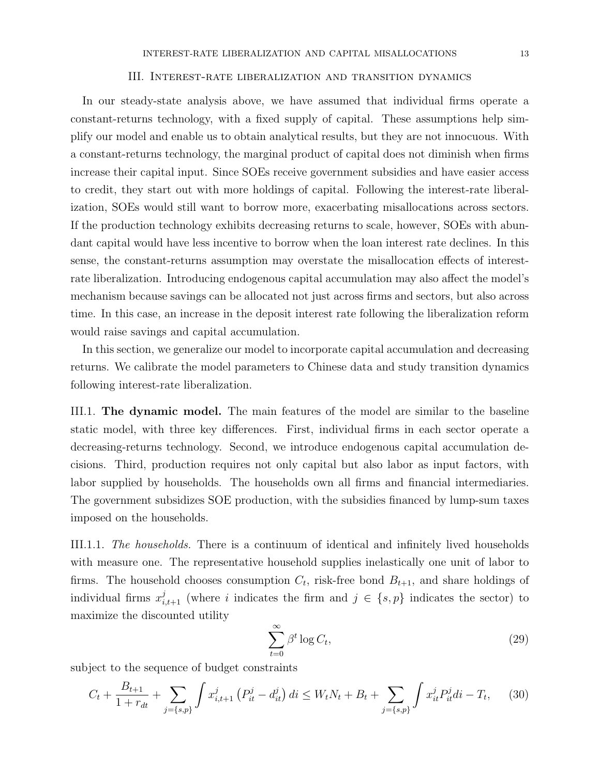#### III. Interest-rate liberalization and transition dynamics

In our steady-state analysis above, we have assumed that individual firms operate a constant-returns technology, with a fixed supply of capital. These assumptions help simplify our model and enable us to obtain analytical results, but they are not innocuous. With a constant-returns technology, the marginal product of capital does not diminish when firms increase their capital input. Since SOEs receive government subsidies and have easier access to credit, they start out with more holdings of capital. Following the interest-rate liberalization, SOEs would still want to borrow more, exacerbating misallocations across sectors. If the production technology exhibits decreasing returns to scale, however, SOEs with abundant capital would have less incentive to borrow when the loan interest rate declines. In this sense, the constant-returns assumption may overstate the misallocation effects of interestrate liberalization. Introducing endogenous capital accumulation may also affect the model's mechanism because savings can be allocated not just across firms and sectors, but also across time. In this case, an increase in the deposit interest rate following the liberalization reform would raise savings and capital accumulation.

In this section, we generalize our model to incorporate capital accumulation and decreasing returns. We calibrate the model parameters to Chinese data and study transition dynamics following interest-rate liberalization.

III.1. The dynamic model. The main features of the model are similar to the baseline static model, with three key differences. First, individual firms in each sector operate a decreasing-returns technology. Second, we introduce endogenous capital accumulation decisions. Third, production requires not only capital but also labor as input factors, with labor supplied by households. The households own all firms and financial intermediaries. The government subsidizes SOE production, with the subsidies financed by lump-sum taxes imposed on the households.

III.1.1. The households. There is a continuum of identical and infinitely lived households with measure one. The representative household supplies inelastically one unit of labor to firms. The household chooses consumption  $C_t$ , risk-free bond  $B_{t+1}$ , and share holdings of individual firms  $x_{i,t+1}^j$  (where i indicates the firm and  $j \in \{s, p\}$  indicates the sector) to maximize the discounted utility

$$
\sum_{t=0}^{\infty} \beta^t \log C_t,
$$
\n(29)

subject to the sequence of budget constraints

$$
C_t + \frac{B_{t+1}}{1+r_{dt}} + \sum_{j=\{s,p\}} \int x_{i,t+1}^j \left( P_{it}^j - d_{it}^j \right) di \le W_t N_t + B_t + \sum_{j=\{s,p\}} \int x_{it}^j P_{it}^j di - T_t, \tag{30}
$$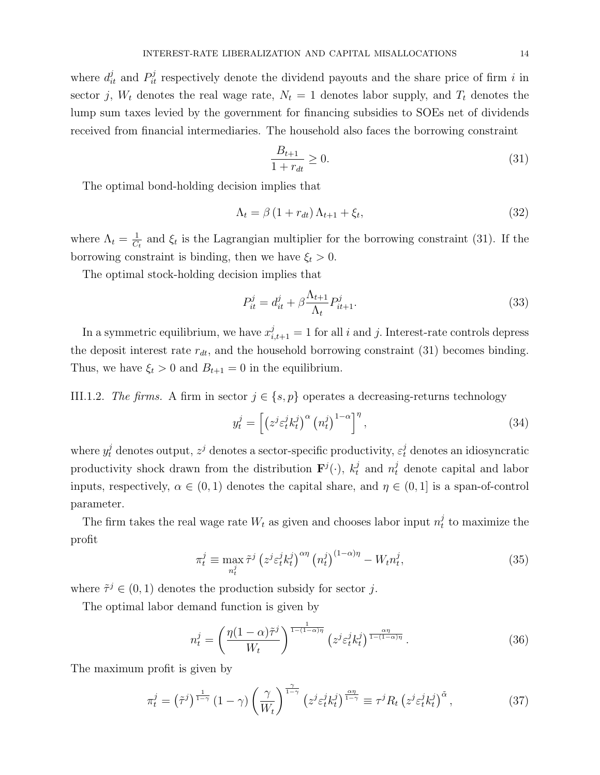where  $d_{it}^{j}$  and  $P_{it}^{j}$  respectively denote the dividend payouts and the share price of firm i in sector j,  $W_t$  denotes the real wage rate,  $N_t = 1$  denotes labor supply, and  $T_t$  denotes the lump sum taxes levied by the government for financing subsidies to SOEs net of dividends received from financial intermediaries. The household also faces the borrowing constraint

$$
\frac{B_{t+1}}{1 + r_{dt}} \ge 0.
$$
\n(31)

The optimal bond-holding decision implies that

$$
\Lambda_t = \beta \left( 1 + r_{dt} \right) \Lambda_{t+1} + \xi_t,\tag{32}
$$

where  $\Lambda_t = \frac{1}{C}$  $\frac{1}{C_t}$  and  $\xi_t$  is the Lagrangian multiplier for the borrowing constraint (31). If the borrowing constraint is binding, then we have  $\xi_t > 0$ .

The optimal stock-holding decision implies that

$$
P_{it}^j = d_{it}^j + \beta \frac{\Lambda_{t+1}}{\Lambda_t} P_{it+1}^j.
$$
\n
$$
(33)
$$

In a symmetric equilibrium, we have  $x_{i,t+1}^j = 1$  for all i and j. Interest-rate controls depress the deposit interest rate  $r_{dt}$ , and the household borrowing constraint (31) becomes binding. Thus, we have  $\xi_t > 0$  and  $B_{t+1} = 0$  in the equilibrium.

III.1.2. The firms. A firm in sector  $j \in \{s, p\}$  operates a decreasing-returns technology

$$
y_t^j = \left[ \left( z^j \varepsilon_t^j k_t^j \right)^\alpha \left( n_t^j \right)^{1-\alpha} \right]^\eta, \tag{34}
$$

where  $y_t^j$  denotes output,  $z^j$  denotes a sector-specific productivity,  $\varepsilon_t^j$  denotes an idiosyncratic productivity shock drawn from the distribution  $\mathbf{F}^j(\cdot)$ ,  $k_t^j$  and  $n_t^j$  denote capital and labor inputs, respectively,  $\alpha \in (0,1)$  denotes the capital share, and  $\eta \in (0,1]$  is a span-of-control parameter.

The firm takes the real wage rate  $W_t$  as given and chooses labor input  $n_t^j$  $t<sub>t</sub>$  to maximize the profit

$$
\pi_t^j \equiv \max_{n_t^j} \tilde{\tau}^j \left( z^j \varepsilon_t^j k_t^j \right)^{\alpha \eta} \left( n_t^j \right)^{(1-\alpha)\eta} - W_t n_t^j,
$$
\n(35)

where  $\tilde{\tau}^j \in (0,1)$  denotes the production subsidy for sector j.

The optimal labor demand function is given by

$$
n_t^j = \left(\frac{\eta(1-\alpha)\tilde{\tau}^j}{W_t}\right)^{\frac{1}{1-(1-\alpha)\eta}} \left(z^j \varepsilon_t^j k_t^j\right)^{\frac{\alpha\eta}{1-(1-\alpha)\eta}}.\tag{36}
$$

The maximum profit is given by

$$
\pi_t^j = \left(\tilde{\tau}^j\right)^{\frac{1}{1-\gamma}} \left(1-\gamma\right) \left(\frac{\gamma}{W_t}\right)^{\frac{\gamma}{1-\gamma}} \left(z^j \varepsilon_t^j k_t^j\right)^{\frac{\alpha\eta}{1-\gamma}} \equiv \tau^j R_t \left(z^j \varepsilon_t^j k_t^j\right)^{\tilde{\alpha}},\tag{37}
$$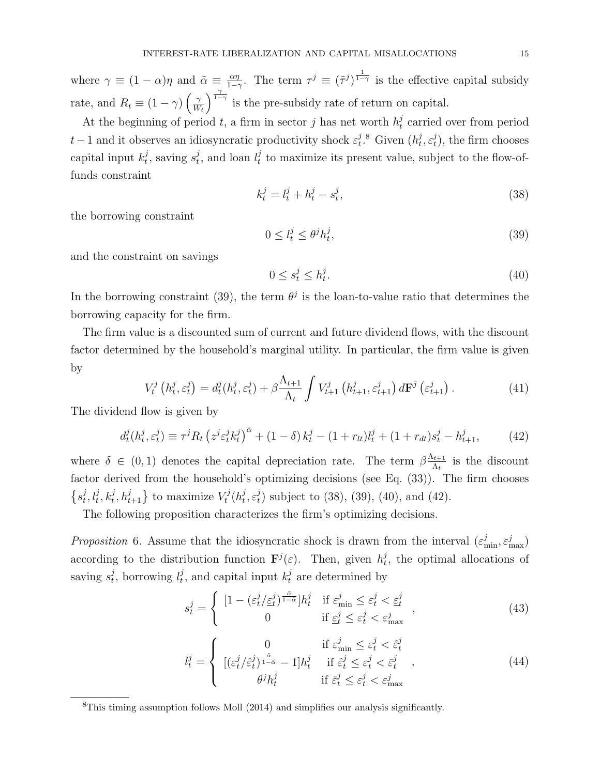where  $\gamma \equiv (1 - \alpha)\eta$  and  $\tilde{\alpha} \equiv \frac{\alpha\eta}{1 - \alpha\eta}$  $\frac{\alpha\eta}{1-\gamma}$ . The term  $\tau^j \equiv (\tilde{\tau}^j)^{\frac{1}{1-\gamma}}$  is the effective capital subsidy rate, and  $R_t \equiv (1 - \gamma) \left( \frac{\gamma}{W} \right)$  $W_t$  $\int_{0}^{\frac{\gamma}{1-\gamma}}$  is the pre-subsidy rate of return on capital.

At the beginning of period t, a firm in sector j has net worth  $h_t^j$  $t<sub>t</sub>$  carried over from period  $t-1$  and it observes an idiosyncratic productivity shock  $\varepsilon_t^j$  $i_t^j$ .<sup>8</sup> Given  $(h_t^j)$  $_i^j, \varepsilon_t^j$  $(t<sub>t</sub>)$ , the firm chooses capital input  $k_t^j$  $t^j$ , saving  $s^j_t$  $t_t^j$ , and loan  $l_t^j$  $t<sub>t</sub><sup>j</sup>$  to maximize its present value, subject to the flow-offunds constraint

$$
k_t^j = l_t^j + h_t^j - s_t^j,\tag{38}
$$

the borrowing constraint

$$
0 \le l_t^j \le \theta^j h_t^j,\tag{39}
$$

and the constraint on savings

$$
0 \le s_t^j \le h_t^j. \tag{40}
$$

In the borrowing constraint (39), the term  $\theta^j$  is the loan-to-value ratio that determines the borrowing capacity for the firm.

The firm value is a discounted sum of current and future dividend flows, with the discount factor determined by the household's marginal utility. In particular, the firm value is given by

$$
V_t^j\left(h_t^j, \varepsilon_t^j\right) = d_t^j\left(h_t^j, \varepsilon_t^j\right) + \beta \frac{\Lambda_{t+1}}{\Lambda_t} \int V_{t+1}^j\left(h_{t+1}^j, \varepsilon_{t+1}^j\right) d\mathbf{F}^j\left(\varepsilon_{t+1}^j\right). \tag{41}
$$

The dividend flow is given by

$$
d_t^j(h_t^j, \varepsilon_t^j) \equiv \tau^j R_t \left( z^j \varepsilon_t^j k_t^j \right)^{\tilde{\alpha}} + (1 - \delta) k_t^j - (1 + r_{lt}) l_t^j + (1 + r_{dt}) s_t^j - h_{t+1}^j, \tag{42}
$$

where  $\delta \in (0,1)$  denotes the capital depreciation rate. The term  $\beta \frac{\Lambda_{t+1}}{\Lambda_t}$  $\frac{t+1}{\Lambda_t}$  is the discount factor derived from the household's optimizing decisions (see Eq. (33)). The firm chooses  $\{s_t^j\}$  $\{t^j_t, l^j_t, k^j_t, h^j_{t+1}\}$  to maximize  $V^j_t$  $\zeta_t^j(h_t^j)$  $_i^j, \varepsilon_t^j$  $t<sub>t</sub><sup>j</sup>$ ) subject to (38), (39), (40), and (42).

The following proposition characterizes the firm's optimizing decisions.

Proposition 6. Assume that the idiosyncratic shock is drawn from the interval  $(\varepsilon_{\min}^j, \varepsilon_{\max}^j)$ according to the distribution function  $\mathbf{F}^{j}(\varepsilon)$ . Then, given  $h_t^j$  $t<sub>t</sub>$ , the optimal allocations of saving  $s_t^j$  $t_t^j$ , borrowing  $l_t^j$  $t_t^j$ , and capital input  $k_t^j$  are determined by

$$
s_t^j = \begin{cases} \left[1 - \left(\varepsilon_t^j / \underline{\varepsilon}_t^j\right)^{\frac{\tilde{\alpha}}{1 - \tilde{\alpha}}} \right] h_t^j & \text{if } \varepsilon_{\min}^j \le \varepsilon_t^j < \underline{\varepsilon}_t^j\\ 0 & \text{if } \underline{\varepsilon}_t^j \le \varepsilon_t^j < \varepsilon_{\max}^j \end{cases},\tag{43}
$$

$$
l_t^j = \begin{cases} 0 & \text{if } \varepsilon_{\min}^j \le \varepsilon_t^j < \hat{\varepsilon}_t^j\\ [(\varepsilon_t^j/\hat{\varepsilon}_t^j)^{\frac{\tilde{\alpha}}{1-\tilde{\alpha}}} - 1]h_t^j & \text{if } \hat{\varepsilon}_t^j \le \varepsilon_t^j < \bar{\varepsilon}_t^j\\ \theta^j h_t^j & \text{if } \bar{\varepsilon}_t^j \le \varepsilon_t^j < \varepsilon_{\max}^j \end{cases}
$$
(44)

<sup>8</sup>This timing assumption follows Moll (2014) and simplifies our analysis significantly.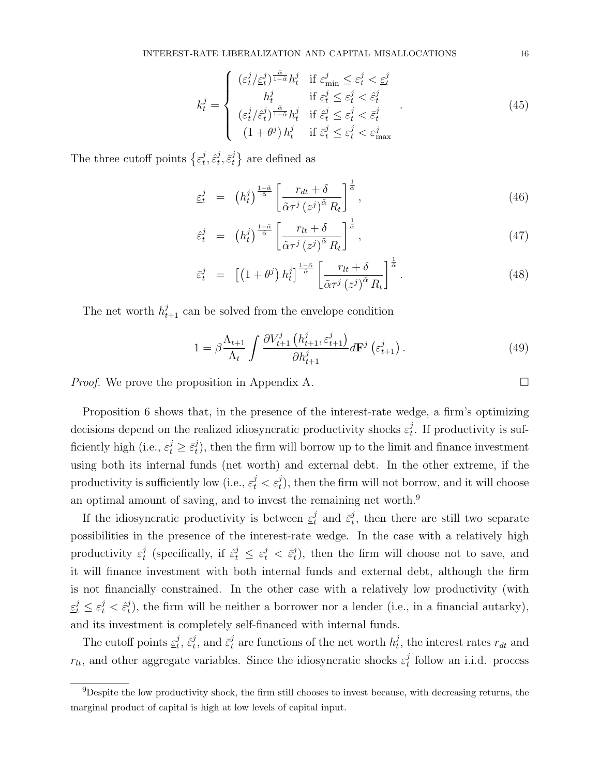$$
k_t^j = \begin{cases} (\varepsilon_t^j / \varepsilon_t^j)^{\frac{\tilde{\alpha}}{1-\tilde{\alpha}}} h_t^j & \text{if } \varepsilon_{\min}^j \le \varepsilon_t^j < \varepsilon_t^j\\ h_t^j & \text{if } \varepsilon_t^j \le \varepsilon_t^j < \hat{\varepsilon}_t^j\\ (\varepsilon_t^j / \hat{\varepsilon}_t^j)^{\frac{\tilde{\alpha}}{1-\tilde{\alpha}}} h_t^j & \text{if } \hat{\varepsilon}_t^j \le \varepsilon_t^j < \bar{\varepsilon}_t^j\\ (1+\theta^j) h_t^j & \text{if } \bar{\varepsilon}_t^j \le \varepsilon_t^j < \varepsilon_{\max}^j \end{cases}
$$
(45)

The three cutoff points  $\{\underline{\varepsilon}^j_t\}$  $_{t}^{j},\hat{\varepsilon}_{t}^{j}$  $_i^j, \bar{\varepsilon}_t^j$  $\{i\atop t}\}$  are defined as

$$
\underline{\varepsilon}_{t}^{j} = \left(h_{t}^{j}\right)^{\frac{1-\tilde{\alpha}}{\tilde{\alpha}}} \left[\frac{r_{dt} + \delta}{\tilde{\alpha}\tau^{j}\left(z^{j}\right)^{\tilde{\alpha}}R_{t}}\right]^{\frac{1}{\tilde{\alpha}}},\tag{46}
$$

$$
\hat{\varepsilon}_t^j = \left(h_t^j\right)^{\frac{1-\tilde{\alpha}}{\tilde{\alpha}}} \left[\frac{r_{lt} + \delta}{\tilde{\alpha}\tau^j \left(z^j\right)^{\tilde{\alpha}} R_t}\right]^{\frac{1}{\tilde{\alpha}}},\tag{47}
$$

$$
\bar{\varepsilon}_t^j = \left[ \left( 1 + \theta^j \right) h_t^j \right]^\frac{1-\tilde{\alpha}}{\tilde{\alpha}} \left[ \frac{r_{lt} + \delta}{\tilde{\alpha} \tau^j \left( z^j \right)^{\tilde{\alpha}} R_t} \right]^\frac{1}{\tilde{\alpha}} . \tag{48}
$$

The net worth  $h_{t+1}^j$  can be solved from the envelope condition

$$
1 = \beta \frac{\Lambda_{t+1}}{\Lambda_t} \int \frac{\partial V_{t+1}^j \left( h_{t+1}^j, \varepsilon_{t+1}^j \right)}{\partial h_{t+1}^j} d\mathbf{F}^j \left( \varepsilon_{t+1}^j \right). \tag{49}
$$

*Proof.* We prove the proposition in Appendix A.  $\Box$ 

Proposition 6 shows that, in the presence of the interest-rate wedge, a firm's optimizing decisions depend on the realized idiosyncratic productivity shocks  $\varepsilon_t^j$  $t<sub>t</sub>$ . If productivity is sufficiently high (i.e.,  $\varepsilon_t^j \geq \bar{\varepsilon}_t^j$  $_{t}^{j}$ ), then the firm will borrow up to the limit and finance investment using both its internal funds (net worth) and external debt. In the other extreme, if the productivity is sufficiently low (i.e.,  $\varepsilon_t^j < \underline{\varepsilon}_t^j$ ), then the firm will not borrow, and it will choose an optimal amount of saving, and to invest the remaining net worth.<sup>9</sup>

If the idiosyncratic productivity is between  $\underline{\varepsilon}^j_t$  and  $\overline{\varepsilon}^j_t$  $t<sub>t</sub>$ , then there are still two separate possibilities in the presence of the interest-rate wedge. In the case with a relatively high productivity  $\varepsilon_t^j$  $t_t^j$  (specifically, if  $\hat{\varepsilon}_t^j \leq \varepsilon_t^j < \bar{\varepsilon}_t^j$  $t<sub>t</sub>$ ), then the firm will choose not to save, and it will finance investment with both internal funds and external debt, although the firm is not financially constrained. In the other case with a relatively low productivity (with  $\varepsilon_t^j \leq \varepsilon_t^j < \hat{\varepsilon}_t^j$  $_{t}^{j}$ ), the firm will be neither a borrower nor a lender (i.e., in a financial autarky), and its investment is completely self-financed with internal funds.

The cutoff points  $\underline{\varepsilon}^j_t$  $_{t}^{j},\,\hat{\varepsilon}_{t}^{j}$  $t_t^j$ , and  $\bar{\varepsilon}^j_t$  are functions of the net worth  $h_t^j$ <sup>*t*</sup>, the interest rates  $r_{dt}$  and  $r_{lt}$ , and other aggregate variables. Since the idiosyncratic shocks  $\varepsilon_t^j$  $t_t$  follow an i.i.d. process

<sup>&</sup>lt;sup>9</sup>Despite the low productivity shock, the firm still chooses to invest because, with decreasing returns, the marginal product of capital is high at low levels of capital input.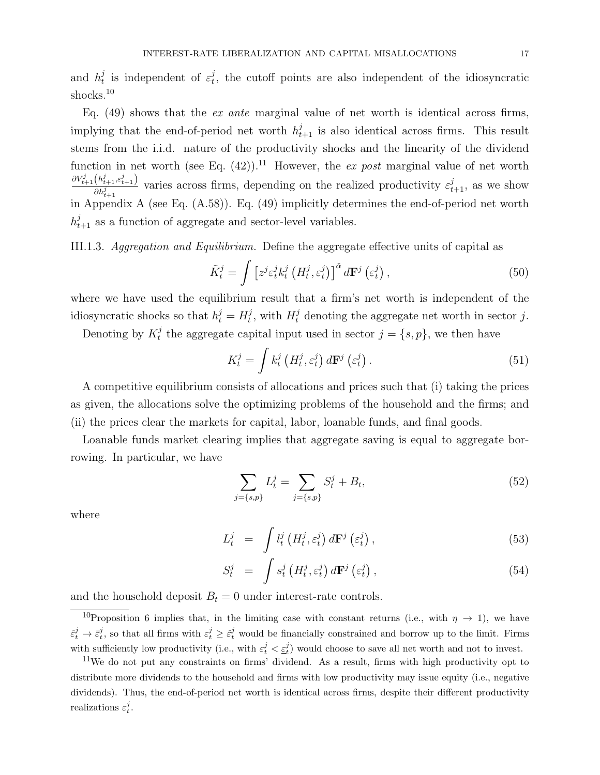and  $h_t^j$  $t_t^j$  is independent of  $\varepsilon_t^j$  $t<sub>t</sub>$ , the cutoff points are also independent of the idiosyncratic shocks.<sup>10</sup>

Eq.  $(49)$  shows that the *ex ante* marginal value of net worth is identical across firms, implying that the end-of-period net worth  $h_{t+1}^j$  is also identical across firms. This result stems from the i.i.d. nature of the productivity shocks and the linearity of the dividend function in net worth (see Eq.  $(42)$ ).<sup>11</sup> However, the ex post marginal value of net worth  $\partial V_{t+1}^j\big(h_{t+1}^j,\varepsilon_{t+1}^j\big)$  $\frac{(h_{t+1}^j, \varepsilon_{t+1}^j)}{dh_{t+1}^j}$  varies across firms, depending on the realized productivity  $\varepsilon_{t+1}^j$ , as we show in Appendix A (see Eq. (A.58)). Eq. (49) implicitly determines the end-of-period net worth  $h_{t+1}^j$  as a function of aggregate and sector-level variables.

III.1.3. Aggregation and Equilibrium. Define the aggregate effective units of capital as

$$
\tilde{K}_t^j = \int \left[ z^j \varepsilon_t^j k_t^j \left( H_t^j, \varepsilon_t^j \right) \right]^\tilde{\alpha} d\mathbf{F}^j \left( \varepsilon_t^j \right), \tag{50}
$$

where we have used the equilibrium result that a firm's net worth is independent of the idiosyncratic shocks so that  $h_t^j = H_t^j$  $t_t^j$ , with  $H_t^j$  denoting the aggregate net worth in sector j.

Denoting by  $K_t^j$ <sup>j</sup> the aggregate capital input used in sector  $j = \{s, p\}$ , we then have

$$
K_t^j = \int k_t^j \left( H_t^j, \varepsilon_t^j \right) d\mathbf{F}^j \left( \varepsilon_t^j \right). \tag{51}
$$

A competitive equilibrium consists of allocations and prices such that (i) taking the prices as given, the allocations solve the optimizing problems of the household and the firms; and (ii) the prices clear the markets for capital, labor, loanable funds, and final goods.

Loanable funds market clearing implies that aggregate saving is equal to aggregate borrowing. In particular, we have

$$
\sum_{j=\{s,p\}} L_t^j = \sum_{j=\{s,p\}} S_t^j + B_t,\tag{52}
$$

where

$$
L_t^j = \int l_t^j \left( H_t^j, \varepsilon_t^j \right) d\mathbf{F}^j \left( \varepsilon_t^j \right), \tag{53}
$$

$$
S_t^j = \int s_t^j \left( H_t^j, \varepsilon_t^j \right) d\mathbf{F}^j \left( \varepsilon_t^j \right), \tag{54}
$$

and the household deposit  $B_t = 0$  under interest-rate controls.

<sup>&</sup>lt;sup>10</sup>Proposition 6 implies that, in the limiting case with constant returns (i.e., with  $\eta \to 1$ ), we have  $\hat{\epsilon}_t^j \to \bar{\epsilon}_t^j$ , so that all firms with  $\epsilon_t^j \geq \hat{\epsilon}_t^j$  would be financially constrained and borrow up to the limit. Firms with sufficiently low productivity (i.e., with  $\varepsilon_t^j < \underline{\varepsilon}_t^j$ ) would choose to save all net worth and not to invest.

<sup>11</sup>We do not put any constraints on firms' dividend. As a result, firms with high productivity opt to distribute more dividends to the household and firms with low productivity may issue equity (i.e., negative dividends). Thus, the end-of-period net worth is identical across firms, despite their different productivity realizations  $\varepsilon_t^j$ .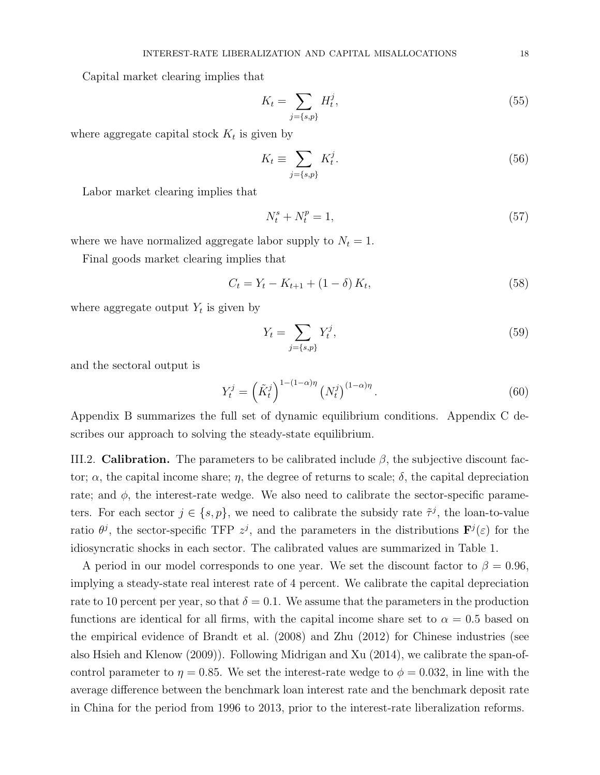Capital market clearing implies that

$$
K_t = \sum_{j=\{s,p\}} H_t^j,\tag{55}
$$

where aggregate capital stock  $K_t$  is given by

$$
K_t \equiv \sum_{j=\{s,p\}} K_t^j. \tag{56}
$$

Labor market clearing implies that

$$
N_t^s + N_t^p = 1,\t\t(57)
$$

where we have normalized aggregate labor supply to  $N_t = 1$ .

Final goods market clearing implies that

$$
C_t = Y_t - K_{t+1} + (1 - \delta) K_t,
$$
\n(58)

where aggregate output  $Y_t$  is given by

$$
Y_t = \sum_{j=\{s,p\}} Y_t^j,\tag{59}
$$

and the sectoral output is

$$
Y_t^j = \left(\tilde{K}_t^j\right)^{1-(1-\alpha)\eta} \left(N_t^j\right)^{(1-\alpha)\eta}.
$$
\n(60)

Appendix B summarizes the full set of dynamic equilibrium conditions. Appendix C describes our approach to solving the steady-state equilibrium.

III.2. **Calibration.** The parameters to be calibrated include  $\beta$ , the subjective discount factor;  $\alpha$ , the capital income share;  $\eta$ , the degree of returns to scale;  $\delta$ , the capital depreciation rate; and  $\phi$ , the interest-rate wedge. We also need to calibrate the sector-specific parameters. For each sector  $j \in \{s, p\}$ , we need to calibrate the subsidy rate  $\tilde{\tau}^j$ , the loan-to-value ratio  $\theta^j$ , the sector-specific TFP  $z^j$ , and the parameters in the distributions  $\mathbf{F}^j(\varepsilon)$  for the idiosyncratic shocks in each sector. The calibrated values are summarized in Table 1.

A period in our model corresponds to one year. We set the discount factor to  $\beta = 0.96$ , implying a steady-state real interest rate of 4 percent. We calibrate the capital depreciation rate to 10 percent per year, so that  $\delta = 0.1$ . We assume that the parameters in the production functions are identical for all firms, with the capital income share set to  $\alpha = 0.5$  based on the empirical evidence of Brandt et al. (2008) and Zhu (2012) for Chinese industries (see also Hsieh and Klenow (2009)). Following Midrigan and Xu (2014), we calibrate the span-ofcontrol parameter to  $\eta = 0.85$ . We set the interest-rate wedge to  $\phi = 0.032$ , in line with the average difference between the benchmark loan interest rate and the benchmark deposit rate in China for the period from 1996 to 2013, prior to the interest-rate liberalization reforms.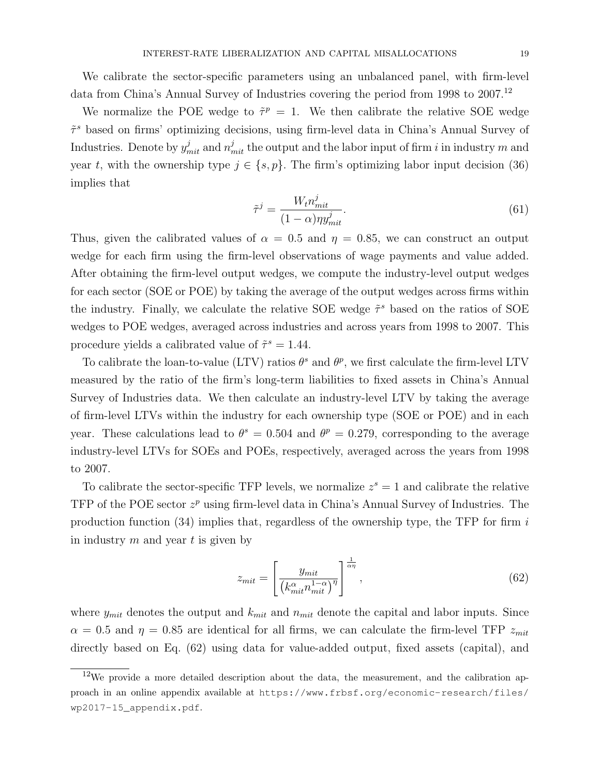We calibrate the sector-specific parameters using an unbalanced panel, with firm-level data from China's Annual Survey of Industries covering the period from 1998 to 2007.<sup>12</sup>

We normalize the POE wedge to  $\tilde{\tau}^p = 1$ . We then calibrate the relative SOE wedge  $\tilde{\tau}^s$  based on firms' optimizing decisions, using firm-level data in China's Annual Survey of Industries. Denote by  $y_{mit}^j$  and  $n_{mit}^j$  the output and the labor input of firm  $i$  in industry  $m$  and year t, with the ownership type  $j \in \{s, p\}$ . The firm's optimizing labor input decision (36) implies that

$$
\tilde{\tau}^j = \frac{W_t n_{mit}^j}{(1 - \alpha)\eta y_{mit}^j}.\tag{61}
$$

Thus, given the calibrated values of  $\alpha = 0.5$  and  $\eta = 0.85$ , we can construct an output wedge for each firm using the firm-level observations of wage payments and value added. After obtaining the firm-level output wedges, we compute the industry-level output wedges for each sector (SOE or POE) by taking the average of the output wedges across firms within the industry. Finally, we calculate the relative SOE wedge  $\tilde{\tau}^s$  based on the ratios of SOE wedges to POE wedges, averaged across industries and across years from 1998 to 2007. This procedure yields a calibrated value of  $\tilde{\tau}^s = 1.44$ .

To calibrate the loan-to-value (LTV) ratios  $\theta^s$  and  $\theta^p$ , we first calculate the firm-level LTV measured by the ratio of the firm's long-term liabilities to fixed assets in China's Annual Survey of Industries data. We then calculate an industry-level LTV by taking the average of firm-level LTVs within the industry for each ownership type (SOE or POE) and in each year. These calculations lead to  $\theta^s = 0.504$  and  $\theta^p = 0.279$ , corresponding to the average industry-level LTVs for SOEs and POEs, respectively, averaged across the years from 1998 to 2007.

To calibrate the sector-specific TFP levels, we normalize  $z^s = 1$  and calibrate the relative TFP of the POE sector  $z^p$  using firm-level data in China's Annual Survey of Industries. The production function (34) implies that, regardless of the ownership type, the TFP for firm  $i$ in industry  $m$  and year  $t$  is given by

$$
z_{mit} = \left[\frac{y_{mit}}{\left(k_{mit}^{\alpha} n_{mit}^{1-\alpha}\right)^{\eta}}\right]^{\frac{1}{\alpha\eta}},\tag{62}
$$

where  $y_{mit}$  denotes the output and  $k_{mit}$  and  $n_{mit}$  denote the capital and labor inputs. Since  $\alpha = 0.5$  and  $\eta = 0.85$  are identical for all firms, we can calculate the firm-level TFP  $z_{mit}$ directly based on Eq. (62) using data for value-added output, fixed assets (capital), and

 $12$ We provide a more detailed description about the data, the measurement, and the calibration approach in an online appendix available at https://www.frbsf.org/economic-research/files/ wp2017-15\_appendix.pdf.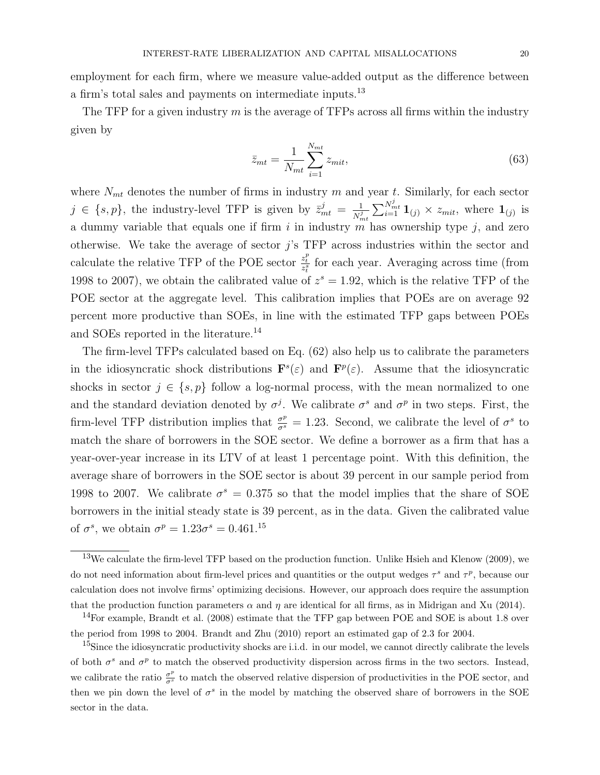employment for each firm, where we measure value-added output as the difference between a firm's total sales and payments on intermediate inputs.<sup>13</sup>

The TFP for a given industry  $m$  is the average of TFPs across all firms within the industry given by

$$
\bar{z}_{mt} = \frac{1}{N_{mt}} \sum_{i=1}^{N_{mt}} z_{mit},\tag{63}
$$

where  $N_{mt}$  denotes the number of firms in industry m and year t. Similarly, for each sector  $j \in \{s, p\}$ , the industry-level TFP is given by  $\bar{z}_{mt}^j = \frac{1}{N^j}$  $\frac{1}{N_{mt}^j} \sum_{i=1}^{N_{mt}^j} \mathbf{1}_{(j)} \times z_{mit}$ , where  $\mathbf{1}_{(j)}$  is a dummy variable that equals one if firm  $i$  in industry  $m$  has ownership type  $j$ , and zero otherwise. We take the average of sector  $j$ 's TFP across industries within the sector and calculate the relative TFP of the POE sector  $\frac{z_t^p}{z_t^s}$  for each year. Averaging across time (from 1998 to 2007), we obtain the calibrated value of  $z^s = 1.92$ , which is the relative TFP of the POE sector at the aggregate level. This calibration implies that POEs are on average 92 percent more productive than SOEs, in line with the estimated TFP gaps between POEs and SOEs reported in the literature.<sup>14</sup>

The firm-level TFPs calculated based on Eq. (62) also help us to calibrate the parameters in the idiosyncratic shock distributions  $\mathbf{F}^s(\varepsilon)$  and  $\mathbf{F}^p(\varepsilon)$ . Assume that the idiosyncratic shocks in sector  $j \in \{s, p\}$  follow a log-normal process, with the mean normalized to one and the standard deviation denoted by  $\sigma^j$ . We calibrate  $\sigma^s$  and  $\sigma^p$  in two steps. First, the firm-level TFP distribution implies that  $\frac{\sigma^p}{\sigma^s} = 1.23$ . Second, we calibrate the level of  $\sigma^s$  to match the share of borrowers in the SOE sector. We define a borrower as a firm that has a year-over-year increase in its LTV of at least 1 percentage point. With this definition, the average share of borrowers in the SOE sector is about 39 percent in our sample period from 1998 to 2007. We calibrate  $\sigma^s = 0.375$  so that the model implies that the share of SOE borrowers in the initial steady state is 39 percent, as in the data. Given the calibrated value of  $\sigma^s$ , we obtain  $\sigma^p = 1.23\sigma^s = 0.461$ <sup>15</sup>

<sup>13</sup>We calculate the firm-level TFP based on the production function. Unlike Hsieh and Klenow (2009), we do not need information about firm-level prices and quantities or the output wedges  $\tau^s$  and  $\tau^p$ , because our calculation does not involve firms' optimizing decisions. However, our approach does require the assumption that the production function parameters  $\alpha$  and  $\eta$  are identical for all firms, as in Midrigan and Xu (2014).

<sup>&</sup>lt;sup>14</sup>For example, Brandt et al.  $(2008)$  estimate that the TFP gap between POE and SOE is about 1.8 over the period from 1998 to 2004. Brandt and Zhu (2010) report an estimated gap of 2.3 for 2004.

<sup>&</sup>lt;sup>15</sup>Since the idiosyncratic productivity shocks are i.i.d. in our model, we cannot directly calibrate the levels of both  $\sigma^s$  and  $\sigma^p$  to match the observed productivity dispersion across firms in the two sectors. Instead, we calibrate the ratio  $\frac{\sigma^p}{\sigma^s}$  to match the observed relative dispersion of productivities in the POE sector, and then we pin down the level of  $\sigma^s$  in the model by matching the observed share of borrowers in the SOE sector in the data.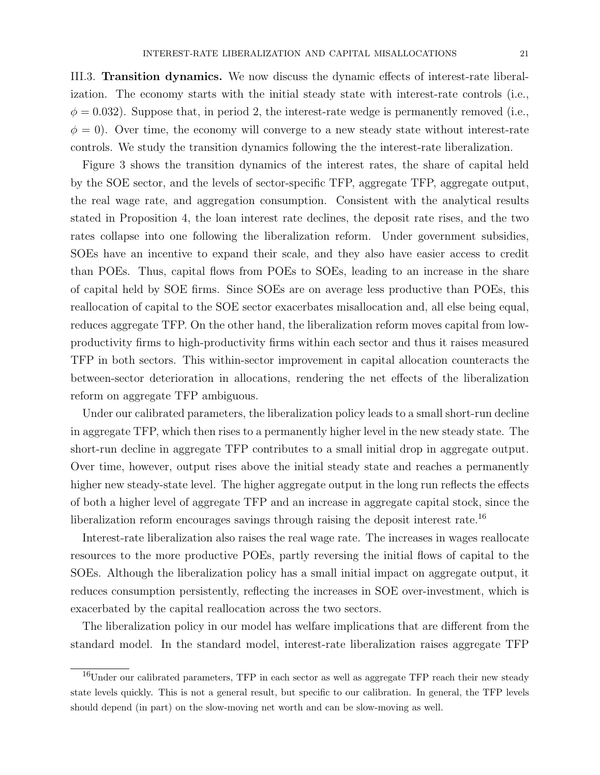III.3. Transition dynamics. We now discuss the dynamic effects of interest-rate liberalization. The economy starts with the initial steady state with interest-rate controls (i.e.,  $\phi = 0.032$ ). Suppose that, in period 2, the interest-rate wedge is permanently removed (i.e.,  $\phi = 0$ ). Over time, the economy will converge to a new steady state without interest-rate controls. We study the transition dynamics following the the interest-rate liberalization.

Figure 3 shows the transition dynamics of the interest rates, the share of capital held by the SOE sector, and the levels of sector-specific TFP, aggregate TFP, aggregate output, the real wage rate, and aggregation consumption. Consistent with the analytical results stated in Proposition 4, the loan interest rate declines, the deposit rate rises, and the two rates collapse into one following the liberalization reform. Under government subsidies, SOEs have an incentive to expand their scale, and they also have easier access to credit than POEs. Thus, capital flows from POEs to SOEs, leading to an increase in the share of capital held by SOE firms. Since SOEs are on average less productive than POEs, this reallocation of capital to the SOE sector exacerbates misallocation and, all else being equal, reduces aggregate TFP. On the other hand, the liberalization reform moves capital from lowproductivity firms to high-productivity firms within each sector and thus it raises measured TFP in both sectors. This within-sector improvement in capital allocation counteracts the between-sector deterioration in allocations, rendering the net effects of the liberalization reform on aggregate TFP ambiguous.

Under our calibrated parameters, the liberalization policy leads to a small short-run decline in aggregate TFP, which then rises to a permanently higher level in the new steady state. The short-run decline in aggregate TFP contributes to a small initial drop in aggregate output. Over time, however, output rises above the initial steady state and reaches a permanently higher new steady-state level. The higher aggregate output in the long run reflects the effects of both a higher level of aggregate TFP and an increase in aggregate capital stock, since the liberalization reform encourages savings through raising the deposit interest rate.<sup>16</sup>

Interest-rate liberalization also raises the real wage rate. The increases in wages reallocate resources to the more productive POEs, partly reversing the initial flows of capital to the SOEs. Although the liberalization policy has a small initial impact on aggregate output, it reduces consumption persistently, reflecting the increases in SOE over-investment, which is exacerbated by the capital reallocation across the two sectors.

The liberalization policy in our model has welfare implications that are different from the standard model. In the standard model, interest-rate liberalization raises aggregate TFP

 $16$ Under our calibrated parameters, TFP in each sector as well as aggregate TFP reach their new steady state levels quickly. This is not a general result, but specific to our calibration. In general, the TFP levels should depend (in part) on the slow-moving net worth and can be slow-moving as well.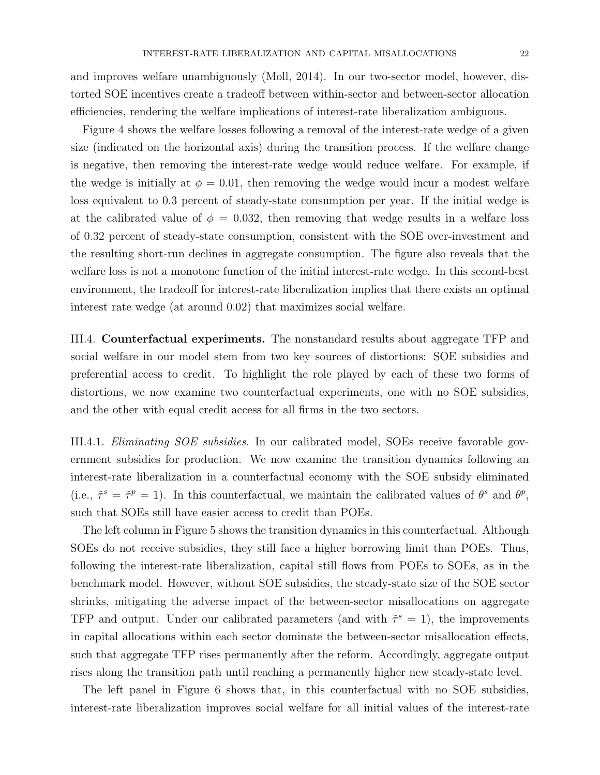and improves welfare unambiguously (Moll, 2014). In our two-sector model, however, distorted SOE incentives create a tradeoff between within-sector and between-sector allocation efficiencies, rendering the welfare implications of interest-rate liberalization ambiguous.

Figure 4 shows the welfare losses following a removal of the interest-rate wedge of a given size (indicated on the horizontal axis) during the transition process. If the welfare change is negative, then removing the interest-rate wedge would reduce welfare. For example, if the wedge is initially at  $\phi = 0.01$ , then removing the wedge would incur a modest welfare loss equivalent to 0.3 percent of steady-state consumption per year. If the initial wedge is at the calibrated value of  $\phi = 0.032$ , then removing that wedge results in a welfare loss of 0.32 percent of steady-state consumption, consistent with the SOE over-investment and the resulting short-run declines in aggregate consumption. The figure also reveals that the welfare loss is not a monotone function of the initial interest-rate wedge. In this second-best environment, the tradeoff for interest-rate liberalization implies that there exists an optimal interest rate wedge (at around 0.02) that maximizes social welfare.

III.4. Counterfactual experiments. The nonstandard results about aggregate TFP and social welfare in our model stem from two key sources of distortions: SOE subsidies and preferential access to credit. To highlight the role played by each of these two forms of distortions, we now examine two counterfactual experiments, one with no SOE subsidies, and the other with equal credit access for all firms in the two sectors.

III.4.1. Eliminating SOE subsidies. In our calibrated model, SOEs receive favorable government subsidies for production. We now examine the transition dynamics following an interest-rate liberalization in a counterfactual economy with the SOE subsidy eliminated (i.e.,  $\tilde{\tau}^s = \tilde{\tau}^p = 1$ ). In this counterfactual, we maintain the calibrated values of  $\theta^s$  and  $\theta^p$ , such that SOEs still have easier access to credit than POEs.

The left column in Figure 5 shows the transition dynamics in this counterfactual. Although SOEs do not receive subsidies, they still face a higher borrowing limit than POEs. Thus, following the interest-rate liberalization, capital still flows from POEs to SOEs, as in the benchmark model. However, without SOE subsidies, the steady-state size of the SOE sector shrinks, mitigating the adverse impact of the between-sector misallocations on aggregate TFP and output. Under our calibrated parameters (and with  $\tilde{\tau}^s = 1$ ), the improvements in capital allocations within each sector dominate the between-sector misallocation effects, such that aggregate TFP rises permanently after the reform. Accordingly, aggregate output rises along the transition path until reaching a permanently higher new steady-state level.

The left panel in Figure 6 shows that, in this counterfactual with no SOE subsidies, interest-rate liberalization improves social welfare for all initial values of the interest-rate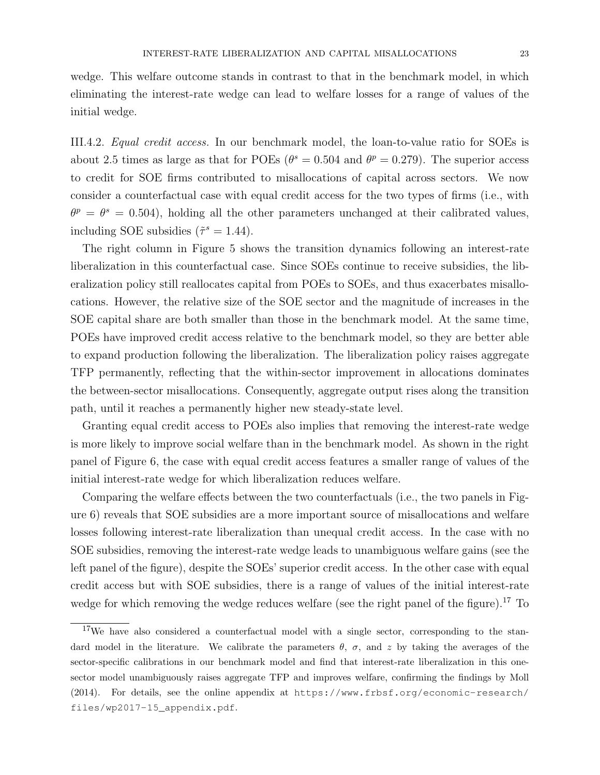wedge. This welfare outcome stands in contrast to that in the benchmark model, in which eliminating the interest-rate wedge can lead to welfare losses for a range of values of the initial wedge.

III.4.2. Equal credit access. In our benchmark model, the loan-to-value ratio for SOEs is about 2.5 times as large as that for POEs ( $\theta^s = 0.504$  and  $\theta^p = 0.279$ ). The superior access to credit for SOE firms contributed to misallocations of capital across sectors. We now consider a counterfactual case with equal credit access for the two types of firms (i.e., with  $\theta^p = \theta^s = 0.504$ , holding all the other parameters unchanged at their calibrated values, including SOE subsidies  $(\tilde{\tau}^s = 1.44)$ .

The right column in Figure 5 shows the transition dynamics following an interest-rate liberalization in this counterfactual case. Since SOEs continue to receive subsidies, the liberalization policy still reallocates capital from POEs to SOEs, and thus exacerbates misallocations. However, the relative size of the SOE sector and the magnitude of increases in the SOE capital share are both smaller than those in the benchmark model. At the same time, POEs have improved credit access relative to the benchmark model, so they are better able to expand production following the liberalization. The liberalization policy raises aggregate TFP permanently, reflecting that the within-sector improvement in allocations dominates the between-sector misallocations. Consequently, aggregate output rises along the transition path, until it reaches a permanently higher new steady-state level.

Granting equal credit access to POEs also implies that removing the interest-rate wedge is more likely to improve social welfare than in the benchmark model. As shown in the right panel of Figure 6, the case with equal credit access features a smaller range of values of the initial interest-rate wedge for which liberalization reduces welfare.

Comparing the welfare effects between the two counterfactuals (i.e., the two panels in Figure 6) reveals that SOE subsidies are a more important source of misallocations and welfare losses following interest-rate liberalization than unequal credit access. In the case with no SOE subsidies, removing the interest-rate wedge leads to unambiguous welfare gains (see the left panel of the figure), despite the SOEs' superior credit access. In the other case with equal credit access but with SOE subsidies, there is a range of values of the initial interest-rate wedge for which removing the wedge reduces welfare (see the right panel of the figure).<sup>17</sup> To

<sup>&</sup>lt;sup>17</sup>We have also considered a counterfactual model with a single sector, corresponding to the standard model in the literature. We calibrate the parameters  $\theta$ ,  $\sigma$ , and z by taking the averages of the sector-specific calibrations in our benchmark model and find that interest-rate liberalization in this onesector model unambiguously raises aggregate TFP and improves welfare, confirming the findings by Moll (2014). For details, see the online appendix at https://www.frbsf.org/economic-research/ files/wp2017-15\_appendix.pdf.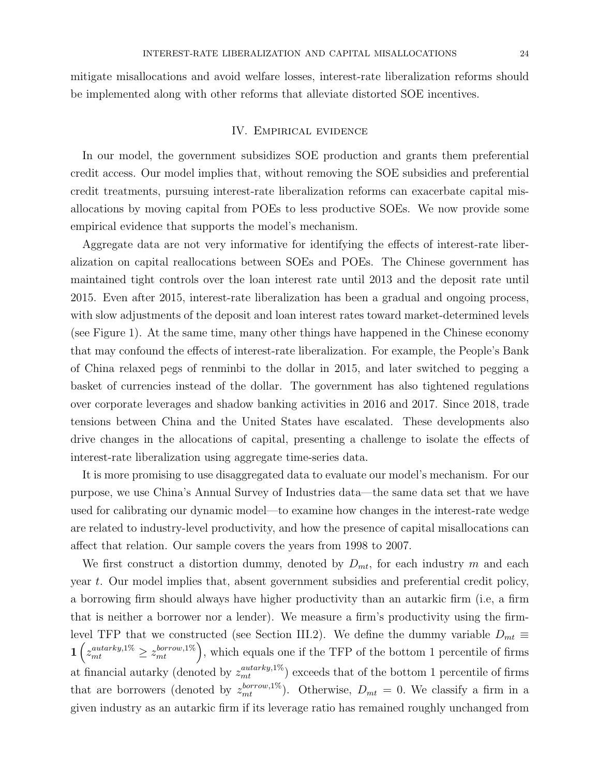mitigate misallocations and avoid welfare losses, interest-rate liberalization reforms should be implemented along with other reforms that alleviate distorted SOE incentives.

#### IV. Empirical evidence

In our model, the government subsidizes SOE production and grants them preferential credit access. Our model implies that, without removing the SOE subsidies and preferential credit treatments, pursuing interest-rate liberalization reforms can exacerbate capital misallocations by moving capital from POEs to less productive SOEs. We now provide some empirical evidence that supports the model's mechanism.

Aggregate data are not very informative for identifying the effects of interest-rate liberalization on capital reallocations between SOEs and POEs. The Chinese government has maintained tight controls over the loan interest rate until 2013 and the deposit rate until 2015. Even after 2015, interest-rate liberalization has been a gradual and ongoing process, with slow adjustments of the deposit and loan interest rates toward market-determined levels (see Figure 1). At the same time, many other things have happened in the Chinese economy that may confound the effects of interest-rate liberalization. For example, the People's Bank of China relaxed pegs of renminbi to the dollar in 2015, and later switched to pegging a basket of currencies instead of the dollar. The government has also tightened regulations over corporate leverages and shadow banking activities in 2016 and 2017. Since 2018, trade tensions between China and the United States have escalated. These developments also drive changes in the allocations of capital, presenting a challenge to isolate the effects of interest-rate liberalization using aggregate time-series data.

It is more promising to use disaggregated data to evaluate our model's mechanism. For our purpose, we use China's Annual Survey of Industries data—the same data set that we have used for calibrating our dynamic model—to examine how changes in the interest-rate wedge are related to industry-level productivity, and how the presence of capital misallocations can affect that relation. Our sample covers the years from 1998 to 2007.

We first construct a distortion dummy, denoted by  $D_{mt}$ , for each industry m and each year t. Our model implies that, absent government subsidies and preferential credit policy, a borrowing firm should always have higher productivity than an autarkic firm (i.e, a firm that is neither a borrower nor a lender). We measure a firm's productivity using the firmlevel TFP that we constructed (see Section III.2). We define the dummy variable  $D_{mt} \equiv$  $1\left(z_{mt}^{autarky,1\%}\geq z_{mt}^{borrow,1\%}\right)$ , which equals one if the TFP of the bottom 1 percentile of firms at financial autarky (denoted by  $z_{mt}^{autarky,1\%}$ ) exceeds that of the bottom 1 percentile of firms that are borrowers (denoted by  $z_{mt}^{borrow,1\%}$ ). Otherwise,  $D_{mt} = 0$ . We classify a firm in a given industry as an autarkic firm if its leverage ratio has remained roughly unchanged from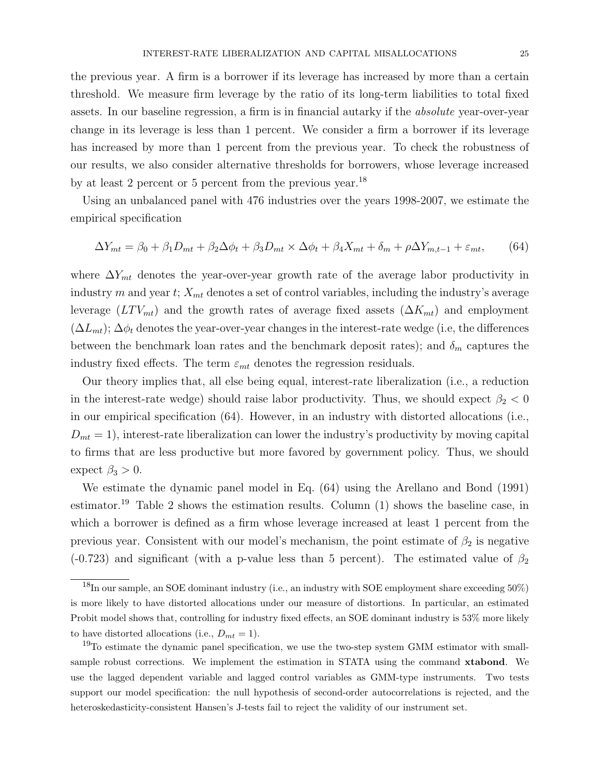the previous year. A firm is a borrower if its leverage has increased by more than a certain threshold. We measure firm leverage by the ratio of its long-term liabilities to total fixed assets. In our baseline regression, a firm is in financial autarky if the absolute year-over-year change in its leverage is less than 1 percent. We consider a firm a borrower if its leverage has increased by more than 1 percent from the previous year. To check the robustness of our results, we also consider alternative thresholds for borrowers, whose leverage increased by at least 2 percent or 5 percent from the previous year.<sup>18</sup>

Using an unbalanced panel with 476 industries over the years 1998-2007, we estimate the empirical specification

$$
\Delta Y_{mt} = \beta_0 + \beta_1 D_{mt} + \beta_2 \Delta \phi_t + \beta_3 D_{mt} \times \Delta \phi_t + \beta_4 X_{mt} + \delta_m + \rho \Delta Y_{m,t-1} + \varepsilon_{mt},\tag{64}
$$

where  $\Delta Y_{mt}$  denotes the year-over-year growth rate of the average labor productivity in industry m and year t;  $X_{mt}$  denotes a set of control variables, including the industry's average leverage  $(LTV_{mt})$  and the growth rates of average fixed assets  $(\Delta K_{mt})$  and employment  $(\Delta L_{mt})$ ;  $\Delta \phi_t$  denotes the year-over-year changes in the interest-rate wedge (i.e, the differences between the benchmark loan rates and the benchmark deposit rates); and  $\delta_m$  captures the industry fixed effects. The term  $\varepsilon_{mt}$  denotes the regression residuals.

Our theory implies that, all else being equal, interest-rate liberalization (i.e., a reduction in the interest-rate wedge) should raise labor productivity. Thus, we should expect  $\beta_2 < 0$ in our empirical specification (64). However, in an industry with distorted allocations (i.e.,  $D_{mt} = 1$ , interest-rate liberalization can lower the industry's productivity by moving capital to firms that are less productive but more favored by government policy. Thus, we should expect  $\beta_3 > 0$ .

We estimate the dynamic panel model in Eq. (64) using the Arellano and Bond (1991) estimator.<sup>19</sup> Table 2 shows the estimation results. Column  $(1)$  shows the baseline case, in which a borrower is defined as a firm whose leverage increased at least 1 percent from the previous year. Consistent with our model's mechanism, the point estimate of  $\beta_2$  is negative (-0.723) and significant (with a p-value less than 5 percent). The estimated value of  $\beta_2$ 

<sup>18</sup>In our sample, an SOE dominant industry (i.e., an industry with SOE employment share exceeding 50%) is more likely to have distorted allocations under our measure of distortions. In particular, an estimated Probit model shows that, controlling for industry fixed effects, an SOE dominant industry is 53% more likely to have distorted allocations (i.e.,  $D_{mt} = 1$ ).

<sup>&</sup>lt;sup>19</sup>To estimate the dynamic panel specification, we use the two-step system GMM estimator with smallsample robust corrections. We implement the estimation in STATA using the command xtabond. We use the lagged dependent variable and lagged control variables as GMM-type instruments. Two tests support our model specification: the null hypothesis of second-order autocorrelations is rejected, and the heteroskedasticity-consistent Hansen's J-tests fail to reject the validity of our instrument set.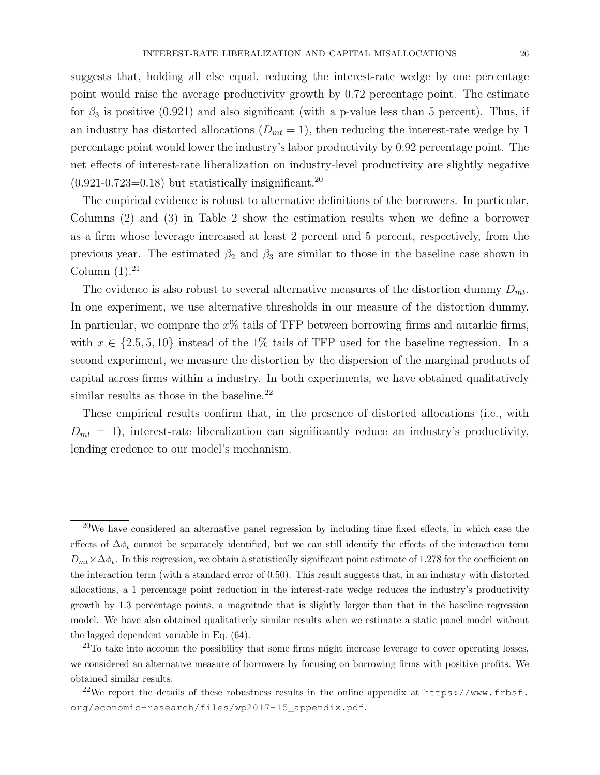suggests that, holding all else equal, reducing the interest-rate wedge by one percentage point would raise the average productivity growth by 0.72 percentage point. The estimate for  $\beta_3$  is positive (0.921) and also significant (with a p-value less than 5 percent). Thus, if an industry has distorted allocations  $(D_{mt} = 1)$ , then reducing the interest-rate wedge by 1 percentage point would lower the industry's labor productivity by 0.92 percentage point. The net effects of interest-rate liberalization on industry-level productivity are slightly negative  $(0.921 - 0.723 = 0.18)$  but statistically insignificant.<sup>20</sup>

The empirical evidence is robust to alternative definitions of the borrowers. In particular, Columns (2) and (3) in Table 2 show the estimation results when we define a borrower as a firm whose leverage increased at least 2 percent and 5 percent, respectively, from the previous year. The estimated  $\beta_2$  and  $\beta_3$  are similar to those in the baseline case shown in Column  $(1).^{21}$ 

The evidence is also robust to several alternative measures of the distortion dummy  $D_{mt}$ . In one experiment, we use alternative thresholds in our measure of the distortion dummy. In particular, we compare the  $x\%$  tails of TFP between borrowing firms and autarkic firms, with  $x \in \{2.5, 5, 10\}$  instead of the 1% tails of TFP used for the baseline regression. In a second experiment, we measure the distortion by the dispersion of the marginal products of capital across firms within a industry. In both experiments, we have obtained qualitatively similar results as those in the baseline.<sup>22</sup>

These empirical results confirm that, in the presence of distorted allocations (i.e., with  $D_{mt} = 1$ , interest-rate liberalization can significantly reduce an industry's productivity, lending credence to our model's mechanism.

 $20$ We have considered an alternative panel regression by including time fixed effects, in which case the effects of  $\Delta\phi_t$  cannot be separately identified, but we can still identify the effects of the interaction term  $D_{mt} \times \Delta \phi_t$ . In this regression, we obtain a statistically significant point estimate of 1.278 for the coefficient on the interaction term (with a standard error of 0.50). This result suggests that, in an industry with distorted allocations, a 1 percentage point reduction in the interest-rate wedge reduces the industry's productivity growth by 1.3 percentage points, a magnitude that is slightly larger than that in the baseline regression model. We have also obtained qualitatively similar results when we estimate a static panel model without the lagged dependent variable in Eq. (64).

 $^{21}$ To take into account the possibility that some firms might increase leverage to cover operating losses, we considered an alternative measure of borrowers by focusing on borrowing firms with positive profits. We obtained similar results.

 $^{22}$ We report the details of these robustness results in the online appendix at https://www.frbsf. org/economic-research/files/wp2017-15\_appendix.pdf.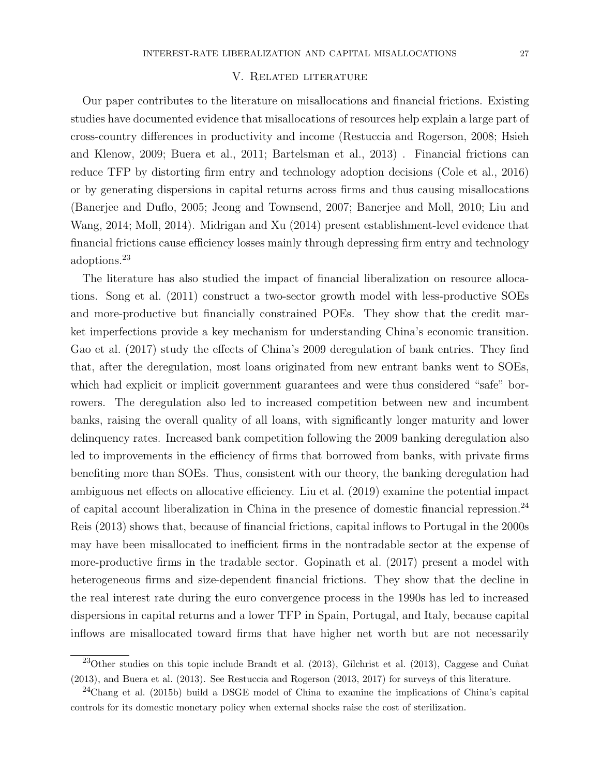## V. Related literature

Our paper contributes to the literature on misallocations and financial frictions. Existing studies have documented evidence that misallocations of resources help explain a large part of cross-country differences in productivity and income (Restuccia and Rogerson, 2008; Hsieh and Klenow, 2009; Buera et al., 2011; Bartelsman et al., 2013) . Financial frictions can reduce TFP by distorting firm entry and technology adoption decisions (Cole et al., 2016) or by generating dispersions in capital returns across firms and thus causing misallocations (Banerjee and Duflo, 2005; Jeong and Townsend, 2007; Banerjee and Moll, 2010; Liu and Wang, 2014; Moll, 2014). Midrigan and Xu (2014) present establishment-level evidence that financial frictions cause efficiency losses mainly through depressing firm entry and technology adoptions.<sup>23</sup>

The literature has also studied the impact of financial liberalization on resource allocations. Song et al. (2011) construct a two-sector growth model with less-productive SOEs and more-productive but financially constrained POEs. They show that the credit market imperfections provide a key mechanism for understanding China's economic transition. Gao et al. (2017) study the effects of China's 2009 deregulation of bank entries. They find that, after the deregulation, most loans originated from new entrant banks went to SOEs, which had explicit or implicit government guarantees and were thus considered "safe" borrowers. The deregulation also led to increased competition between new and incumbent banks, raising the overall quality of all loans, with significantly longer maturity and lower delinquency rates. Increased bank competition following the 2009 banking deregulation also led to improvements in the efficiency of firms that borrowed from banks, with private firms benefiting more than SOEs. Thus, consistent with our theory, the banking deregulation had ambiguous net effects on allocative efficiency. Liu et al. (2019) examine the potential impact of capital account liberalization in China in the presence of domestic financial repression.<sup>24</sup> Reis (2013) shows that, because of financial frictions, capital inflows to Portugal in the 2000s may have been misallocated to inefficient firms in the nontradable sector at the expense of more-productive firms in the tradable sector. Gopinath et al. (2017) present a model with heterogeneous firms and size-dependent financial frictions. They show that the decline in the real interest rate during the euro convergence process in the 1990s has led to increased dispersions in capital returns and a lower TFP in Spain, Portugal, and Italy, because capital inflows are misallocated toward firms that have higher net worth but are not necessarily

 $^{23}$ Other studies on this topic include Brandt et al. (2013), Gilchrist et al. (2013), Caggese and Cuñat (2013), and Buera et al. (2013). See Restuccia and Rogerson (2013, 2017) for surveys of this literature.

<sup>&</sup>lt;sup>24</sup>Chang et al. (2015b) build a DSGE model of China to examine the implications of China's capital controls for its domestic monetary policy when external shocks raise the cost of sterilization.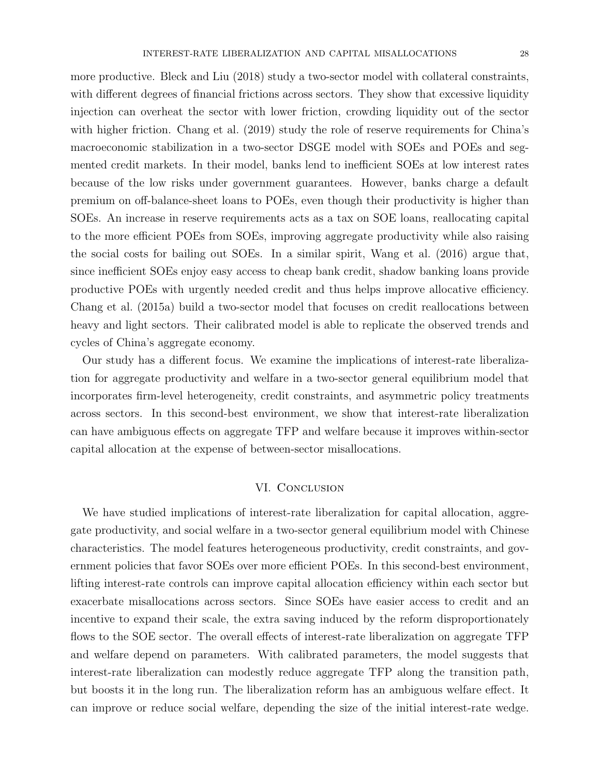more productive. Bleck and Liu (2018) study a two-sector model with collateral constraints, with different degrees of financial frictions across sectors. They show that excessive liquidity injection can overheat the sector with lower friction, crowding liquidity out of the sector with higher friction. Chang et al. (2019) study the role of reserve requirements for China's macroeconomic stabilization in a two-sector DSGE model with SOEs and POEs and segmented credit markets. In their model, banks lend to inefficient SOEs at low interest rates because of the low risks under government guarantees. However, banks charge a default premium on off-balance-sheet loans to POEs, even though their productivity is higher than SOEs. An increase in reserve requirements acts as a tax on SOE loans, reallocating capital to the more efficient POEs from SOEs, improving aggregate productivity while also raising the social costs for bailing out SOEs. In a similar spirit, Wang et al. (2016) argue that, since inefficient SOEs enjoy easy access to cheap bank credit, shadow banking loans provide productive POEs with urgently needed credit and thus helps improve allocative efficiency.

Chang et al. (2015a) build a two-sector model that focuses on credit reallocations between heavy and light sectors. Their calibrated model is able to replicate the observed trends and cycles of China's aggregate economy.

Our study has a different focus. We examine the implications of interest-rate liberalization for aggregate productivity and welfare in a two-sector general equilibrium model that incorporates firm-level heterogeneity, credit constraints, and asymmetric policy treatments across sectors. In this second-best environment, we show that interest-rate liberalization can have ambiguous effects on aggregate TFP and welfare because it improves within-sector capital allocation at the expense of between-sector misallocations.

#### VI. CONCLUSION

We have studied implications of interest-rate liberalization for capital allocation, aggregate productivity, and social welfare in a two-sector general equilibrium model with Chinese characteristics. The model features heterogeneous productivity, credit constraints, and government policies that favor SOEs over more efficient POEs. In this second-best environment, lifting interest-rate controls can improve capital allocation efficiency within each sector but exacerbate misallocations across sectors. Since SOEs have easier access to credit and an incentive to expand their scale, the extra saving induced by the reform disproportionately flows to the SOE sector. The overall effects of interest-rate liberalization on aggregate TFP and welfare depend on parameters. With calibrated parameters, the model suggests that interest-rate liberalization can modestly reduce aggregate TFP along the transition path, but boosts it in the long run. The liberalization reform has an ambiguous welfare effect. It can improve or reduce social welfare, depending the size of the initial interest-rate wedge.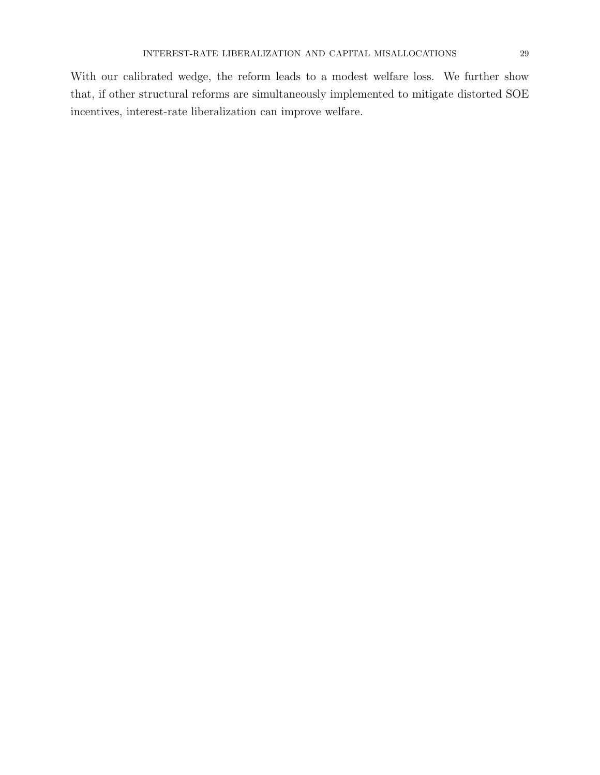With our calibrated wedge, the reform leads to a modest welfare loss. We further show that, if other structural reforms are simultaneously implemented to mitigate distorted SOE incentives, interest-rate liberalization can improve welfare.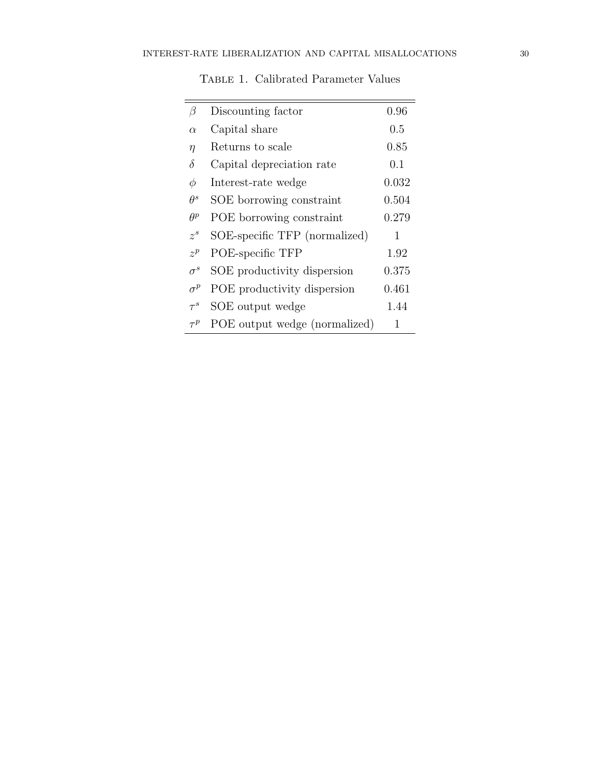| β          | Discounting factor            | 0.96    |
|------------|-------------------------------|---------|
| $\alpha$   | Capital share                 | $0.5\,$ |
| $\eta$     | Returns to scale              | 0.85    |
| $\delta$   | Capital depreciation rate     | 0.1     |
| Ф          | Interest-rate wedge           | 0.032   |
| $\theta^s$ | SOE borrowing constraint      | 0.504   |
| $\theta^p$ | POE borrowing constraint      | 0.279   |
| $z^s$      | SOE-specific TFP (normalized) | 1       |
| $z^p$      | POE-specific TFP              | 1.92    |
| $\sigma^s$ | SOE productivity dispersion   | 0.375   |
| $\sigma^p$ | POE productivity dispersion   | 0.461   |
| $\tau^s$   | SOE output wedge              | 1.44    |
| $\tau^p$   | POE output wedge (normalized) | 1       |

TABLE 1. Calibrated Parameter Values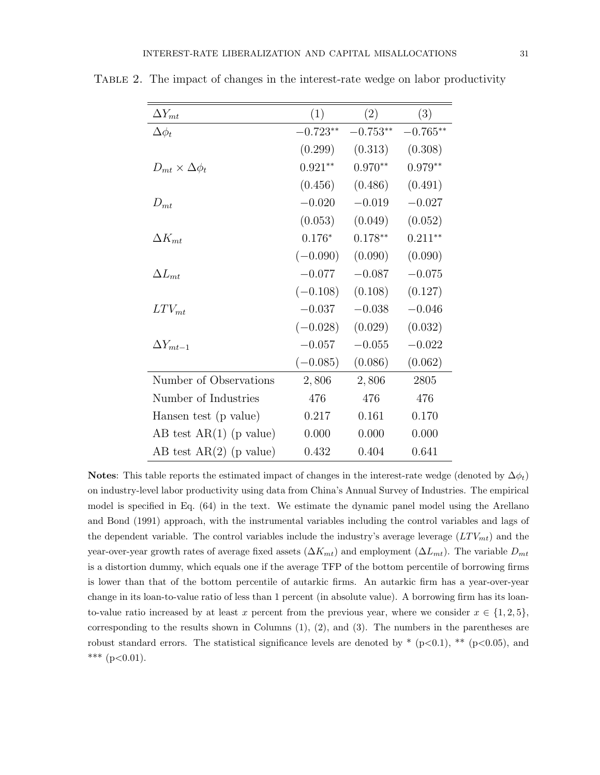| $\Delta Y_{mt}$               | (1)        | (2)        | (3)        |
|-------------------------------|------------|------------|------------|
| $\Delta \phi_t$               | $-0.723**$ | $-0.753**$ | $-0.765**$ |
|                               | (0.299)    | (0.313)    | (0.308)    |
| $D_{mt} \times \Delta \phi_t$ | $0.921**$  | $0.970**$  | $0.979**$  |
|                               | (0.456)    | (0.486)    | (0.491)    |
| $D_{mt}$                      | $-0.020$   | $-0.019$   | $-0.027$   |
|                               | (0.053)    | (0.049)    | (0.052)    |
| $\Delta K_{mt}$               | $0.176*$   | $0.178**$  | $0.211***$ |
|                               | $(-0.090)$ | (0.090)    | (0.090)    |
| $\Delta L_{mt}$               | $-0.077$   | $-0.087$   | $-0.075$   |
|                               | $(-0.108)$ | (0.108)    | (0.127)    |
| $LTV_{mt}$                    | $-0.037$   | $-0.038$   | $-0.046$   |
|                               | $(-0.028)$ | (0.029)    | (0.032)    |
| $\Delta Y_{mt-1}$             | $-0.057$   | $-0.055$   | $-0.022$   |
|                               | $(-0.085)$ | (0.086)    | (0.062)    |
| Number of Observations        | 2,806      | 2,806      | 2805       |
| Number of Industries          | 476        | 476        | 476        |
| Hansen test (p value)         | 0.217      | 0.161      | 0.170      |
| AB test $AR(1)$ (p value)     | 0.000      | 0.000      | 0.000      |
| AB test $AR(2)$ (p value)     | 0.432      | 0.404      | 0.641      |

TABLE 2. The impact of changes in the interest-rate wedge on labor productivity

Notes: This table reports the estimated impact of changes in the interest-rate wedge (denoted by  $\Delta \phi_t$ ) on industry-level labor productivity using data from China's Annual Survey of Industries. The empirical model is specified in Eq. (64) in the text. We estimate the dynamic panel model using the Arellano and Bond (1991) approach, with the instrumental variables including the control variables and lags of the dependent variable. The control variables include the industry's average leverage  $(LTV_{mt})$  and the year-over-year growth rates of average fixed assets  $(\Delta K_{mt})$  and employment  $(\Delta L_{mt})$ . The variable  $D_{mt}$ is a distortion dummy, which equals one if the average TFP of the bottom percentile of borrowing firms is lower than that of the bottom percentile of autarkic firms. An autarkic firm has a year-over-year change in its loan-to-value ratio of less than 1 percent (in absolute value). A borrowing firm has its loanto-value ratio increased by at least x percent from the previous year, where we consider  $x \in \{1, 2, 5\}$ , corresponding to the results shown in Columns (1), (2), and (3). The numbers in the parentheses are robust standard errors. The statistical significance levels are denoted by  $*(p<0.1), ** (p<0.05)$ , and \*\*\*  $(p<0.01)$ .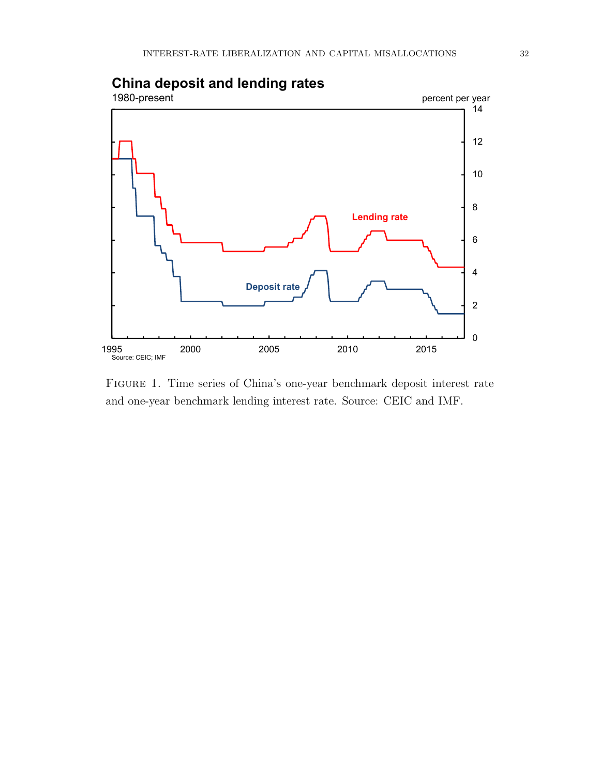

# **China deposit and lending rates**

Figure 1. Time series of China's one-year benchmark deposit interest rate and one-year benchmark lending interest rate. Source: CEIC and IMF.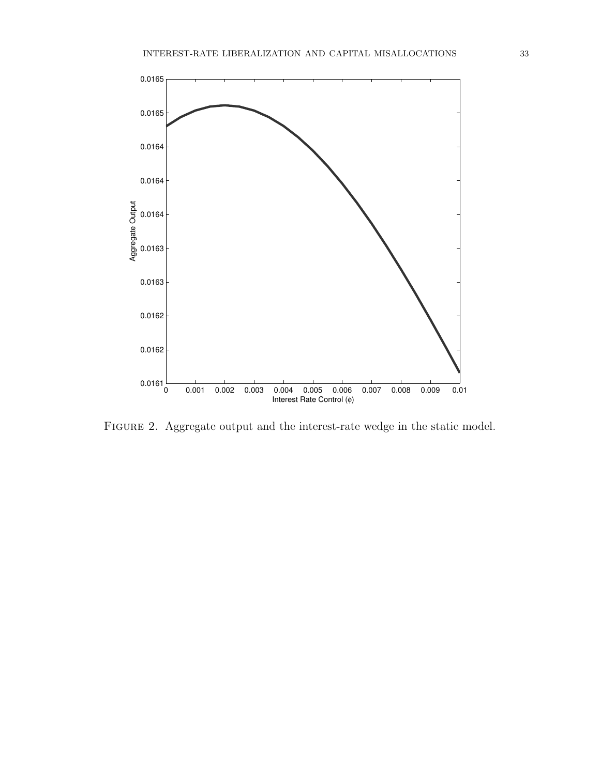

FIGURE 2. Aggregate output and the interest-rate wedge in the static model.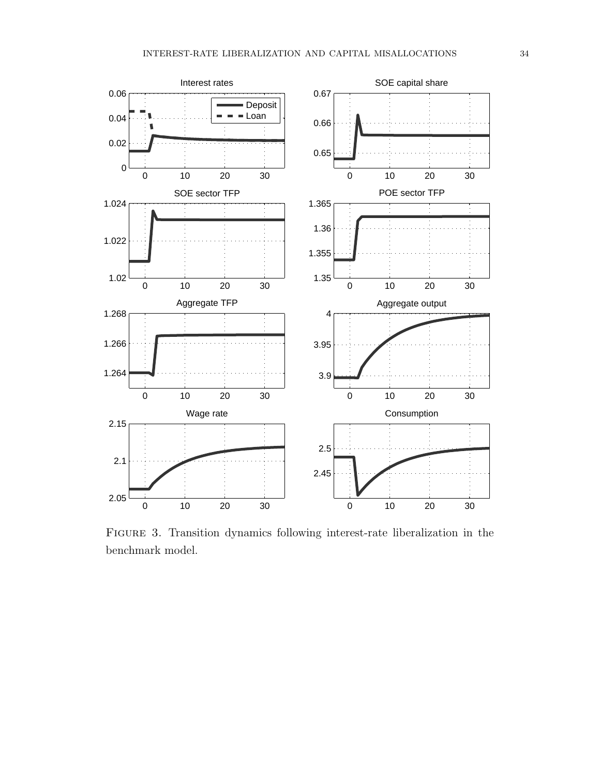

Figure 3. Transition dynamics following interest-rate liberalization in the benchmark model.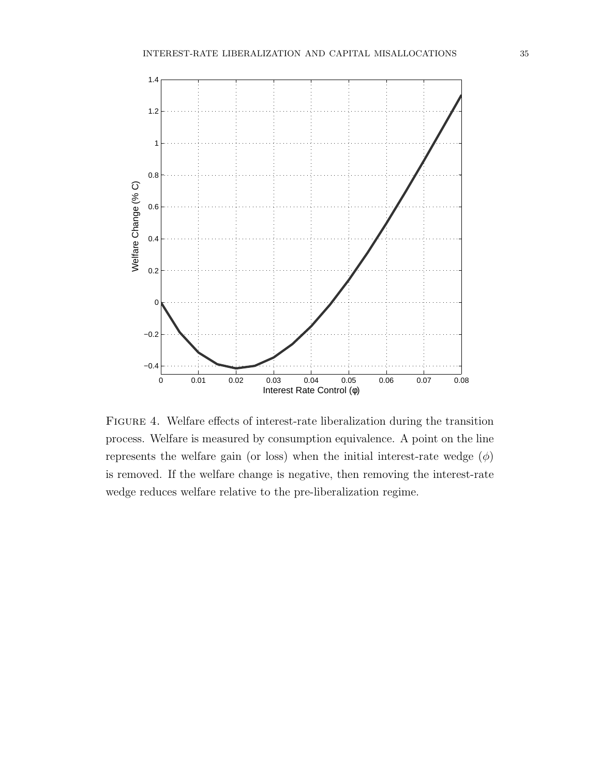

Figure 4. Welfare effects of interest-rate liberalization during the transition process. Welfare is measured by consumption equivalence. A point on the line represents the welfare gain (or loss) when the initial interest-rate wedge  $(\phi)$ is removed. If the welfare change is negative, then removing the interest-rate wedge reduces welfare relative to the pre-liberalization regime.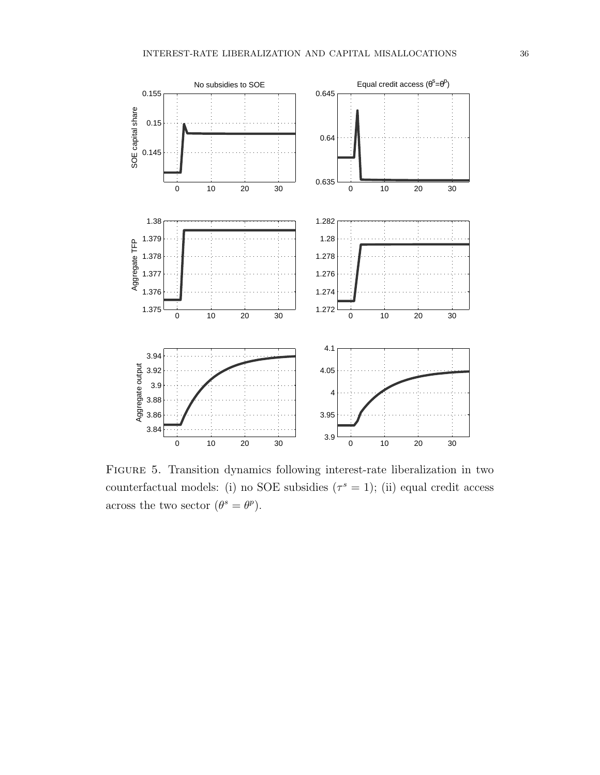

Figure 5. Transition dynamics following interest-rate liberalization in two counterfactual models: (i) no SOE subsidies  $(\tau^s = 1)$ ; (ii) equal credit access across the two sector  $(\theta^s = \theta^p)$ .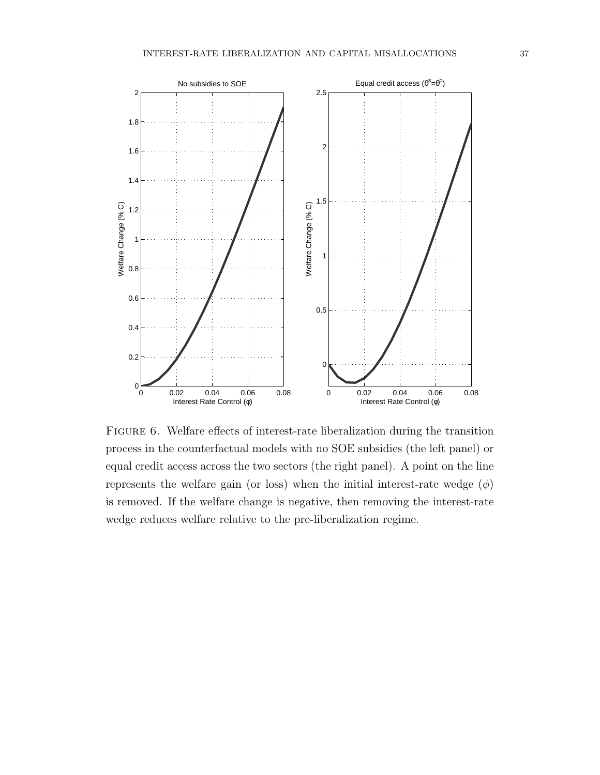

FIGURE 6. Welfare effects of interest-rate liberalization during the transition process in the counterfactual models with no SOE subsidies (the left panel) or equal credit access across the two sectors (the right panel). A point on the line represents the welfare gain (or loss) when the initial interest-rate wedge  $(\phi)$ is removed. If the welfare change is negative, then removing the interest-rate wedge reduces welfare relative to the pre-liberalization regime.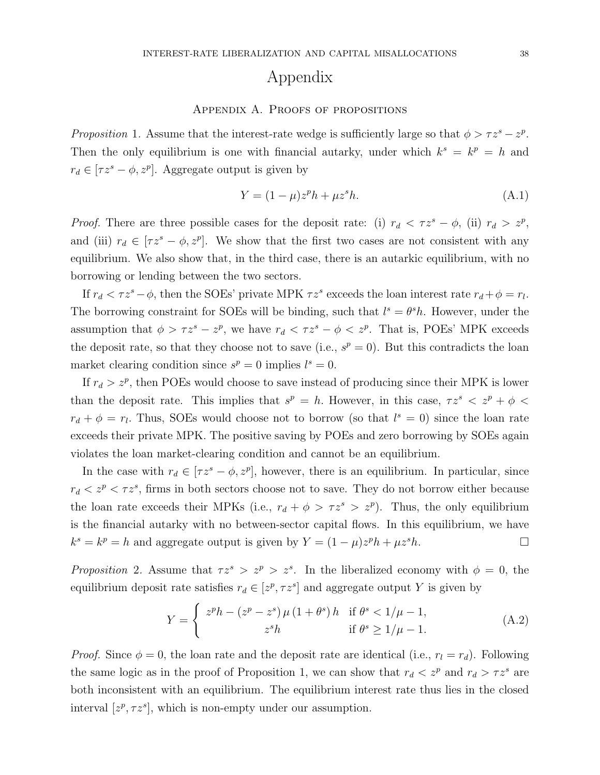# Appendix

## APPENDIX A. PROOFS OF PROPOSITIONS

Proposition 1. Assume that the interest-rate wedge is sufficiently large so that  $\phi > \tau z^s - z^p$ . Then the only equilibrium is one with financial autarky, under which  $k^s = k^p = h$  and  $r_d \in [\tau z^s - \phi, z^p]$ . Aggregate output is given by

$$
Y = (1 - \mu)z^p h + \mu z^s h.
$$
 (A.1)

*Proof.* There are three possible cases for the deposit rate: (i)  $r_d < \tau z^s - \phi$ , (ii)  $r_d > z^p$ , and (iii)  $r_d \in [\tau z^s - \phi, z^p]$ . We show that the first two cases are not consistent with any equilibrium. We also show that, in the third case, there is an autarkic equilibrium, with no borrowing or lending between the two sectors.

If  $r_d < \tau z^s - \phi$ , then the SOEs' private MPK  $\tau z^s$  exceeds the loan interest rate  $r_d + \phi = r_l$ . The borrowing constraint for SOEs will be binding, such that  $l^s = \theta^s h$ . However, under the assumption that  $\phi > \tau z^s - z^p$ , we have  $r_d < \tau z^s - \phi < z^p$ . That is, POEs' MPK exceeds the deposit rate, so that they choose not to save (i.e.,  $s^p = 0$ ). But this contradicts the loan market clearing condition since  $s^p = 0$  implies  $l^s = 0$ .

If  $r_d > z^p$ , then POEs would choose to save instead of producing since their MPK is lower than the deposit rate. This implies that  $s^p = h$ . However, in this case,  $\tau z^s < z^p + \phi <$  $r_d + \phi = r_l$ . Thus, SOEs would choose not to borrow (so that  $l^s = 0$ ) since the loan rate exceeds their private MPK. The positive saving by POEs and zero borrowing by SOEs again violates the loan market-clearing condition and cannot be an equilibrium.

In the case with  $r_d \in [\tau z^s - \phi, z^p]$ , however, there is an equilibrium. In particular, since  $r_d < z^p < \tau z^s$ , firms in both sectors choose not to save. They do not borrow either because the loan rate exceeds their MPKs (i.e.,  $r_d + \phi > \tau z^s > z^p$ ). Thus, the only equilibrium is the financial autarky with no between-sector capital flows. In this equilibrium, we have  $k^{s} = k^{p} = h$  and aggregate output is given by  $Y = (1 - \mu)z^{p}h + \mu z^{s}h$ .

Proposition 2. Assume that  $\tau z^s > z^p > z^s$ . In the liberalized economy with  $\phi = 0$ , the equilibrium deposit rate satisfies  $r_d \in [z^p, \tau z^s]$  and aggregate output Y is given by

$$
Y = \begin{cases} z^{p}h - (z^{p} - z^{s})\mu (1 + \theta^{s})h & \text{if } \theta^{s} < 1/\mu - 1, \\ z^{s}h & \text{if } \theta^{s} \ge 1/\mu - 1. \end{cases}
$$
(A.2)

*Proof.* Since  $\phi = 0$ , the loan rate and the deposit rate are identical (i.e.,  $r_l = r_d$ ). Following the same logic as in the proof of Proposition 1, we can show that  $r_d < z^p$  and  $r_d > \tau z^s$  are both inconsistent with an equilibrium. The equilibrium interest rate thus lies in the closed interval  $[z^p, \tau z^s]$ , which is non-empty under our assumption.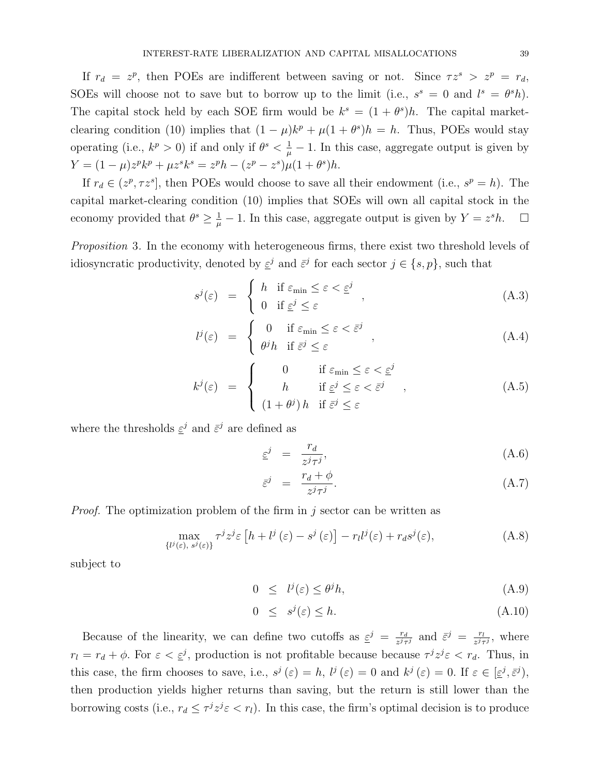If  $r_d = z^p$ , then POEs are indifferent between saving or not. Since  $\tau z^s > z^p = r_d$ , SOEs will choose not to save but to borrow up to the limit (i.e.,  $s^s = 0$  and  $l^s = \theta^s h$ ). The capital stock held by each SOE firm would be  $k^s = (1 + \theta^s)h$ . The capital marketclearing condition (10) implies that  $(1 - \mu)k^p + \mu(1 + \theta^s)h = h$ . Thus, POEs would stay operating (i.e.,  $k^p > 0$ ) if and only if  $\theta^s < \frac{1}{\mu} - 1$ . In this case, aggregate output is given by  $Y = (1 - \mu)z^p k^p + \mu z^s k^s = z^p h - (z^p - z^s)\mu(1 + \theta^s)h.$ 

If  $r_d \in (z^p, \tau z^s]$ , then POEs would choose to save all their endowment (i.e.,  $s^p = h$ ). The capital market-clearing condition (10) implies that SOEs will own all capital stock in the economy provided that  $\theta^s \geq \frac{1}{\mu} - 1$ . In this case, aggregate output is given by  $Y = z^s h$ .  $\Box$ 

Proposition 3. In the economy with heterogeneous firms, there exist two threshold levels of idiosyncratic productivity, denoted by  $\epsilon^{j}$  and  $\bar{\epsilon}^{j}$  for each sector  $j \in \{s, p\}$ , such that

$$
s^{j}(\varepsilon) = \begin{cases} h & \text{if } \varepsilon_{\min} \le \varepsilon < \varepsilon^{j} \\ 0 & \text{if } \varepsilon^{j} \le \varepsilon \end{cases}, \tag{A.3}
$$

$$
l^{j}(\varepsilon) = \begin{cases} 0 & \text{if } \varepsilon_{\min} \le \varepsilon < \bar{\varepsilon}^{j} \\ \theta^{j} h & \text{if } \bar{\varepsilon}^{j} \le \varepsilon \end{cases}, \tag{A.4}
$$

$$
k^{j}(\varepsilon) = \begin{cases} 0 & \text{if } \varepsilon_{\min} \leq \varepsilon < \varepsilon^{j} \\ h & \text{if } \varepsilon^{j} \leq \varepsilon < \overline{\varepsilon}^{j} \\ (1 + \theta^{j}) h & \text{if } \overline{\varepsilon}^{j} \leq \varepsilon \end{cases}
$$
 (A.5)

where the thresholds  $\underline{\varepsilon}^j$  and  $\overline{\varepsilon}^j$  are defined as

$$
\underline{\varepsilon}^j = \frac{r_d}{z^j \tau^j},\tag{A.6}
$$

$$
\bar{\varepsilon}^j = \frac{r_d + \phi}{z^j \tau^j}.
$$
\n(A.7)

*Proof.* The optimization problem of the firm in j sector can be written as

$$
\max_{\{l^j(\varepsilon),\ s^j(\varepsilon)\}} \tau^j z^j \varepsilon \left[ h + l^j\left(\varepsilon\right) - s^j\left(\varepsilon\right) \right] - r_l l^j(\varepsilon) + r_d s^j(\varepsilon),\tag{A.8}
$$

subject to

$$
0 \leq l^j(\varepsilon) \leq \theta^j h,\tag{A.9}
$$

$$
0 \leq s^j(\varepsilon) \leq h. \tag{A.10}
$$

Because of the linearity, we can define two cutoffs as  $\varepsilon^j = \frac{r_d}{\varepsilon^j}$  $\frac{r_d}{z^j\tau^j}$  and  $\bar{z}^j = \frac{r_l}{z^j\tau^j}$  $\frac{r_l}{z^j\tau^j}$ , where  $r_l = r_d + \phi$ . For  $\varepsilon < \underline{\varepsilon}^j$ , production is not profitable because because  $\tau^j z^j \varepsilon < r_d$ . Thus, in this case, the firm chooses to save, i.e.,  $s^j(\varepsilon) = h$ ,  $l^j(\varepsilon) = 0$  and  $k^j(\varepsilon) = 0$ . If  $\varepsilon \in [\varepsilon^j, \bar{\varepsilon}^j)$ , then production yields higher returns than saving, but the return is still lower than the borrowing costs (i.e.,  $r_d \leq \tau^j z^j \varepsilon < r_l$ ). In this case, the firm's optimal decision is to produce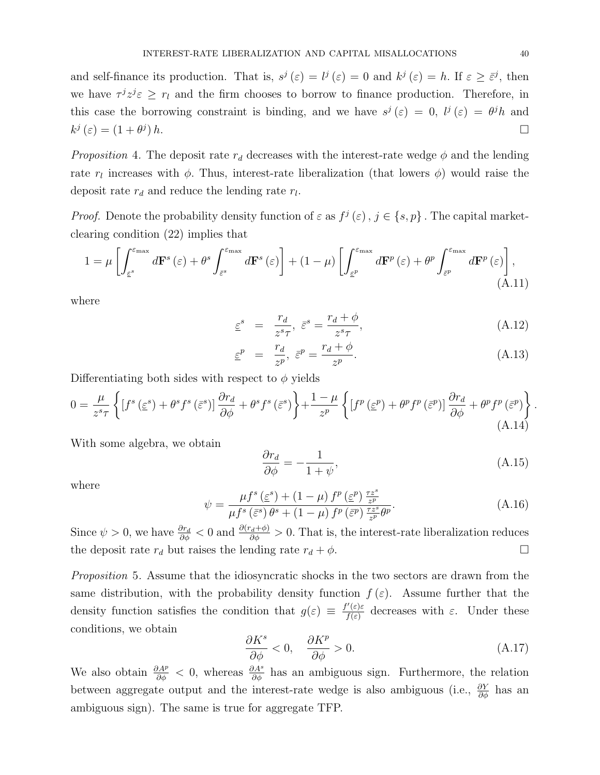and self-finance its production. That is,  $s^j(\varepsilon) = l^j(\varepsilon) = 0$  and  $k^j(\varepsilon) = h$ . If  $\varepsilon \geq \overline{\varepsilon}^j$ , then we have  $\tau^{j} z^{j} \varepsilon \geq r_{l}$  and the firm chooses to borrow to finance production. Therefore, in this case the borrowing constraint is binding, and we have  $s^j(\varepsilon) = 0$ ,  $l^j(\varepsilon) = \theta^j h$  and  $k^j(\varepsilon) = (1 + \theta^j)$  $(h.$ 

*Proposition* 4. The deposit rate  $r_d$  decreases with the interest-rate wedge  $\phi$  and the lending rate  $r_l$  increases with  $\phi$ . Thus, interest-rate liberalization (that lowers  $\phi$ ) would raise the deposit rate  $r_d$  and reduce the lending rate  $r_l$ .

*Proof.* Denote the probability density function of  $\varepsilon$  as  $f^j(\varepsilon)$ ,  $j \in \{s, p\}$ . The capital marketclearing condition (22) implies that

$$
1 = \mu \left[ \int_{\varepsilon^{s}}^{\varepsilon_{\max}} d\mathbf{F}^{s}(\varepsilon) + \theta^{s} \int_{\bar{\varepsilon}^{s}}^{\varepsilon_{\max}} d\mathbf{F}^{s}(\varepsilon) \right] + (1 - \mu) \left[ \int_{\underline{\varepsilon}^{p}}^{\varepsilon_{\max}} d\mathbf{F}^{p}(\varepsilon) + \theta^{p} \int_{\bar{\varepsilon}^{p}}^{\varepsilon_{\max}} d\mathbf{F}^{p}(\varepsilon) \right], \tag{A.11}
$$

where

$$
\underline{\varepsilon}^s = \frac{r_d}{z^s \tau}, \ \overline{\varepsilon}^s = \frac{r_d + \phi}{z^s \tau}, \tag{A.12}
$$

$$
\underline{\varepsilon}^p = \frac{r_d}{z^p}, \ \overline{\varepsilon}^p = \frac{r_d + \phi}{z^p}.
$$
 (A.13)

Differentiating both sides with respect to  $\phi$  yields

$$
0 = \frac{\mu}{z^{s}\tau} \left\{ \left[ f^{s} \left( \underline{\varepsilon}^{s} \right) + \theta^{s} f^{s} \left( \overline{\varepsilon}^{s} \right) \right] \frac{\partial r_{d}}{\partial \phi} + \theta^{s} f^{s} \left( \overline{\varepsilon}^{s} \right) \right\} + \frac{1 - \mu}{z^{p}} \left\{ \left[ f^{p} \left( \underline{\varepsilon}^{p} \right) + \theta^{p} f^{p} \left( \overline{\varepsilon}^{p} \right) \right] \frac{\partial r_{d}}{\partial \phi} + \theta^{p} f^{p} \left( \overline{\varepsilon}^{p} \right) \right\} \right\}.
$$
\n(A.14)

With some algebra, we obtain

$$
\frac{\partial r_d}{\partial \phi} = -\frac{1}{1+\psi},\tag{A.15}
$$

where

$$
\psi = \frac{\mu f^s \left(\underline{\varepsilon}^s\right) + \left(1 - \mu\right) f^p \left(\underline{\varepsilon}^p\right) \frac{\tau z^s}{z^p}}{\mu f^s \left(\overline{\varepsilon}^s\right) \theta^s + \left(1 - \mu\right) f^p \left(\overline{\varepsilon}^p\right) \frac{\tau z^s}{z^p} \theta^p}.
$$
\n(A.16)

Since  $\psi > 0$ , we have  $\frac{\partial r_d}{\partial \phi} < 0$  and  $\frac{\partial (r_d + \phi)}{\partial \phi} > 0$ . That is, the interest-rate liberalization reduces the deposit rate  $r_d$  but raises the lending rate  $r_d + \phi$ .

Proposition 5. Assume that the idiosyncratic shocks in the two sectors are drawn from the same distribution, with the probability density function  $f(\varepsilon)$ . Assume further that the density function satisfies the condition that  $g(\varepsilon) \equiv \frac{f'(\varepsilon)\varepsilon}{f(\varepsilon)}$  $\frac{\partial f(\varepsilon)}{\partial f(\varepsilon)}$  decreases with  $\varepsilon$ . Under these conditions, we obtain

$$
\frac{\partial K^s}{\partial \phi} < 0, \quad \frac{\partial K^p}{\partial \phi} > 0. \tag{A.17}
$$

We also obtain  $\frac{\partial A^p}{\partial \phi} < 0$ , whereas  $\frac{\partial A^s}{\partial \phi}$  has an ambiguous sign. Furthermore, the relation between aggregate output and the interest-rate wedge is also ambiguous (i.e.,  $\frac{\partial Y}{\partial \phi}$  has an ambiguous sign). The same is true for aggregate TFP.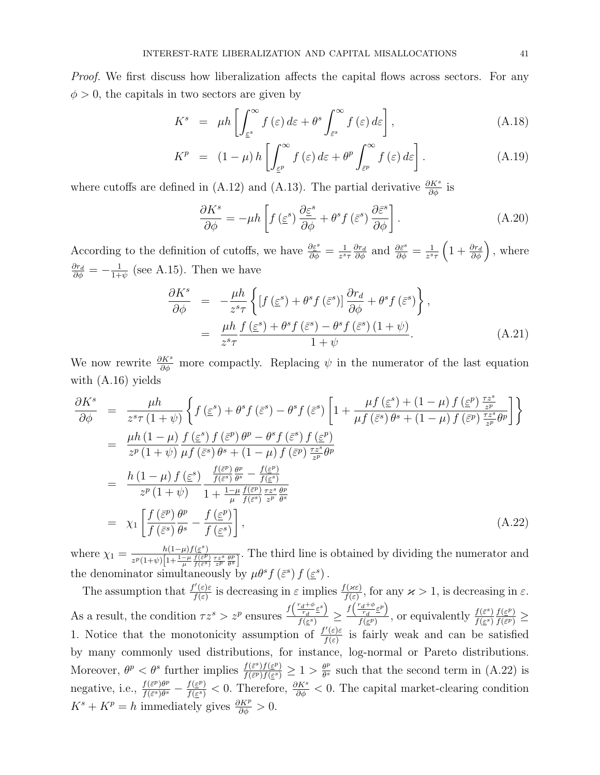Proof. We first discuss how liberalization affects the capital flows across sectors. For any  $\phi > 0$ , the capitals in two sectors are given by

$$
K^{s} = \mu h \left[ \int_{\varepsilon^{s}}^{\infty} f(\varepsilon) d\varepsilon + \theta^{s} \int_{\bar{\varepsilon}^{s}}^{\infty} f(\varepsilon) d\varepsilon \right], \tag{A.18}
$$

$$
K^{p} = (1 - \mu) h \left[ \int_{\varepsilon^{p}}^{\infty} f(\varepsilon) d\varepsilon + \theta^{p} \int_{\varepsilon^{p}}^{\infty} f(\varepsilon) d\varepsilon \right]. \tag{A.19}
$$

where cutoffs are defined in (A.12) and (A.13). The partial derivative  $\frac{\partial K^s}{\partial \phi}$  is

$$
\frac{\partial K^s}{\partial \phi} = -\mu h \left[ f \left( \underline{\varepsilon}^s \right) \frac{\partial \underline{\varepsilon}^s}{\partial \phi} + \theta^s f \left( \overline{\varepsilon}^s \right) \frac{\partial \overline{\varepsilon}^s}{\partial \phi} \right]. \tag{A.20}
$$

According to the definition of cutoffs, we have  $\frac{\partial \varepsilon^s}{\partial \phi} = \frac{1}{z^s}$  $\overline{z^s\tau}$  $\frac{\partial r_d}{\partial \phi}$  and  $\frac{\partial \bar{\varepsilon}^s}{\partial \phi} = \frac{1}{z^s}$  $\frac{1}{z^{s_{\tau}}} \left(1 + \frac{\partial r_d}{\partial \phi}\right)$ , where  $\frac{\partial r_d}{\partial \phi} = -\frac{1}{1+}$  $\frac{1}{1+\psi}$  (see A.15). Then we have

$$
\frac{\partial K^s}{\partial \phi} = -\frac{\mu h}{z^s \tau} \left\{ \left[ f(\varepsilon^s) + \theta^s f(\bar{\varepsilon}^s) \right] \frac{\partial r_d}{\partial \phi} + \theta^s f(\bar{\varepsilon}^s) \right\},
$$
  

$$
= \frac{\mu h}{z^s \tau} \frac{f(\varepsilon^s) + \theta^s f(\bar{\varepsilon}^s) - \theta^s f(\bar{\varepsilon}^s) (1 + \psi)}{1 + \psi}.
$$
(A.21)

We now rewrite  $\frac{\partial K^s}{\partial \phi}$  more compactly. Replacing  $\psi$  in the numerator of the last equation with (A.16) yields

$$
\frac{\partial K^{s}}{\partial \phi} = \frac{\mu h}{z^{s} \tau (1+\psi)} \left\{ f(\underline{\varepsilon}^{s}) + \theta^{s} f(\overline{\varepsilon}^{s}) - \theta^{s} f(\overline{\varepsilon}^{s}) \left[ 1 + \frac{\mu f(\underline{\varepsilon}^{s}) + (1-\mu) f(\underline{\varepsilon}^{p}) \frac{\tau z^{s}}{z^{p}}}{\mu f(\overline{\varepsilon}^{s}) \theta^{s} + (1-\mu) f(\overline{\varepsilon}^{p}) \frac{\tau z^{s}}{z^{p}} \theta^{p}} \right] \right\}
$$
\n
$$
= \frac{\mu h (1-\mu)}{z^{p} (1+\psi)} \frac{f(\underline{\varepsilon}^{s}) f(\overline{\varepsilon}^{p}) \theta^{p} - \theta^{s} f(\overline{\varepsilon}^{s}) f(\underline{\varepsilon}^{p})}{\mu f(\overline{\varepsilon}^{s}) \theta^{s} + (1-\mu) f(\overline{\varepsilon}^{p}) \frac{\tau z^{s}}{z^{p}} \theta^{p}}
$$
\n
$$
= \frac{h (1-\mu) f(\underline{\varepsilon}^{s})}{z^{p} (1+\psi)} \frac{\frac{f(\overline{\varepsilon}^{p}) \theta^{p}}{f(\overline{\varepsilon}^{s}) \theta^{s}} - \frac{f(\underline{\varepsilon}^{p})}{f(\underline{\varepsilon}^{s})}}{\frac{\tau z^{s}}{s^{p}} \theta^{s}}
$$
\n
$$
= \chi_{1} \left[ \frac{f(\overline{\varepsilon}^{p}) \theta^{p}}{f(\overline{\varepsilon}^{s}) \theta^{s}} - \frac{f(\underline{\varepsilon}^{p})}{f(\underline{\varepsilon}^{s})} \frac{\tau z^{s}}{z^{p}} \frac{\theta^{p}}{\theta^{s}}}{f(\underline{\varepsilon}^{s})} \right], \tag{A.22}
$$

where  $\chi_1 = \frac{h(1-\mu)f(\varepsilon^s)}{\frac{m(1+\mu)\int_{1}^{1} (1-\mu)f(\varepsilon^s)}{h(1-\mu)f(\varepsilon^s)}}$  $\frac{n(1-\mu)f(\xi^{\gamma})}{z^p(1+\psi)[1+\frac{1-\mu}{\mu}f(\xi^{\beta})\frac{\tau z^s}{z^p}\frac{\theta^p}{\theta^s}]}$ . The third line is obtained by dividing the numerator and the denominator simultaneously by  $\mu \theta^s f(\bar{\varepsilon}^s) f(\underline{\varepsilon}^s)$ .

The assumption that  $\frac{f'(\varepsilon)\varepsilon}{f(\varepsilon)}$  $\frac{f(\varepsilon)\varepsilon}{f(\varepsilon)}$  is decreasing in  $\varepsilon$  implies  $\frac{f(\varkappa\varepsilon)}{f(\varepsilon)}$ , for any  $\varkappa > 1$ , is decreasing in  $\varepsilon$ . As a result, the condition  $\tau z^s > z^p$  ensures  $\frac{f\left(\frac{r_d+\phi}{r_d\varepsilon}\right)}{f(\varepsilon s)}$  $\frac{\frac{r_d+\phi}{r_d}\varepsilon^{s}\big)}{f(\varepsilon^{s})}\geq\frac{f\big(\frac{r_d+\phi}{r_d}\varepsilon^{p}\big)}{f(\varepsilon^{p})}$  $\frac{\frac{d}{d} \left( \frac{\partial}{\partial \xi} \right)^n}{f(\xi^p)}$ , or equivalently  $\frac{f(\bar{\varepsilon}^s)}{f(\xi^s)}$  $\overline{f(\underline{\varepsilon}^s)}$  $f(\underline{\varepsilon}^p)$  $\frac{f(\varepsilon^p)}{f(\bar{\varepsilon}^p)} \geq$ 1. Notice that the monotonicity assumption of  $\frac{f'(ε) \varepsilon}{f(ε)}$  $\frac{f(\varepsilon)\varepsilon}{f(\varepsilon)}$  is fairly weak and can be satisfied by many commonly used distributions, for instance, log-normal or Pareto distributions. Moreover,  $\theta^p < \theta^s$  further implies  $\frac{f(\bar{\varepsilon}^s)f(\bar{\varepsilon}^p)}{f(\bar{\varepsilon}^p)f(\bar{\varepsilon}^s)}$  $\frac{f(\bar{\varepsilon}^s)f(\underline{\varepsilon}^p)}{f(\bar{\varepsilon}^p)f(\underline{\varepsilon}^s)}\geq 1>\frac{\theta^p}{\theta^s}$  $\frac{\theta^p}{\theta^s}$  such that the second term in  $(A.22)$  is negative, i.e.,  $\frac{f(\bar{\varepsilon}^p)\theta^p}{f(\bar{\varepsilon}^s)\theta^s}$  $\frac{f(\bar{\varepsilon}^p)\theta^p}{f(\bar{\varepsilon}^s)\theta^s} - \frac{f(\underline{\varepsilon}^p)}{f(\underline{\varepsilon}^s)}$  $\frac{f(\varepsilon^p)}{f(\varepsilon^s)}$  < 0. Therefore,  $\frac{\partial K^s}{\partial \phi}$  < 0. The capital market-clearing condition  $K^s + K^p = h$  immediately gives  $\frac{\partial K^p}{\partial \phi} > 0$ .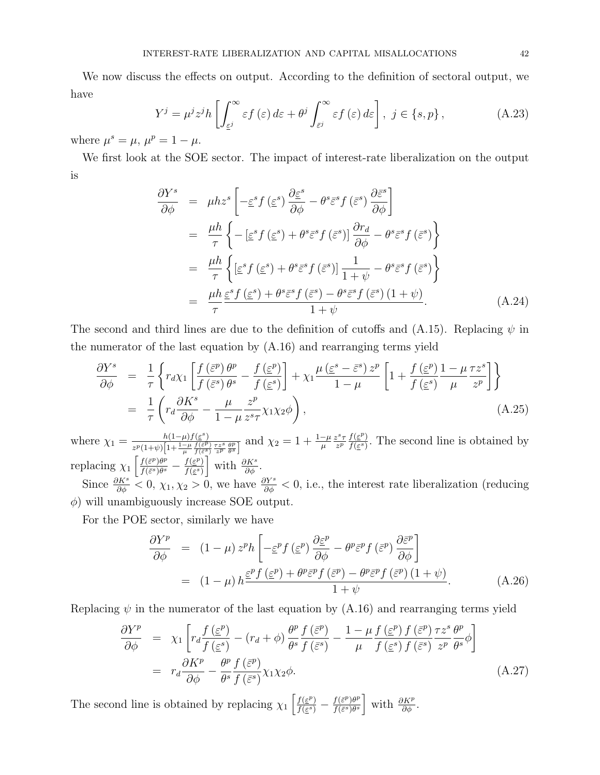We now discuss the effects on output. According to the definition of sectoral output, we have

$$
Y^{j} = \mu^{j} z^{j} h \left[ \int_{\epsilon^{j}}^{\infty} \epsilon f(\epsilon) d\epsilon + \theta^{j} \int_{\bar{\epsilon}^{j}}^{\infty} \epsilon f(\epsilon) d\epsilon \right], \ j \in \{s, p\}, \tag{A.23}
$$

where  $\mu^s = \mu$ ,  $\mu^p = 1 - \mu$ .

We first look at the SOE sector. The impact of interest-rate liberalization on the output is

$$
\frac{\partial Y^s}{\partial \phi} = \mu h z^s \left[ -\varepsilon^s f(\varepsilon^s) \frac{\partial \varepsilon^s}{\partial \phi} - \theta^s \varepsilon^s f(\varepsilon^s) \frac{\partial \varepsilon^s}{\partial \phi} \right]
$$
  
\n
$$
= \frac{\mu h}{\tau} \left\{ -\left[ \varepsilon^s f(\varepsilon^s) + \theta^s \varepsilon^s f(\varepsilon^s) \right] \frac{\partial r_d}{\partial \phi} - \theta^s \varepsilon^s f(\varepsilon^s) \right\}
$$
  
\n
$$
= \frac{\mu h}{\tau} \left\{ \left[ \varepsilon^s f(\varepsilon^s) + \theta^s \varepsilon^s f(\varepsilon^s) \right] \frac{1}{1 + \psi} - \theta^s \varepsilon^s f(\varepsilon^s) \right\}
$$
  
\n
$$
= \frac{\mu h}{\tau} \frac{\varepsilon^s f(\varepsilon^s) + \theta^s \varepsilon^s f(\varepsilon^s) - \theta^s \varepsilon^s f(\varepsilon^s) (1 + \psi)}{1 + \psi}.
$$
 (A.24)

The second and third lines are due to the definition of cutoffs and  $(A.15)$ . Replacing  $\psi$  in the numerator of the last equation by (A.16) and rearranging terms yield

$$
\frac{\partial Y^s}{\partial \phi} = \frac{1}{\tau} \left\{ r_d \chi_1 \left[ \frac{f(\bar{\varepsilon}^p) \theta^p}{f(\bar{\varepsilon}^s) \theta^s} - \frac{f(\bar{\varepsilon}^p)}{f(\bar{\varepsilon}^s)} \right] + \chi_1 \frac{\mu(\bar{\varepsilon}^s - \bar{\varepsilon}^s) z^p}{1 - \mu} \left[ 1 + \frac{f(\bar{\varepsilon}^p)}{f(\bar{\varepsilon}^s)} \frac{1 - \mu \tau z^s}{\mu} \right] \right\}
$$
\n
$$
= \frac{1}{\tau} \left( r_d \frac{\partial K^s}{\partial \phi} - \frac{\mu}{1 - \mu} \frac{z^p}{z^s \tau} \chi_1 \chi_2 \phi \right), \tag{A.25}
$$

where  $\chi_1 = \frac{h(1-\mu)f(\varepsilon^s)}{\frac{m(1+\varepsilon)\sqrt{1+1-\mu}f(\varepsilon^p)}{h(1+\varepsilon^p)}$  $\frac{h(1-\mu)f(\varepsilon^s)}{z^p(1+\psi)\left[1+\frac{1-\mu}{\mu}\frac{f(\varepsilon^p)}{f(\varepsilon^s)}\frac{\tau z^s}{z^p}\frac{\theta^p}{\theta^s}\right]}$  and  $\chi_2=1+\frac{1-\mu}{\mu}$  $z^s\tau$  $rac{z^{s}\tau}{z^{p}}\frac{f(\underline{\varepsilon}^{p})}{f(\underline{\varepsilon}^{s})}$  $\frac{f(\varepsilon)}{f(\varepsilon)}$ . The second line is obtained by replacing  $\chi_1 \left[ \frac{f(\bar{\varepsilon}^p) \theta^p}{f(\bar{\varepsilon}^s) \theta^s} \right]$  $\frac{f(\bar{\varepsilon}^p)\theta^p}{f(\bar{\varepsilon}^s)\theta^s} - \frac{f(\underline{\varepsilon}^p)}{f(\underline{\varepsilon}^s)}$  $\frac{f(\varepsilon^p)}{f(\varepsilon^s)}$  with  $\frac{\partial K^s}{\partial \phi}$ .

Since  $\frac{\partial K^s}{\partial \phi} < 0$ ,  $\chi_1, \chi_2 > 0$ , we have  $\frac{\partial Y^s}{\partial \phi} < 0$ , i.e., the interest rate liberalization (reducing  $\phi$ ) will unambiguously increase SOE output.

For the POE sector, similarly we have

$$
\frac{\partial Y^{p}}{\partial \phi} = (1 - \mu) z^{p} h \left[ -\underline{\varepsilon}^{p} f (\underline{\varepsilon}^{p}) \frac{\partial \underline{\varepsilon}^{p}}{\partial \phi} - \theta^{p} \overline{\varepsilon}^{p} f (\overline{\varepsilon}^{p}) \frac{\partial \overline{\varepsilon}^{p}}{\partial \phi} \right]
$$
  
= 
$$
(1 - \mu) h \frac{\underline{\varepsilon}^{p} f (\underline{\varepsilon}^{p}) + \theta^{p} \overline{\varepsilon}^{p} f (\overline{\varepsilon}^{p}) - \theta^{p} \overline{\varepsilon}^{p} f (\overline{\varepsilon}^{p}) (1 + \psi)}{1 + \psi}.
$$
 (A.26)

Replacing  $\psi$  in the numerator of the last equation by  $(A.16)$  and rearranging terms yield

$$
\frac{\partial Y^{p}}{\partial \phi} = \chi_{1} \left[ r_{d} \frac{f(\underline{\varepsilon}^{p})}{f(\underline{\varepsilon}^{s})} - (r_{d} + \phi) \frac{\theta^{p}}{\theta^{s}} \frac{f(\overline{\varepsilon}^{p})}{f(\overline{\varepsilon}^{s})} - \frac{1 - \mu}{\mu} \frac{f(\underline{\varepsilon}^{p}) f(\overline{\varepsilon}^{p})}{f(\underline{\varepsilon}^{s})} \frac{\tau z^{s}}{z^{p}} \frac{\theta^{p}}{\theta^{s}} \phi \right]
$$
\n
$$
= r_{d} \frac{\partial K^{p}}{\partial \phi} - \frac{\theta^{p}}{\theta^{s}} \frac{f(\overline{\varepsilon}^{p})}{f(\overline{\varepsilon}^{s})} \chi_{1} \chi_{2} \phi. \tag{A.27}
$$

The second line is obtained by replacing  $\chi_1 \left[ \frac{f(\varepsilon^p)}{f(\varepsilon^s)} \right]$  $\frac{f(\varepsilon^p)}{f(\varepsilon^s)} - \frac{f(\bar{\varepsilon}^p)\theta^p}{f(\bar{\varepsilon}^s)\theta^s}$  $\frac{f(\bar{\varepsilon}^p)\theta^p}{f(\bar{\varepsilon}^s)\theta^s}$  with  $\frac{\partial K^p}{\partial \phi}$ .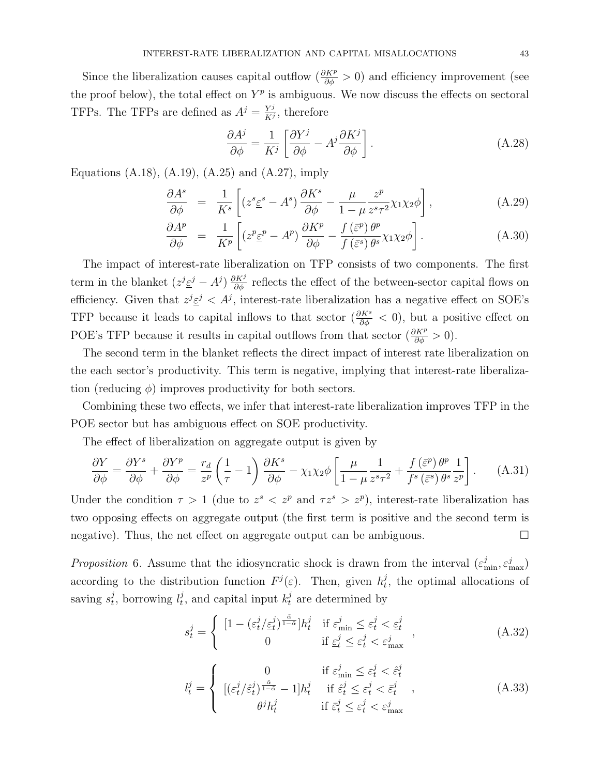Since the liberalization causes capital outflow  $(\frac{\partial K^p}{\partial \phi} > 0)$  and efficiency improvement (see the proof below), the total effect on  $Y^p$  is ambiguous. We now discuss the effects on sectoral TFPs. The TFPs are defined as  $A^{j} = \frac{Y^{j}}{K^{j}}$  $\frac{Y^j}{K^j}$ , therefore

$$
\frac{\partial A^j}{\partial \phi} = \frac{1}{K^j} \left[ \frac{\partial Y^j}{\partial \phi} - A^j \frac{\partial K^j}{\partial \phi} \right].
$$
 (A.28)

Equations  $(A.18)$ ,  $(A.19)$ ,  $(A.25)$  and  $(A.27)$ , imply

$$
\frac{\partial A^s}{\partial \phi} = \frac{1}{K^s} \left[ (z^s \underline{\varepsilon}^s - A^s) \frac{\partial K^s}{\partial \phi} - \frac{\mu}{1 - \mu} \frac{z^p}{z^s \tau^2} \chi_1 \chi_2 \phi \right],\tag{A.29}
$$

$$
\frac{\partial A^p}{\partial \phi} = \frac{1}{K^p} \left[ \left( z^p \underline{\varepsilon}^p - A^p \right) \frac{\partial K^p}{\partial \phi} - \frac{f \left( \overline{\varepsilon}^p \right) \theta^p}{f \left( \overline{\varepsilon}^s \right) \theta^s} \chi_1 \chi_2 \phi \right]. \tag{A.30}
$$

The impact of interest-rate liberalization on TFP consists of two components. The first term in the blanket  $(z^j \underline{\varepsilon}^j - A^j) \frac{\partial K^j}{\partial \phi}$  reflects the effect of the between-sector capital flows on efficiency. Given that  $z^{j} \underline{\varepsilon}^{j} < A^{j}$ , interest-rate liberalization has a negative effect on SOE's TFP because it leads to capital inflows to that sector  $(\frac{\partial K^s}{\partial \phi} < 0)$ , but a positive effect on POE's TFP because it results in capital outflows from that sector  $(\frac{\partial K^p}{\partial \phi} > 0)$ .

The second term in the blanket reflects the direct impact of interest rate liberalization on the each sector's productivity. This term is negative, implying that interest-rate liberalization (reducing  $\phi$ ) improves productivity for both sectors.

Combining these two effects, we infer that interest-rate liberalization improves TFP in the POE sector but has ambiguous effect on SOE productivity.

The effect of liberalization on aggregate output is given by

$$
\frac{\partial Y}{\partial \phi} = \frac{\partial Y^s}{\partial \phi} + \frac{\partial Y^p}{\partial \phi} = \frac{r_d}{z^p} \left( \frac{1}{\tau} - 1 \right) \frac{\partial K^s}{\partial \phi} - \chi_1 \chi_2 \phi \left[ \frac{\mu}{1 - \mu} \frac{1}{z^s \tau^2} + \frac{f(\bar{\varepsilon}^p) \theta^p}{f^s(\bar{\varepsilon}^s) \theta^s} \frac{1}{z^p} \right]. \tag{A.31}
$$

Under the condition  $\tau > 1$  (due to  $z^s < z^p$  and  $\tau z^s > z^p$ ), interest-rate liberalization has two opposing effects on aggregate output (the first term is positive and the second term is negative). Thus, the net effect on aggregate output can be ambiguous.

Proposition 6. Assume that the idiosyncratic shock is drawn from the interval  $(\varepsilon_{\min}^j, \varepsilon_{\max}^j)$ according to the distribution function  $F^{j}(\varepsilon)$ . Then, given  $h^{j}_{t}$  $t<sub>t</sub>$ , the optimal allocations of saving  $s_t^j$  $t_t^j$ , borrowing  $l_t^j$  $t_t^j$ , and capital input  $k_t^j$  are determined by

$$
s_t^j = \begin{cases} \left[1 - \left(\varepsilon_t^j / \underline{\varepsilon}_t^j\right)^{\frac{\tilde{\alpha}}{1 - \tilde{\alpha}}} \right] h_t^j & \text{if } \varepsilon_{\min}^j \le \varepsilon_t^j < \underline{\varepsilon}_t^j\\ 0 & \text{if } \underline{\varepsilon}_t^j \le \varepsilon_t^j < \varepsilon_{\max}^j \end{cases},\tag{A.32}
$$

$$
l_t^j = \begin{cases} 0 & \text{if } \varepsilon_{\min}^j \le \varepsilon_t^j < \hat{\varepsilon}_t^j\\ [(\varepsilon_t^j/\hat{\varepsilon}_t^j)^{\frac{\tilde{\alpha}}{1-\tilde{\alpha}}} - 1]h_t^j & \text{if } \hat{\varepsilon}_t^j \le \varepsilon_t^j < \bar{\varepsilon}_t^j\\ \theta^j h_t^j & \text{if } \bar{\varepsilon}_t^j \le \varepsilon_t^j < \varepsilon_{\max}^j \end{cases}
$$
 (A.33)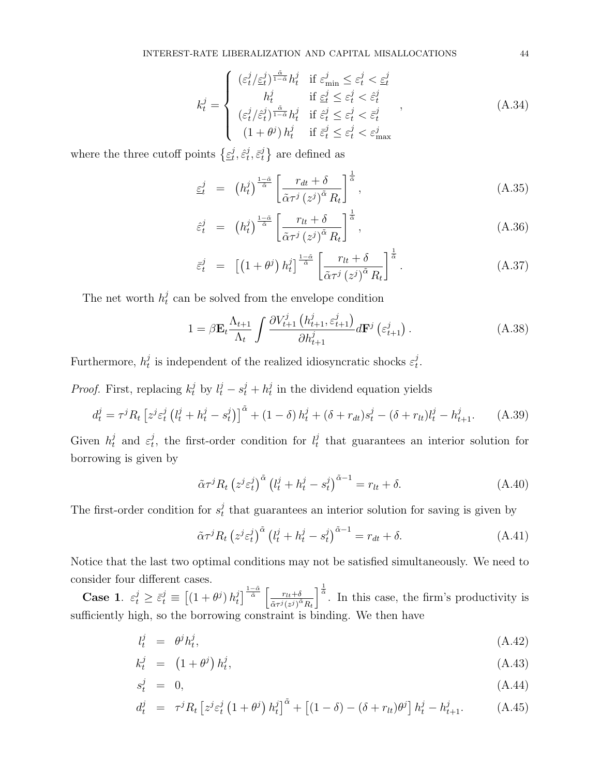$$
k_t^j = \begin{cases} (\varepsilon_t^j / \varepsilon_t^j)^{\frac{\tilde{\alpha}}{1-\tilde{\alpha}}} h_t^j & \text{if } \varepsilon_{\min}^j \le \varepsilon_t^j < \varepsilon_t^j\\ h_t^j & \text{if } \varepsilon_t^j \le \varepsilon_t^j < \hat{\varepsilon}_t^j\\ (\varepsilon_t^j / \hat{\varepsilon}_t^j)^{\frac{\tilde{\alpha}}{1-\tilde{\alpha}}} h_t^j & \text{if } \hat{\varepsilon}_t^j \le \varepsilon_t^j < \bar{\varepsilon}_t^j\\ (1+\theta^j) h_t^j & \text{if } \bar{\varepsilon}_t^j \le \varepsilon_t^j < \varepsilon_{\max}^j \end{cases},
$$
\n(A.34)

where the three cutoff points  $\{\underline{\varepsilon}^j_t\}$  $_{t}^{j},\hat{\varepsilon}_{t}^{j}$  $_{t}^{j},\bar{\varepsilon}_{t}^{j}$  $\{e^{j}\}$  are defined as

$$
\underline{\varepsilon}_{t}^{j} = \left(h_{t}^{j}\right)^{\frac{1-\tilde{\alpha}}{\tilde{\alpha}}} \left[\frac{r_{dt} + \delta}{\tilde{\alpha}\tau^{j}\left(z^{j}\right)^{\tilde{\alpha}} R_{t}}\right]^{\frac{1}{\tilde{\alpha}}},\tag{A.35}
$$

$$
\hat{\varepsilon}_t^j = \left(h_t^j\right)^{\frac{1-\tilde{\alpha}}{\tilde{\alpha}}} \left[\frac{r_{lt} + \delta}{\tilde{\alpha}\tau^j \left(z^j\right)^{\tilde{\alpha}} R_t}\right]^{\frac{1}{\tilde{\alpha}}},\tag{A.36}
$$

$$
\bar{\varepsilon}_t^j = \left[ \left( 1 + \theta^j \right) h_t^j \right]^\frac{1-\tilde{\alpha}}{\tilde{\alpha}} \left[ \frac{r_{lt} + \delta}{\tilde{\alpha} \tau^j \left( z^j \right)^{\tilde{\alpha}} R_t} \right]^\frac{1}{\tilde{\alpha}} . \tag{A.37}
$$

The net worth  $h_t^j$  $\mathcal{C}_t$  can be solved from the envelope condition

$$
1 = \beta \mathbf{E}_t \frac{\Lambda_{t+1}}{\Lambda_t} \int \frac{\partial V_{t+1}^j \left( h_{t+1}^j, \varepsilon_{t+1}^j \right)}{\partial h_{t+1}^j} d\mathbf{F}^j \left( \varepsilon_{t+1}^j \right). \tag{A.38}
$$

Furthermore,  $h_t^j$  $t_t^j$  is independent of the realized idiosyncratic shocks  $\varepsilon_t^j$  $_t^j$ .

*Proof.* First, replacing  $k_t^j$  by  $l_t^j - s_t^j + h_t^j$  $t<sub>t</sub><sup>j</sup>$  in the dividend equation yields

$$
d_t^j = \tau^j R_t \left[ z^j \varepsilon_t^j \left( l_t^j + h_t^j - s_t^j \right) \right]^\tilde{\alpha} + (1 - \delta) h_t^j + (\delta + r_{dt}) s_t^j - (\delta + r_{tt}) l_t^j - h_{t+1}^j. \tag{A.39}
$$

Given  $h_t^j$  and  $\varepsilon_t^j$  $t_t^j$ , the first-order condition for  $l_t^j$  $t<sub>t</sub>$  that guarantees an interior solution for borrowing is given by

$$
\tilde{\alpha}\tau^{j}R_{t}\left(z^{j}\varepsilon_{t}^{j}\right)^{\tilde{\alpha}}\left(l_{t}^{j}+h_{t}^{j}-s_{t}^{j}\right)^{\tilde{\alpha}-1}=r_{lt}+\delta.
$$
\n(A.40)

The first-order condition for  $s_t^j$  $t<sub>t</sub><sup>j</sup>$  that guarantees an interior solution for saving is given by

$$
\tilde{\alpha}\tau^{j}R_{t}\left(z^{j}\varepsilon_{t}^{j}\right)^{\tilde{\alpha}}\left(l_{t}^{j}+h_{t}^{j}-s_{t}^{j}\right)^{\tilde{\alpha}-1}=r_{dt}+\delta.
$$
\n(A.41)

Notice that the last two optimal conditions may not be satisfied simultaneously. We need to consider four different cases.

**Case 1.**  $\varepsilon_t^j \geq \bar{\varepsilon}_t^j \equiv \left[ \left( 1 + \theta^j \right) h_t^j \right]$  $\int_{t}^{j} \frac{1-\tilde{\alpha}}{\tilde{\alpha}} \left[ \frac{r_{lt}+\delta}{\tilde{\alpha} \tau^{j} (\tau^{j})^{\tilde{c}}} \right]$  $\overline{\tilde{\alpha}\tau^{j}(z^{j})^{\tilde{\alpha}}R_{t}}$  $\int_{0}^{\frac{1}{\alpha}}$ . In this case, the firm's productivity is sufficiently high, so the borrowing constraint is binding. We then have

$$
l_t^j = \theta^j h_t^j,\tag{A.42}
$$

$$
k_t^j = (1 + \theta^j) h_t^j, \tag{A.43}
$$

$$
s_t^j = 0,\t\t(A.44)
$$

$$
d_t^j = \tau^j R_t \left[ z^j \varepsilon_t^j \left( 1 + \theta^j \right) h_t^j \right]^\tilde{\alpha} + \left[ (1 - \delta) - (\delta + r_{lt}) \theta^j \right] h_t^j - h_{t+1}^j. \tag{A.45}
$$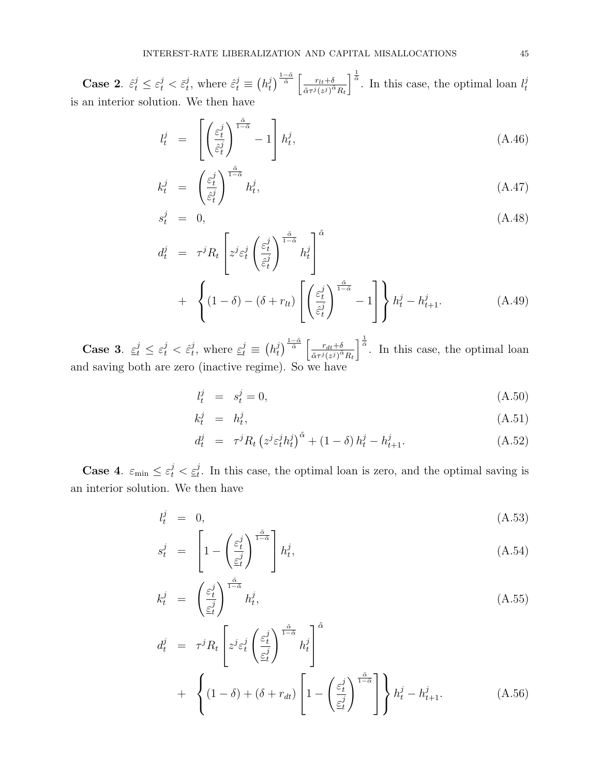**Case 2.**  $\hat{\varepsilon}_t^j \leq \varepsilon_t^j < \bar{\varepsilon}_t^j$  $t^j_t$ , where  $\hat{\varepsilon}^j_t \equiv \left(h^j_t\right)$  $\int_{t}^{j} \frac{1-\tilde{\alpha}}{\tilde{\alpha}} \left[ \frac{r_{lt}+\delta}{\tilde{\alpha} \tau^{j} (z^{j})^{\tilde{c}}} \right]$  $\tilde{\alpha}\tau^{j}(z^{j})^{\tilde{\alpha}}R_{t}$  $\int_{0}^{\frac{1}{\tilde{\alpha}}}$ . In this case, the optimal loan  $l_t^j$ t is an interior solution. We then have

$$
l_t^j = \left[ \left( \frac{\varepsilon_t^j}{\hat{\varepsilon}_t^j} \right)^{\frac{\hat{\alpha}}{1 - \hat{\alpha}}} - 1 \right] h_t^j, \tag{A.46}
$$

$$
k_t^j = \left(\frac{\varepsilon_t^j}{\hat{\varepsilon}_t^j}\right)^{\frac{\tilde{\alpha}}{1-\tilde{\alpha}}} h_t^j, \tag{A.47}
$$

$$
s_t^j = 0, \t\t (A.48)
$$

$$
d_t^j = \tau^j R_t \left[ z^j \varepsilon_t^j \left( \frac{\varepsilon_t^j}{\hat{\varepsilon}_t^j} \right)^{\frac{\tilde{\alpha}}{1-\tilde{\alpha}}} h_t^j \right]^\alpha
$$
  
+ 
$$
\left\{ (1-\delta) - (\delta + r_{lt}) \left[ \left( \frac{\varepsilon_t^j}{\hat{\varepsilon}_t^j} \right)^{\frac{\tilde{\alpha}}{1-\tilde{\alpha}}} - 1 \right] \right\} h_t^j - h_{t+1}^j.
$$
 (A.49)

Case 3.  $\varepsilon_t^j \leq \varepsilon_t^j < \hat{\varepsilon}_t^j$  $t^j$ , where  $\underline{\varepsilon}^j_t \equiv (h^j_t)$  $\int_{t}^{j} \sqrt{\frac{1-\tilde{\alpha}}{\tilde{\alpha}} \int \frac{r_{dt}+\delta}{\tilde{\alpha} \tau^j(z)} }$  $\overline{\tilde{\alpha}\tau^{j}(z^{j})^{\tilde{\alpha}}R_{t}}$  $\int_{0}^{\frac{1}{\alpha}}$ . In this case, the optimal loan and saving both are zero (inactive regime). So we have

$$
l_t^j = s_t^j = 0,\tag{A.50}
$$

$$
k_t^j = h_t^j,\tag{A.51}
$$

$$
d_t^j = \tau^j R_t \left( z^j \varepsilon_t^j h_t^j \right)^{\tilde{\alpha}} + (1 - \delta) h_t^j - h_{t+1}^j. \tag{A.52}
$$

**Case 4.**  $\varepsilon_{\min} \leq \varepsilon_t^j < \underline{\varepsilon}_t^j$ . In this case, the optimal loan is zero, and the optimal saving is an interior solution. We then have

$$
l_t^j = 0,\tag{A.53}
$$

$$
s_t^j = \left[1 - \left(\frac{\varepsilon_t^j}{\varepsilon_t^j}\right)^{\frac{\tilde{\alpha}}{1-\tilde{\alpha}}} \right] h_t^j, \tag{A.54}
$$

$$
k_t^j = \left(\frac{\varepsilon_t^j}{\varepsilon_t^j}\right)^{\frac{\tilde{\alpha}}{1-\tilde{\alpha}}} h_t^j,\tag{A.55}
$$

$$
d_t^j = \tau^j R_t \left[ z^j \varepsilon_t^j \left( \frac{\varepsilon_t^j}{\varepsilon_t^j} \right)^{\frac{\tilde{\alpha}}{1-\tilde{\alpha}}} h_t^j \right]^{\tilde{\alpha}} + \left\{ (1-\delta) + (\delta + r_{dt}) \left[ 1 - \left( \frac{\varepsilon_t^j}{\varepsilon_t^j} \right)^{\frac{\tilde{\alpha}}{1-\tilde{\alpha}}} \right] \right\} h_t^j - h_{t+1}^j. \tag{A.56}
$$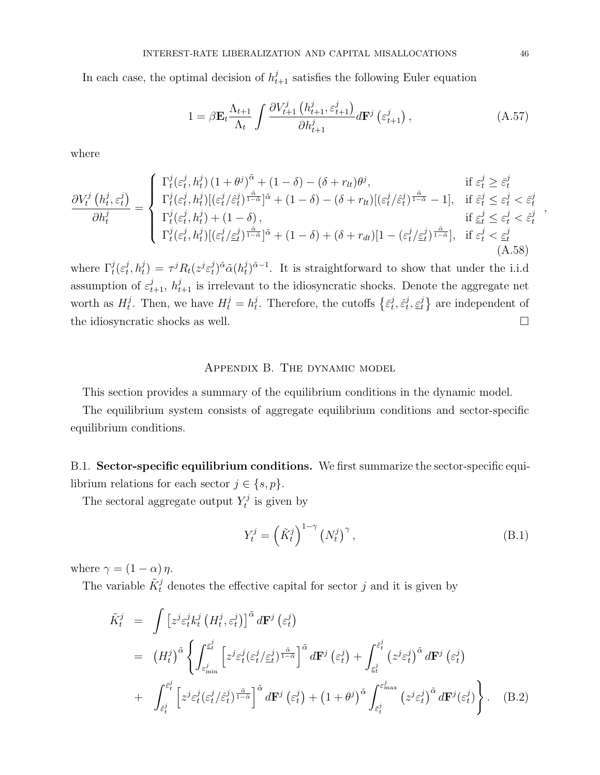In each case, the optimal decision of  $h_{t+1}^j$  satisfies the following Euler equation

$$
1 = \beta \mathbf{E}_t \frac{\Lambda_{t+1}}{\Lambda_t} \int \frac{\partial V_{t+1}^j \left( h_{t+1}^j, \varepsilon_{t+1}^j \right)}{\partial h_{t+1}^j} d\mathbf{F}^j \left( \varepsilon_{t+1}^j \right), \tag{A.57}
$$

where

$$
\frac{\partial V_t^j(h_t^j, \varepsilon_t^j)}{\partial h_t^j} = \begin{cases} \Gamma_t^j(\varepsilon_t^j, h_t^j) \left(1 + \theta^j\right)^{\tilde{\alpha}} + \left(1 - \delta\right) - (\delta + r_{lt})\theta^j, & \text{if } \varepsilon_t^j \ge \bar{\varepsilon}_t^j\\ \Gamma_t^j(\varepsilon_t^j, h_t^j) \left[\left(\varepsilon_t^j/\hat{\varepsilon}_t^j\right)^{\frac{\tilde{\alpha}}{1 - \tilde{\alpha}}}\right]^{\tilde{\alpha}} + \left(1 - \delta\right) - (\delta + r_{lt})\left[\left(\varepsilon_t^j/\hat{\varepsilon}_t^j\right)^{\frac{\tilde{\alpha}}{1 - \tilde{\alpha}}} - 1\right], & \text{if } \hat{\varepsilon}_t^j \le \varepsilon_t^j < \bar{\varepsilon}_t^j\\ \Gamma_t^j(\varepsilon_t^j, h_t^j) + \left(1 - \delta\right), & \text{if } \underline{\varepsilon}_t^j \le \varepsilon_t^j < \hat{\varepsilon}_t^j\\ \Gamma_t^j(\varepsilon_t^j, h_t^j) \left[\left(\varepsilon_t^j/\underline{\varepsilon}_t^j\right)^{\frac{\tilde{\alpha}}{1 - \tilde{\alpha}}}\right]^{\tilde{\alpha}} + \left(1 - \delta\right) + (\delta + r_{dt})\left[1 - (\varepsilon_t^j/\underline{\varepsilon}_t^j)^{\frac{\tilde{\alpha}}{1 - \tilde{\alpha}}}\right], & \text{if } \varepsilon_t^j < \underline{\varepsilon}_t^j \end{cases} \tag{A.58}
$$

where  $\Gamma_t^j(\varepsilon_t^j)$  $\sigma^j(t,\bar{h}^j_t) = \tau^j R_t(z^j \varepsilon^j_t)$  $(\hat{u}_t^j)^{\tilde{\alpha}}\tilde{\alpha} (h_t^j)$  $(t)$ <sup> $j$ </sup> $(0, 1)$ <sup> $j$ </sup> $(1, 1)$  is straightforward to show that under the i.i.d assumption of  $\varepsilon_{t+1}^j$ ,  $h_{t+1}^j$  is irrelevant to the idiosyncratic shocks. Denote the aggregate net worth as  $H_t^j$  $t_t^j$ . Then, we have  $H_t^j = h_t^j$  $t_t^j$ . Therefore, the cutoffs  $\{\bar{\varepsilon}_t^j\}$  $_{t}^{j},\hat{\varepsilon}_{t}^{j}$  $_i^j, \underline{\varepsilon}_t^j$  $\{t_i\}$  are independent of the idiosyncratic shocks as well.  $\Box$ 

### Appendix B. The dynamic model

This section provides a summary of the equilibrium conditions in the dynamic model.

The equilibrium system consists of aggregate equilibrium conditions and sector-specific equilibrium conditions.

B.1. Sector-specific equilibrium conditions. We first summarize the sector-specific equilibrium relations for each sector  $j \in \{s, p\}.$ 

The sectoral aggregate output  $Y_t^j$  $t_i^j$  is given by

$$
Y_t^j = \left(\tilde{K}_t^j\right)^{1-\gamma} \left(N_t^j\right)^{\gamma},\tag{B.1}
$$

where  $\gamma = (1 - \alpha) \eta$ .

The variable  $\tilde{K}^j_t$  denotes the effective capital for sector j and it is given by

$$
\tilde{K}_t^j = \int \left[ z^j \varepsilon_t^j k_t^j \left( H_t^j, \varepsilon_t^j \right) \right]^{\tilde{\alpha}} d\mathbf{F}^j \left( \varepsilon_t^j \right)
$$
\n
$$
= \left( H_t^j \right)^{\tilde{\alpha}} \left\{ \int_{\varepsilon_{\min}^j}^{\varepsilon_t^j} \left[ z^j \varepsilon_t^j (\varepsilon_t^j / \varepsilon_t^j)^{\frac{\tilde{\alpha}}{1 - \tilde{\alpha}}} \right]^{\tilde{\alpha}} d\mathbf{F}^j \left( \varepsilon_t^j \right) + \int_{\varepsilon_t^j}^{\varepsilon_t^j} \left( z^j \varepsilon_t^j \right)^{\tilde{\alpha}} d\mathbf{F}^j \left( \varepsilon_t^j \right) \right.
$$
\n
$$
+ \int_{\varepsilon_t^j}^{\varepsilon_t^j} \left[ z^j \varepsilon_t^j (\varepsilon_t^j / \hat{\varepsilon}_t^j)^{\frac{\tilde{\alpha}}{1 - \tilde{\alpha}}} \right]^{\tilde{\alpha}} d\mathbf{F}^j \left( \varepsilon_t^j \right) + \left( 1 + \theta^j \right)^{\tilde{\alpha}} \int_{\varepsilon_t^j}^{\varepsilon_{\max}^j} \left( z^j \varepsilon_t^j \right)^{\tilde{\alpha}} d\mathbf{F}^j (\varepsilon_t^j) \right\}. \quad (B.2)
$$

,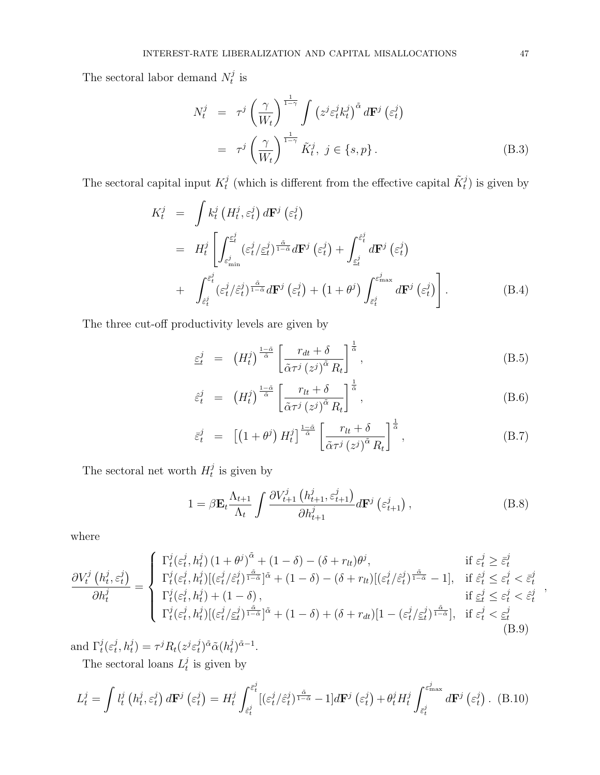The sectoral labor demand  $N_t^j$  $\frac{\jmath}{t}$  is

$$
N_t^j = \tau^j \left(\frac{\gamma}{W_t}\right)^{\frac{1}{1-\gamma}} \int \left(z^j \varepsilon_t^j k_t^j\right)^{\tilde{\alpha}} d\mathbf{F}^j \left(\varepsilon_t^j\right)
$$

$$
= \tau^j \left(\frac{\gamma}{W_t}\right)^{\frac{1}{1-\gamma}} \tilde{K}_t^j, \ j \in \{s, p\} \,.
$$
 (B.3)

The sectoral capital input  $K_t^j$  $t_t^j$  (which is different from the effective capital  $\tilde{K}_t^j$ ) is given by

$$
K_t^j = \int k_t^j \left( H_t^j, \varepsilon_t^j \right) d\mathbf{F}^j \left( \varepsilon_t^j \right)
$$
  
\n
$$
= H_t^j \left[ \int_{\varepsilon_{\min}^j}^{\varepsilon_t^j} (\varepsilon_t^j / \varepsilon_t^j)^{\frac{\tilde{\alpha}}{1-\tilde{\alpha}}} d\mathbf{F}^j \left( \varepsilon_t^j \right) + \int_{\varepsilon_t^j}^{\varepsilon_t^j} d\mathbf{F}^j \left( \varepsilon_t^j \right) \right]
$$
  
\n
$$
+ \int_{\varepsilon_t^j}^{\varepsilon_t^j} (\varepsilon_t^j / \hat{\varepsilon}_t^j)^{\frac{\tilde{\alpha}}{1-\tilde{\alpha}}} d\mathbf{F}^j \left( \varepsilon_t^j \right) + (1 + \theta^j) \int_{\varepsilon_t^j}^{\varepsilon_{\max}^j} d\mathbf{F}^j \left( \varepsilon_t^j \right) \right].
$$
 (B.4)

The three cut-off productivity levels are given by

$$
\underline{\varepsilon}_{t}^{j} = \left(H_{t}^{j}\right)^{\frac{1-\tilde{\alpha}}{\tilde{\alpha}}} \left[\frac{r_{dt} + \delta}{\tilde{\alpha}\tau^{j}\left(z^{j}\right)^{\tilde{\alpha}} R_{t}}\right]^{\frac{1}{\tilde{\alpha}}},\tag{B.5}
$$

$$
\hat{\varepsilon}_t^j = \left(H_t^j\right)^{\frac{1-\tilde{\alpha}}{\tilde{\alpha}}} \left[\frac{r_{lt} + \delta}{\tilde{\alpha}\tau^j \left(z^j\right)^{\tilde{\alpha}} R_t}\right]^{\frac{1}{\tilde{\alpha}}},\tag{B.6}
$$

$$
\bar{\varepsilon}_t^j = \left[ \left( 1 + \theta^j \right) H_t^j \right]^\frac{1-\tilde{\alpha}}{\tilde{\alpha}} \left[ \frac{r_{lt} + \delta}{\tilde{\alpha} \tau^j \left( z^j \right)^{\tilde{\alpha}} R_t} \right]^\frac{1}{\tilde{\alpha}}, \tag{B.7}
$$

The sectoral net worth  $H_t^j$  $t^j$  is given by

$$
1 = \beta \mathbf{E}_t \frac{\Lambda_{t+1}}{\Lambda_t} \int \frac{\partial V_{t+1}^j \left( h_{t+1}^j, \varepsilon_{t+1}^j \right)}{\partial h_{t+1}^j} d\mathbf{F}^j \left( \varepsilon_{t+1}^j \right), \tag{B.8}
$$

where

$$
\frac{\partial V_t^j(h_t^j, \varepsilon_t^j)}{\partial h_t^j} = \begin{cases} \Gamma_t^j(\varepsilon_t^j, h_t^j) \left(1 + \theta^j\right)^{\tilde{\alpha}} + \left(1 - \delta\right) - (\delta + r_{lt})\theta^j, & \text{if } \varepsilon_t^j \ge \bar{\varepsilon}_t^j\\ \Gamma_t^j(\varepsilon_t^j, h_t^j) \left[\left(\varepsilon_t^j/\hat{\varepsilon}_t^j\right)^{\frac{\tilde{\alpha}}{1 - \tilde{\alpha}}}\right]^{\tilde{\alpha}} + \left(1 - \delta\right) - (\delta + r_{lt}) \left[\left(\varepsilon_t^j/\hat{\varepsilon}_t^j\right)^{\frac{\tilde{\alpha}}{1 - \tilde{\alpha}}} - 1\right], & \text{if } \hat{\varepsilon}_t^j \le \varepsilon_t^j < \bar{\varepsilon}_t^j\\ \Gamma_t^j(\varepsilon_t^j, h_t^j) + \left(1 - \delta\right), & \text{if } \underline{\varepsilon}_t^j \le \varepsilon_t^j < \hat{\varepsilon}_t^j\\ \Gamma_t^j(\varepsilon_t^j, h_t^j) \left[\left(\varepsilon_t^j/\underline{\varepsilon}_t^j\right)^{\frac{\tilde{\alpha}}{1 - \tilde{\alpha}}}\right]^{\tilde{\alpha}} + \left(1 - \delta\right) + (\delta + r_{dt}) \left[1 - \left(\varepsilon_t^j/\underline{\varepsilon}_t^j\right)^{\frac{\tilde{\alpha}}{1 - \tilde{\alpha}}}\right], & \text{if } \varepsilon_t^j < \underline{\varepsilon}_t^j \end{cases}
$$
\n(B.9)

and  $\Gamma_t^j(\varepsilon_t^j)$  $\sigma_t^j,h_t^j)=\tau^jR_t(z^j\varepsilon_t^j)$  $(\vec{h}_t^j)^{\tilde{\alpha}}\tilde{\alpha} (h_t^j)$  $j^{j}$ <sub> $(\tilde{\alpha}-1)$ </sub>.

The sectoral loans  $L_t^j$  $t_i$  is given by

$$
L_t^j = \int l_t^j \left( h_t^j, \varepsilon_t^j \right) d\mathbf{F}^j \left( \varepsilon_t^j \right) = H_t^j \int_{\varepsilon_t^j}^{\varepsilon_t^j} \left[ (\varepsilon_t^j / \hat{\varepsilon}_t^j)^{\frac{\tilde{\alpha}}{1-\tilde{\alpha}}} - 1 \right] d\mathbf{F}^j \left( \varepsilon_t^j \right) + \theta_t^j H_t^j \int_{\varepsilon_t^j}^{\varepsilon_{\text{max}^j}^j} d\mathbf{F}^j \left( \varepsilon_t^j \right). \tag{B.10}
$$

,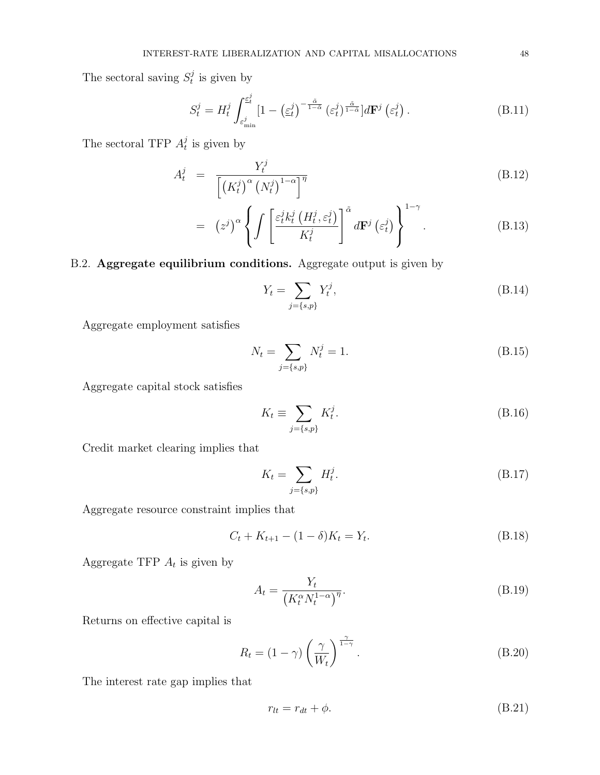The sectoral saving  $S_t^j$  $t^j$  is given by

$$
S_t^j = H_t^j \int_{\varepsilon_{\min}^j}^{\varepsilon_t^j} \left[1 - \left(\underline{\varepsilon}_t^j\right)^{-\frac{\tilde{\alpha}}{1-\tilde{\alpha}}} \left(\varepsilon_t^j\right)^{\frac{\tilde{\alpha}}{1-\tilde{\alpha}}} \right] d\mathbf{F}^j \left(\varepsilon_t^j\right). \tag{B.11}
$$

The sectoral TFP  $A_t^j$  $t_i$  is given by

$$
A_t^j = \frac{Y_t^j}{\left[ \left( K_t^j \right)^{\alpha} \left( N_t^j \right)^{1-\alpha} \right]^{\eta}}
$$
(B.12)

$$
= (z^j)^{\alpha} \left\{ \int \left[ \frac{\varepsilon_t^j k_t^j \left( H_t^j, \varepsilon_t^j \right)}{K_t^j} \right]^{\tilde{\alpha}} d\mathbf{F}^j \left( \varepsilon_t^j \right) \right\}^{1-\gamma} . \tag{B.13}
$$

# B.2. Aggregate equilibrium conditions. Aggregate output is given by

$$
Y_t = \sum_{j=\{s,p\}} Y_t^j,\tag{B.14}
$$

Aggregate employment satisfies

$$
N_t = \sum_{j=\{s,p\}} N_t^j = 1.
$$
\n(B.15)

Aggregate capital stock satisfies

$$
K_t \equiv \sum_{j=\{s,p\}} K_t^j. \tag{B.16}
$$

Credit market clearing implies that

$$
K_t = \sum_{j=\{s,p\}} H_t^j.
$$
 (B.17)

Aggregate resource constraint implies that

$$
C_t + K_{t+1} - (1 - \delta)K_t = Y_t.
$$
\n(B.18)

Aggregate TFP  $A_t$  is given by

$$
A_t = \frac{Y_t}{\left(K_t^{\alpha} N_t^{1-\alpha}\right)^{\eta}}.\tag{B.19}
$$

Returns on effective capital is

$$
R_t = (1 - \gamma) \left(\frac{\gamma}{W_t}\right)^{\frac{\gamma}{1 - \gamma}}.
$$
\n(B.20)

The interest rate gap implies that

$$
r_{lt} = r_{dt} + \phi. \tag{B.21}
$$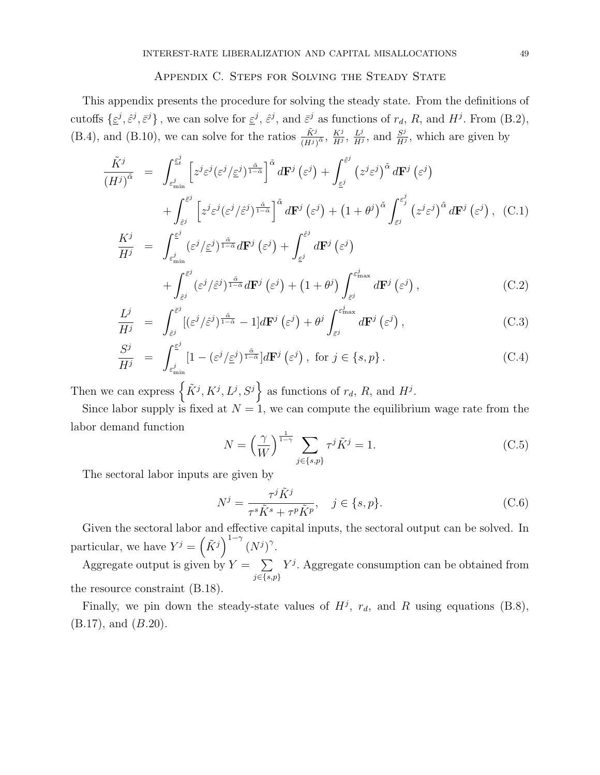## APPENDIX C. STEPS FOR SOLVING THE STEADY STATE

This appendix presents the procedure for solving the steady state. From the definitions of cutoffs  $\{\underline{\varepsilon}^j, \underline{\varepsilon}^j\}$ , we can solve for  $\underline{\varepsilon}^j$ ,  $\widehat{\varepsilon}^j$ , and  $\overline{\varepsilon}^j$  as functions of  $r_d$ , R, and  $H^j$ . From (B.2), (B.4), and (B.10), we can solve for the ratios  $\frac{\tilde{K}^j}{(H^j)^{\tilde{\alpha}}}$ ,  $\frac{K^j}{H^j}$  $\frac{K^j}{H^j}, \frac{L^j}{H^j}$  $\frac{L^j}{H^j}$ , and  $\frac{S^j}{H^j}$  $\frac{S^j}{H^j}$ , which are given by

$$
\frac{\tilde{K}^{j}}{(H^{j})^{\tilde{\alpha}}} = \int_{\varepsilon_{\min}^{j}}^{\varepsilon_{t}^{j}} \left[ z^{j} \varepsilon^{j} (\varepsilon^{j} / \varepsilon^{j})^{\frac{\tilde{\alpha}}{1 - \tilde{\alpha}}} \right]^{\tilde{\alpha}} d\mathbf{F}^{j} (\varepsilon^{j}) + \int_{\varepsilon^{j}}^{\varepsilon^{j}} (z^{j} \varepsilon^{j})^{\tilde{\alpha}} d\mathbf{F}^{j} (\varepsilon^{j}) + \int_{\varepsilon^{j}}^{\varepsilon^{j}} (z^{j} \varepsilon^{j})^{\tilde{\alpha}} d\mathbf{F}^{j} (\varepsilon^{j}) + \int_{\varepsilon^{j}}^{\varepsilon^{j}} \left[ z^{j} \varepsilon^{j} (\varepsilon^{j} / \varepsilon^{j})^{\frac{\tilde{\alpha}}{1 - \tilde{\alpha}}} \right]^{\tilde{\alpha}} d\mathbf{F}^{j} (\varepsilon^{j}) + (1 + \theta^{j})^{\tilde{\alpha}} \int_{\tilde{\varepsilon}^{j}}^{\varepsilon^{j}} (z^{j} \varepsilon^{j})^{\tilde{\alpha}} d\mathbf{F}^{j} (\varepsilon^{j}), \quad (C.1)
$$
\n
$$
\frac{K^{j}}{H^{j}} = \int_{\varepsilon_{\min}^{j}}^{\varepsilon^{j}} (\varepsilon^{j} / \varepsilon^{j})^{\frac{\tilde{\alpha}}{1 - \tilde{\alpha}}} d\mathbf{F}^{j} (\varepsilon^{j}) + \int_{\varepsilon^{j}}^{\varepsilon^{j}} d\mathbf{F}^{j} (\varepsilon^{j}) + \int_{\tilde{\varepsilon}^{j}}^{\varepsilon^{j}} d\mathbf{F}^{j} (\varepsilon^{j}), \quad (C.2)
$$

$$
\frac{L^j}{H^j} = \int_{\hat{\varepsilon}^j}^{\tilde{\varepsilon}^j} [(\varepsilon^j/\hat{\varepsilon}^j)^{\frac{\tilde{\alpha}}{1-\tilde{\alpha}}} - 1] d\mathbf{F}^j (\varepsilon^j) + \theta^j \int_{\tilde{\varepsilon}^j}^{\varepsilon^j} d\mathbf{F}^j (\varepsilon^j) , \qquad (C.3)
$$

$$
\frac{S^j}{H^j} = \int_{\varepsilon_{\min}^j}^{\varepsilon^j} \left[1 - \left(\varepsilon^j/\varepsilon^j\right)^{\frac{\tilde{\alpha}}{1-\tilde{\alpha}}} d\mathbf{F}^j\left(\varepsilon^j\right), \text{ for } j \in \{s, p\} \right]. \tag{C.4}
$$

Then we can express  $\left\{\tilde{K}^j, K^j, L^j, S^j\right\}$  as functions of  $r_d$ , R, and  $H^j$ .

Since labor supply is fixed at  $N = 1$ , we can compute the equilibrium wage rate from the labor demand function

$$
N = \left(\frac{\gamma}{W}\right)^{\frac{1}{1-\gamma}} \sum_{j \in \{s, p\}} \tau^j \tilde{K}^j = 1. \tag{C.5}
$$

The sectoral labor inputs are given by

$$
N^j = \frac{\tau^j \tilde{K}^j}{\tau^s \tilde{K}^s + \tau^p \tilde{K}^p}, \quad j \in \{s, p\}.
$$
 (C.6)

Given the sectoral labor and effective capital inputs, the sectoral output can be solved. In particular, we have  $Y^j = (\tilde{K}^j)^{1-\gamma} (N^j)^{\gamma}$ .

Aggregate output is given by  $Y = \sum$  $j \in \{s,p\}$  $Y<sup>j</sup>$ . Aggregate consumption can be obtained from the resource constraint (B.18).

Finally, we pin down the steady-state values of  $H^j$ ,  $r_d$ , and R using equations (B.8), (B.17), and (B.20).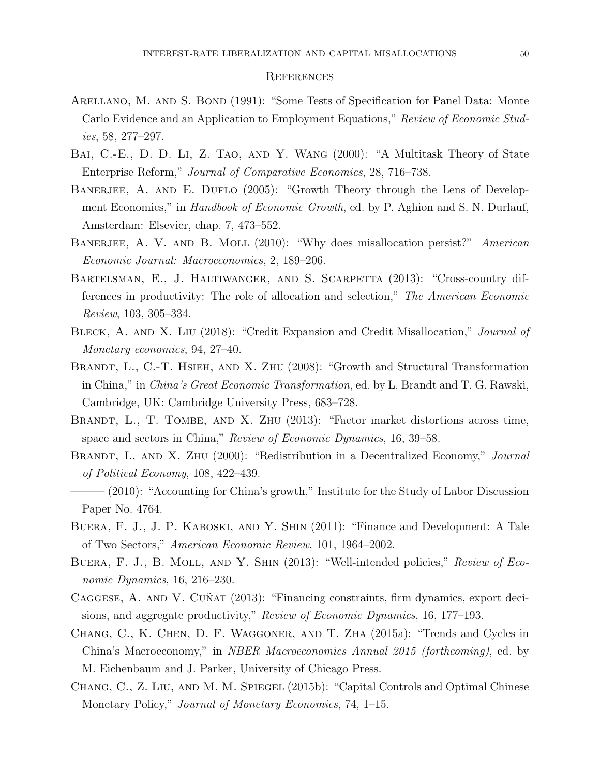#### **REFERENCES**

- ARELLANO, M. AND S. BOND (1991): "Some Tests of Specification for Panel Data: Monte Carlo Evidence and an Application to Employment Equations," Review of Economic Studies, 58, 277–297.
- Bai, C.-E., D. D. Li, Z. Tao, and Y. Wang (2000): "A Multitask Theory of State Enterprise Reform," Journal of Comparative Economics, 28, 716–738.
- BANERJEE, A. AND E. DUFLO (2005): "Growth Theory through the Lens of Development Economics," in *Handbook of Economic Growth*, ed. by P. Aghion and S. N. Durlauf, Amsterdam: Elsevier, chap. 7, 473–552.
- BANERJEE, A. V. AND B. MOLL (2010): "Why does misallocation persist?" American Economic Journal: Macroeconomics, 2, 189–206.
- BARTELSMAN, E., J. HALTIWANGER, AND S. SCARPETTA (2013): "Cross-country differences in productivity: The role of allocation and selection," The American Economic Review, 103, 305–334.
- BLECK, A. AND X. LIU (2018): "Credit Expansion and Credit Misallocation," *Journal of* Monetary economics, 94, 27–40.
- BRANDT, L., C.-T. HSIEH, AND X. ZHU (2008): "Growth and Structural Transformation in China," in China's Great Economic Transformation, ed. by L. Brandt and T. G. Rawski, Cambridge, UK: Cambridge University Press, 683–728.
- BRANDT, L., T. TOMBE, AND X. ZHU (2013): "Factor market distortions across time, space and sectors in China," Review of Economic Dynamics, 16, 39–58.
- BRANDT, L. AND X. ZHU (2000): "Redistribution in a Decentralized Economy," Journal of Political Economy, 108, 422–439.
- (2010): "Accounting for China's growth," Institute for the Study of Labor Discussion Paper No. 4764.
- Buera, F. J., J. P. Kaboski, and Y. Shin (2011): "Finance and Development: A Tale of Two Sectors," American Economic Review, 101, 1964–2002.
- BUERA, F. J., B. MOLL, AND Y. SHIN (2013): "Well-intended policies," Review of Economic Dynamics, 16, 216–230.
- CAGGESE, A. AND V. CUÑAT (2013): "Financing constraints, firm dynamics, export decisions, and aggregate productivity," Review of Economic Dynamics, 16, 177–193.
- Chang, C., K. Chen, D. F. Waggoner, and T. Zha (2015a): "Trends and Cycles in China's Macroeconomy," in NBER Macroeconomics Annual 2015 (forthcoming), ed. by M. Eichenbaum and J. Parker, University of Chicago Press.
- Chang, C., Z. Liu, and M. M. Spiegel (2015b): "Capital Controls and Optimal Chinese Monetary Policy," *Journal of Monetary Economics*, 74, 1–15.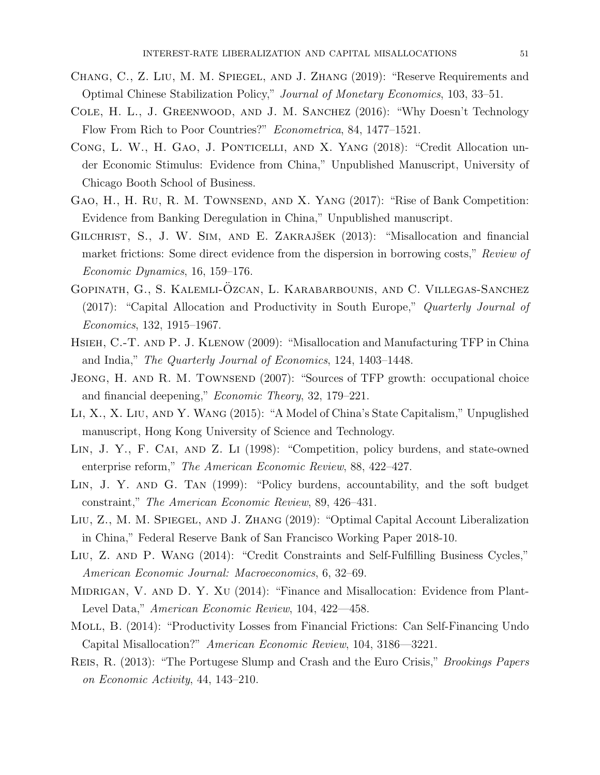- Chang, C., Z. Liu, M. M. Spiegel, and J. Zhang (2019): "Reserve Requirements and Optimal Chinese Stabilization Policy," Journal of Monetary Economics, 103, 33–51.
- Cole, H. L., J. Greenwood, and J. M. Sanchez (2016): "Why Doesn't Technology Flow From Rich to Poor Countries?" Econometrica, 84, 1477–1521.
- CONG, L. W., H. GAO, J. PONTICELLI, AND X. YANG (2018): "Credit Allocation under Economic Stimulus: Evidence from China," Unpublished Manuscript, University of Chicago Booth School of Business.
- GAO, H., H. RU, R. M. TOWNSEND, AND X. YANG (2017): "Rise of Bank Competition: Evidence from Banking Deregulation in China," Unpublished manuscript.
- GILCHRIST, S., J. W. SIM, AND E. ZAKRAJŠEK (2013): "Misallocation and financial market frictions: Some direct evidence from the dispersion in borrowing costs," Review of Economic Dynamics, 16, 159–176.
- GOPINATH, G., S. KALEMLI-ÖZCAN, L. KARABARBOUNIS, AND C. VILLEGAS-SANCHEZ (2017): "Capital Allocation and Productivity in South Europe," Quarterly Journal of Economics, 132, 1915–1967.
- Hsieh, C.-T. and P. J. Klenow (2009): "Misallocation and Manufacturing TFP in China and India," The Quarterly Journal of Economics, 124, 1403–1448.
- JEONG, H. AND R. M. TOWNSEND (2007): "Sources of TFP growth: occupational choice and financial deepening," Economic Theory, 32, 179–221.
- Li, X., X. Liu, and Y. Wang (2015): "A Model of China's State Capitalism," Unpuglished manuscript, Hong Kong University of Science and Technology.
- Lin, J. Y., F. Cai, and Z. Li (1998): "Competition, policy burdens, and state-owned enterprise reform," The American Economic Review, 88, 422-427.
- Lin, J. Y. and G. Tan (1999): "Policy burdens, accountability, and the soft budget constraint," The American Economic Review, 89, 426–431.
- Liu, Z., M. M. Spiegel, and J. Zhang (2019): "Optimal Capital Account Liberalization in China," Federal Reserve Bank of San Francisco Working Paper 2018-10.
- Liu, Z. and P. Wang (2014): "Credit Constraints and Self-Fulfilling Business Cycles," American Economic Journal: Macroeconomics, 6, 32–69.
- MIDRIGAN, V. AND D. Y. XU (2014): "Finance and Misallocation: Evidence from Plant-Level Data," American Economic Review, 104, 422—458.
- Moll, B. (2014): "Productivity Losses from Financial Frictions: Can Self-Financing Undo Capital Misallocation?" American Economic Review, 104, 3186—3221.
- Reis, R. (2013): "The Portugese Slump and Crash and the Euro Crisis," Brookings Papers on Economic Activity, 44, 143–210.